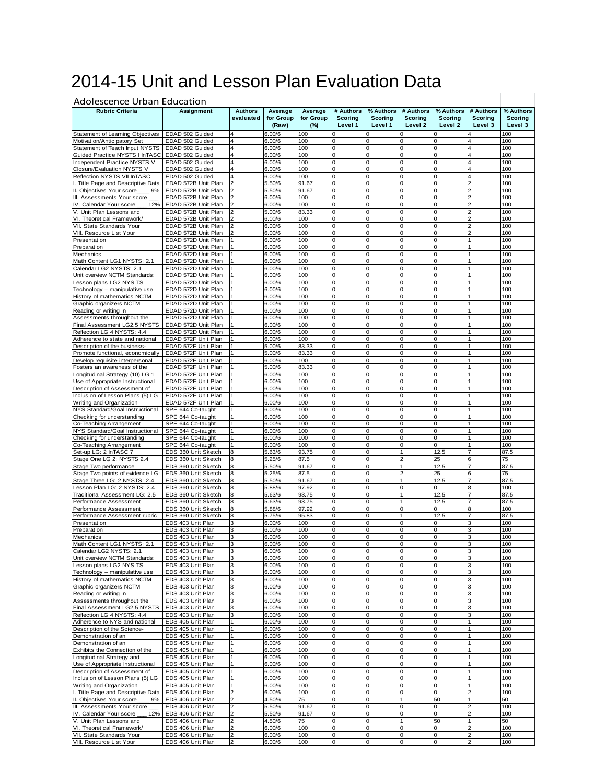## 2014-15 Unit and Lesson Plan Evaluation Data

| <b>Adolescence Urban Education</b>                                   |                                            |                             |                               |                                |                                 |                                 |                                        |                                 |                                  |                                 |
|----------------------------------------------------------------------|--------------------------------------------|-----------------------------|-------------------------------|--------------------------------|---------------------------------|---------------------------------|----------------------------------------|---------------------------------|----------------------------------|---------------------------------|
| <b>Rubric Criteria</b>                                               | <b>Assignment</b>                          | <b>Authors</b><br>evaluated | Average<br>for Group<br>(Raw) | Average<br>for Group<br>$(\%)$ | # Authors<br>Scoring<br>Level 1 | % Authors<br>Scoring<br>Level 1 | # Authors<br><b>Scoring</b><br>Level 2 | % Authors<br>Scoring<br>Level 2 | # Authors<br>Scoring<br>Level 3  | % Authors<br>Scoring<br>Level 3 |
| Statement of Learning Objectives                                     | EDAD 502 Guided                            | 4                           | 6.00/6                        | 100                            | 0                               | C                               | 0                                      |                                 | $\overline{4}$                   | 100                             |
| Motivation/Anticipatory Set                                          | EDAD 502 Guided                            | 4                           | 6.00/6                        | 100                            | 0                               | O                               | 0                                      | O                               | $\overline{4}$                   | 100                             |
| Statement of Teach Input NYSTS                                       | EDAD 502 Guided                            | 4                           | 6.00/6                        | 100                            | 0                               | 0                               | 0                                      | $\Omega$                        | $\overline{4}$                   | 100                             |
| Guided Practice NYSTS I InTASC                                       | EDAD 502 Guided                            | $\overline{\mathbf{4}}$     | 6.00/6                        | 100                            | 0                               | 0                               | 0                                      | $\Omega$                        | $\overline{4}$                   | 100                             |
| Independent Practice NYSTS V                                         | EDAD 502 Guided                            | 4                           | 6.00/6                        | 100                            | 0                               | 0                               | $\Omega$                               | O                               | $\overline{4}$                   | 100                             |
| Closure/Evaluation NYSTS V                                           | EDAD 502 Guided                            | 4                           | 6.00/6                        | 100                            | 0<br>0                          | 0                               | 0<br>0                                 | 0<br>$\Omega$                   | $\overline{4}$<br>$\overline{4}$ | 100                             |
| Reflection NYSTS VII InTASC                                          | EDAD 502 Guided                            | 4<br>っ                      | 6.00/6                        | 100<br>91.67                   | 0                               | 0<br>0                          | $\mathbf 0$                            | 0                               | $\overline{2}$                   | 100<br>100                      |
| . Title Page and Descriptive Data<br>II. Objectives Your score<br>9% | EDAD 572B Unit Plan<br>EDAD 572B Unit Plan |                             | 5.50/6<br>5.50/6              | 91.67                          | 0                               | 0                               | 0                                      | o                               | $\overline{2}$                   | 100                             |
| III. Assessments Your score                                          | EDAD 572B Unit Plan                        |                             | 6.00/6                        | 100                            | 0                               | 0                               | $\Omega$                               | O                               |                                  | 100                             |
| IV. Calendar Your score<br>12%                                       | EDAD 572B Unit Plan                        |                             | 6.00/6                        | 100                            | 0                               | O                               | 0                                      | 0                               | $\overline{2}$                   | 100                             |
| V. Unit Plan Lessons and                                             | EDAD 572B Unit Plan                        | 2                           | 5.00/6                        | 83.33                          | 0                               | 0                               | 0                                      | 0                               | $\overline{2}$                   | 100                             |
| VI. Theoretical Framework/                                           | EDAD 572B Unit Plan                        |                             | 6.00/6                        | 100                            | 0                               | 0                               | 0                                      | 0                               | $\overline{2}$                   | 100                             |
| VII. State Standards Your                                            | EDAD 572B Unit Plan                        |                             | 6.00/6                        | 100                            | 0                               | 0                               | 0                                      | 0                               | 2                                | 100                             |
| VIII. Resource List Your                                             | EDAD 572B Unit Plan                        |                             | 6.00/6                        | 100                            | 0                               | O                               | $\Omega$                               | $\Omega$                        | $\overline{2}$                   | 100                             |
| Presentation                                                         | EDAD 572D Unit Plan                        |                             | 6.00/6                        | 100                            | 0                               | 0                               | $\mathbf 0$                            | 0                               | $\overline{1}$                   | 100                             |
| Preparation                                                          | EDAD 572D Unit Plan                        |                             | 6.00/6                        | 100                            | 0                               | 0                               | 0                                      | 0                               | 1                                | 100                             |
| Mechanics                                                            | EDAD 572D Unit Plan                        |                             | 6.00/6                        | 100                            | 0                               | 0                               | 0                                      | O                               |                                  | 100                             |
| Math Content LG1 NYSTS: 2.1                                          | EDAD 572D Unit Plan                        |                             | 6.00/6                        | 100                            | 0                               | O                               | 0                                      | O                               | 1                                | 100                             |
| Calendar LG2 NYSTS: 2.1                                              | EDAD 572D Unit Plan                        |                             | 6.00/6                        | 100                            | 0                               | 0                               | 0                                      | 0                               | $\overline{1}$                   | 100                             |
| Jnit overview NCTM Standards:                                        | EDAD 572D Unit Plan                        |                             | 6.00/6                        | 100                            | 0                               | 0                               | 0                                      | 0                               | 1                                | 100                             |
| Lesson plans LG2 NYS TS                                              | EDAD 572D Unit Plan                        |                             | 6.00/6                        | 100                            | 0                               | 0                               | 0                                      | 0                               | $\vert$ 1                        | 100                             |
| Technology - manipulative use                                        | EDAD 572D Unit Plan                        |                             | 6.00/6                        | 100                            | 0                               | O                               | 0                                      | $\Omega$                        | 1                                | 100                             |
| History of mathematics NCTM                                          | EDAD 572D Unit Plan                        |                             | 6.00/6                        | 100                            | 0                               | 0                               | 0                                      | 0<br>O                          | 1                                | 100                             |
| Graphic organizers NCTM                                              | EDAD 572D Unit Plan<br>EDAD 572D Unit Plan |                             | 6.00/6<br>6.00/6              | 100<br>100                     | 0<br>0                          | 0<br>0                          | 0<br>0                                 | O                               |                                  | 100<br>100                      |
| Reading or writing in<br>Assessments throughout the                  | EDAD 572D Unit Plan                        |                             | 6.00/6                        | 100                            | 0                               | 0                               | 0                                      | 0                               | $\mathbf{1}$                     | 100                             |
| Final Assessment LG2,5 NYSTS                                         | EDAD 572D Unit Plan                        |                             | 6.00/6                        | 100                            | 0                               | 0                               | 0                                      | $\Omega$                        | 1                                | 100                             |
| Reflection LG 4 NYSTS: 4.4                                           | EDAD 572D Unit Plan                        |                             | 6.00/6                        | 100                            | 0                               | 0                               | 0                                      | 0                               | 1                                | 100                             |
| Adherence to state and national                                      | EDAD 572F Unit Plan                        |                             | 6.00/6                        | 100                            | 0                               | 0                               | 0                                      | n                               |                                  | 100                             |
| Description of the business-                                         | EDAD 572F Unit Plan                        |                             | 5.00/6                        | 83.33                          | 0                               | 0                               | 0                                      | O                               |                                  | 100                             |
| Promote functional, economically                                     | EDAD 572F Unit Plan                        |                             | 5.00/6                        | 83.33                          | 0                               | O                               | 0                                      | 0                               | 1                                | 100                             |
| Develop requisite interpersonal                                      | EDAD 572F Unit Plan                        |                             | 6.00/6                        | 100                            | 0                               | 0                               | 0                                      | 0                               | $\mathbf{1}$                     | 100                             |
| Fosters an awareness of the                                          | EDAD 572F Unit Plan                        |                             | 5.00/6                        | 83.33                          | 0                               | 0                               | 0                                      | 0                               | 1                                | 100                             |
| Longitudinal Strategy (10) LG 1                                      | EDAD 572F Unit Plan                        |                             | 6.00/6                        | 100                            | 0                               | 0                               | 0                                      | O                               |                                  | 100                             |
| Use of Appropriate Instructional                                     | EDAD 572F Unit Plan                        |                             | 6.00/6                        | 100                            | 0                               | 0                               | 0                                      | $\Omega$                        | 1                                | 100                             |
| Description of Assessment of                                         | EDAD 572F Unit Plan                        |                             | 6.00/6                        | 100                            | 0                               | 0                               | $\mathbf 0$                            | 0                               | $\vert$ 1                        | 100                             |
| Inclusion of Lesson Plans (5) LG                                     | EDAD 572F Unit Plan                        |                             | 6.00/6                        | 100                            | 0                               | 0                               | 0                                      | 0                               | 1                                | 100                             |
| Writing and Organization                                             | EDAD 572F Unit Plan                        |                             | 6.00/6                        | 100                            | 0                               | 0                               | 0                                      | O                               |                                  | 100                             |
| NYS Standard/Goal Instructional                                      | SPE 644 Co-taught                          |                             | 6.00/6                        | 100                            | 0                               | O                               | 0                                      | n                               | 1                                | 100                             |
| Checking for understanding                                           | SPE 644 Co-taught                          |                             | 6.00/6                        | 100                            | 0                               | 0                               | 0                                      | 0                               | $\overline{1}$                   | 100                             |
| Co-Teaching Arrangement                                              | SPE 644 Co-taught                          | $\vert$ 1                   | 6.00/6                        | 100                            | 0                               | 0                               | 0                                      | 0                               | 1                                | 100                             |
| NYS Standard/Goal Instructional<br>Checking for understanding        | SPE 644 Co-taught<br>SPE 644 Co-taught     | 1                           | 6.00/6<br>6.00/6              | 100<br>100                     | 0<br>0                          | 0<br>O                          | 0<br>$\Omega$                          | 0<br>$\Omega$                   | $\mathbf{1}$<br>1                | 100<br>100                      |
| Co-Teaching Arrangement                                              | SPE 644 Co-taught                          | 1                           | 6.00/6                        | 100                            | 0                               | 0                               | $\mathbf 0$                            | 0                               | $\overline{1}$                   | 100                             |
| Set-up LG: 2 InTASC 7                                                | EDS 360 Unit Sketch                        | 8                           | 5.63/6                        | 93.75                          | 0                               | 0                               | 1                                      | 12.5                            | 17                               | 87.5                            |
| Stage One LG 2: NYSTS 2.4                                            | EDS 360 Unit Sketch                        | 8                           | 5.25/6                        | 87.5                           | 0                               | 0                               |                                        | 25                              | 6                                | 75                              |
| Stage Two performance                                                | EDS 360 Unit Sketch                        | 8                           | 5.50/6                        | 91.67                          | 0                               | 0                               | 1                                      | 12.5                            | 7                                | 87.5                            |
| Stage Two points of evidence LG:                                     | EDS 360 Unit Sketch                        | 8                           | 5.25/6                        | 87.5                           | 0                               | 0                               | $\overline{2}$                         | 25                              | 6                                | 75                              |
| Stage Three LG: 2 NYSTS: 2.4                                         | EDS 360 Unit Sketch                        | 8                           | 5.50/6                        | 91.67                          | 0                               | 0                               | $\mathbf{1}$                           | 12.5                            | 17                               | 87.5                            |
| Lesson Plan LG: 2 NYSTS: 2.4                                         | EDS 360 Unit Sketch                        | 8                           | 5.88/6                        | 97.92                          | 0                               | 0                               | 0                                      | 0                               | 8                                | 100                             |
| Traditional Assessment LG: 2,5                                       | EDS 360 Unit Sketch                        | 8                           | 5.63/6                        | 93.75                          | 0                               | 0                               |                                        | 12.5                            |                                  | 87.5                            |
| Performance Assessment                                               | EDS 360 Unit Sketch                        | 8                           | 5.63/6                        | 93.75                          | 0                               | O                               | 1                                      | 12.5                            | 7                                | 87.5                            |
| Performance Assessment                                               | EDS 360 Unit Sketch                        | 8                           | 5.88/6                        | 97.92                          | 0                               | 0                               | 0                                      | 0                               | 8                                | 100                             |
| Performance Assessment rubric                                        | EDS 360 Unit Sketch                        | 8                           | 5.75/6                        | 95.83                          | 0                               | 0                               | 1                                      | 12.5                            | 7                                | 87.5                            |
| Presentation                                                         | EDS 403 Unit Plan                          | 3<br>3                      | 6.00/6                        | 100<br>100                     | 0<br>0                          | 0<br>O                          | 0<br>0                                 | 0<br>0                          | 3<br>3                           | 100<br>100                      |
| Preparation                                                          | EDS 403 Unit Plan                          | 3                           | 6.00/6<br>6.00/6              | 100                            | $\mathbf 0$                     | $\Omega$                        | $\Omega$                               | $\Omega$                        | 3                                | 100                             |
| Mechanics<br>Math Content LG1 NYSTS: 2.1                             | EDS 403 Unit Plan<br>EDS 403 Unit Plan     | 3                           | 6.00/6                        | 100                            | 0                               | 0                               | 0                                      | 0                               | з                                | 100                             |
| Calendar LG2 NYSTS: 2.1                                              | EDS 403 Unit Plan                          | 3                           | 6.00/6                        | 100                            | 0                               | 0                               | 0                                      | 0                               | 3                                | 100                             |
| Unit overview NCTM Standards:                                        | EDS 403 Unit Plan                          | 3                           | 6.00/6                        | 100                            | 0                               | 0                               | 0                                      | 0                               | 3                                | 100                             |
| Lesson plans LG2 NYS TS                                              | EDS 403 Unit Plan                          | 3                           | 6.00/6                        | 100                            | 0                               | 0                               | 0                                      | 0                               | 3                                | 100                             |
| Technology - manipulative use                                        | EDS 403 Unit Plan                          | 3                           | 6.00/6                        | 100                            | 0                               | 0                               | 0                                      | 0                               | 3                                | 100                             |
| History of mathematics NCTM                                          | EDS 403 Unit Plan                          | 3                           | 6.00/6                        | 100                            | 0                               | 0                               | 0                                      | 0                               | 3                                | 100                             |
| Graphic organizers NCTM                                              | EDS 403 Unit Plan                          | 3                           | 6.00/6                        | 100                            | 0                               | 0                               | 0                                      | 0                               | 3                                | 100                             |
| Reading or writing in                                                | EDS 403 Unit Plan                          | 3                           | 6.00/6                        | 100                            | 0                               | 0                               | O                                      | 0                               | 3                                | 100                             |
| Assessments throughout the                                           | EDS 403 Unit Plan                          | 3                           | 6.00/6                        | 100                            | 0                               | 0                               | 0                                      | 0                               | 3                                | 100                             |
| Final Assessment LG2,5 NYSTS                                         | EDS 403 Unit Plan                          | 3                           | 6.00/6                        | 100                            | 0                               | 0                               | 0                                      |                                 | 3                                | 100                             |
| Reflection LG 4 NYSTS: 4.4                                           | EDS 403 Unit Plan                          | 3                           | 6.00/6                        | 100                            | 0                               | 0                               | 0                                      | 0                               | 3                                | 100                             |
| Adherence to NYS and national                                        | EDS 405 Unit Plan                          |                             | 6.00/6                        | 100                            | 0                               | 0                               | 0                                      | 0                               | $\mathbf{1}$                     | 100                             |
| Description of the Science-                                          | EDS 405 Unit Plan                          | $\mathbf{1}$                | 6.00/6                        | 100                            | 0                               | 0                               | O                                      | 0                               | $\mathbf{1}$                     | 100                             |
| Demonstration of an                                                  | EDS 405 Unit Plan                          |                             | 6.00/6                        | 100                            | 0                               | 0                               | 0                                      | 0                               | $\overline{1}$                   | 100                             |
| Demonstration of an<br>Exhibits the Connection of the                | EDS 405 Unit Plan<br>EDS 405 Unit Plan     | 1                           | 6.00/6<br>6.00/6              | 100<br>100                     | 0<br>0                          | 0<br>0                          | 0<br>0                                 | O<br>0                          | $\overline{1}$<br>$\overline{1}$ | 100<br>100                      |
| Longitudinal Strategy and                                            | EDS 405 Unit Plan                          | 1                           | 6.00/6                        | 100                            | 0                               | 0                               | 0                                      | 0                               | 1                                | 100                             |
| Use of Appropriate Instructional                                     | EDS 405 Unit Plan                          | $\mathbf{1}$                | 6.00/6                        | 100                            | 0                               | 0                               | 0                                      | 0                               | $\mathbf{1}$                     | 100                             |
| Description of Assessment of                                         | EDS 405 Unit Plan                          | 1                           | 6.00/6                        | 100                            | 0                               | 0                               | 0                                      | 0                               | $\mathbf{1}$                     | 100                             |
| Inclusion of Lesson Plans (5) LG                                     | EDS 405 Unit Plan                          |                             | 6.00/6                        | 100                            | 0                               | 0                               | 0                                      | 0                               | $\overline{1}$                   | 100                             |
| Writing and Organization                                             | EDS 405 Unit Plan                          | $\mathbf{1}$                | 6.00/6                        | 100                            | 0                               | 0                               | 0                                      | 0                               | $\mathbf{1}$                     | 100                             |
| I. Title Page and Descriptive Data                                   | EDS 406 Unit Plan                          | 2                           | 6.00/6                        | 100                            | 0                               | 0                               | 0                                      | 0                               | 2                                | 100                             |
| II. Objectives Your score<br>9%                                      | EDS 406 Unit Plan                          |                             | 4.50/6                        | 75                             | 0                               | 0                               | $\mathbf{1}$                           | 50                              | $\mathbf{1}$                     | 50                              |
| III. Assessments Your score                                          | EDS 406 Unit Plan                          | $\overline{2}$              | 5.50/6                        | 91.67                          | 0                               | 0                               | 0                                      | 0                               | $\overline{2}$                   | 100                             |
| IV. Calendar Your score<br>12%                                       | EDS 406 Unit Plan                          | 2                           | 5.50/6                        | 91.67                          | 0                               | 0                               | 0                                      | 0                               | $\overline{2}$                   | 100                             |
| V. Unit Plan Lessons and                                             | EDS 406 Unit Plan                          | $\overline{2}$              | 4.50/6                        | 75                             | 0                               | 0                               | 1                                      | 50                              | $\mathbf{1}$                     | 50                              |
| VI. Theoretical Framework/                                           | EDS 406 Unit Plan                          | 2                           | 6.00/6                        | 100                            | 0                               | 0                               | 0                                      | 0                               | $\overline{2}$                   | 100                             |
| VII. State Standards Your                                            | EDS 406 Unit Plan                          | $\overline{2}$              | 6.00/6                        | 100                            | 0                               | 0                               | O                                      | 0                               | $\overline{c}$                   | 100                             |
| VIII. Resource List Your                                             | EDS 406 Unit Plan                          | $\overline{2}$              | 6.00/6                        | 100                            | 0                               | 0                               | O                                      | O                               | $\overline{c}$                   | 100                             |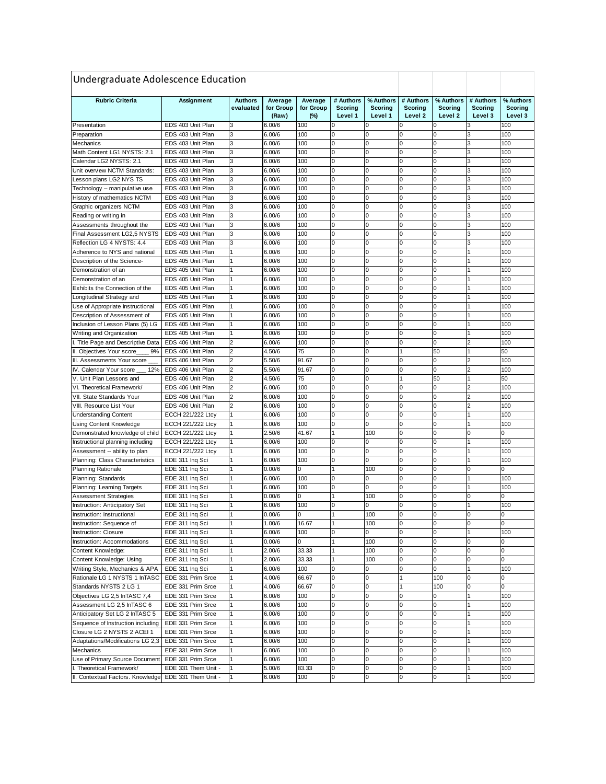| Undergraduate Adolescence Education |                          |                |                  |           |              |                |                |             |                |                |
|-------------------------------------|--------------------------|----------------|------------------|-----------|--------------|----------------|----------------|-------------|----------------|----------------|
| <b>Rubric Criteria</b>              | Assignment               | <b>Authors</b> | Average          | Average   | # Authors    | % Authors      | # Authors      | % Authors   | # Authors      | % Authors      |
|                                     |                          | evaluated      | for Group        | for Group | Scoring      | <b>Scoring</b> | <b>Scoring</b> | Scoring     | Scoring        | <b>Scoring</b> |
|                                     |                          |                | (Raw)            | $(\%)$    | Level 1      | Level 1        | Level 2        | Level 2     | Level 3        | Level 3        |
| Presentation                        | EDS 403 Unit Plan        | 3              | 6.00/6           | 100       | 0            | 0              |                |             |                | 100            |
| Preparation                         | EDS 403 Unit Plan        | 3              | 6.00/6           | 100       | 0            |                |                | 0           |                | 100            |
| Mechanics                           | EDS 403 Unit Plan        | 3              | 6.00/6           | 100       | 0            | 0              | 0              | $\Omega$    | 3              | 100            |
| Math Content LG1 NYSTS: 2.1         | EDS 403 Unit Plan        | 3              | 6.00/6           | 100       | 0            | 0              | 0              | $\Omega$    | 3              | 100            |
| Calendar LG2 NYSTS: 2.1             | EDS 403 Unit Plan        | 3              | 6.00/6           | 100       | 0            | 0              | 0              | 0           | 3              | 100            |
| Unit overview NCTM Standards:       | EDS 403 Unit Plan        | 3              | 6.00/6           | 100       | 0            | 0              | 0              | 0           | 3              | 100            |
| Lesson plans LG2 NYS TS             | EDS 403 Unit Plan        | 3              | 6.00/6           | 100       | 0            | 0              | 0              | 0           | 3              | 100            |
| Technology - manipulative use       | EDS 403 Unit Plan        | 3              | 6.00/6           | 100       | 0            | 0              | 0              | 0           | 3              | 100            |
| History of mathematics NCTM         | EDS 403 Unit Plan        | 3              | 6.00/6           | 100       | 0            | 0              | 0              | 0           | 3              | 100            |
| Graphic organizers NCTM             | EDS 403 Unit Plan        | 3              | 6.00/6           | 100       | 0            | 0              | 0              | 0           | 3              | 100            |
| Reading or writing in               | EDS 403 Unit Plan        | 3              | 6.00/6           | 100       | 0            | 0              | 0              | 0           | 3              | 100            |
| Assessments throughout the          | EDS 403 Unit Plan        | 3              | 6.00/6           | 100       | 0            | 0              | 0              | 0           | 3              | 100            |
| Final Assessment LG2,5 NYSTS        | EDS 403 Unit Plan        | 3              | 6.00/6           | 100       | 0            | 0              | 0              | 0           | 3              | 100            |
| Reflection LG 4 NYSTS: 4.4          | EDS 403 Unit Plan        | 3              | 6.00/6           | 100       | 0            | 0              | 0              | 0           | 3              | 100            |
| Adherence to NYS and national       | EDS 405 Unit Plan        | 1              | 6.00/6           | 100       | 0            | 0              | 0              | 0           |                | 100            |
| Description of the Science-         | EDS 405 Unit Plan        | 1              | 6.00/6           | 100       | 0            | 0              | 0              | 0           |                | 100            |
| Demonstration of an                 | EDS 405 Unit Plan        |                | 6.00/6           | 100       | 0            | 0              | 0              | $\Omega$    |                | 100            |
| Demonstration of an                 | EDS 405 Unit Plan        |                | 6.00/6           | 100       | 0            | 0              | 0              | $\Omega$    |                | 100            |
| Exhibits the Connection of the      | EDS 405 Unit Plan        | 1              | 6.00/6           | 100       | 0            | 0              | 0              | 0           |                | 100            |
| Longitudinal Strategy and           | EDS 405 Unit Plan        | 1              | 6.00/6           | 100       | $\mathbf 0$  | 0              | 0              | 0           |                | 100            |
| Use of Appropriate Instructional    | EDS 405 Unit Plan        | 1              | 6.00/6           | 100       | 0            | 0              | 0              | 0           |                | 100            |
| Description of Assessment of        | EDS 405 Unit Plan        |                | 6.00/6           | 100       | 0            | 0              | 0              | 0           |                | 100            |
| Inclusion of Lesson Plans (5) LG    | EDS 405 Unit Plan        |                | 6.00/6           | 100       | 0            | 0              |                | $\Omega$    |                | 100            |
| Writing and Organization            | EDS 405 Unit Plan        |                | 6.00/6           | 100       | 0            | 0              | $\Omega$       | $\Omega$    |                | 100            |
| I. Title Page and Descriptive Data  | EDS 406 Unit Plan        | 2              | 6.00/6           | 100       | 0            | 0              | 0              | 0           | 2              | 100            |
| II. Objectives Your score<br>9%     | EDS 406 Unit Plan        | $\overline{c}$ | 4.50/6           | 75        | 0            | 0              | 1              | 50          |                | 50             |
| III. Assessments Your score         | EDS 406 Unit Plan        | $\overline{2}$ | 5.50/6           | 91.67     | 0            | 0              | 0              | 0           | $\overline{2}$ | 100            |
| IV. Calendar Your score<br>12%      | EDS 406 Unit Plan        | $\overline{c}$ | 5.50/6           | 91.67     | 0            | 0              | 0              | 0           | $\overline{2}$ | 100            |
| V. Unit Plan Lessons and            | EDS 406 Unit Plan        | $\overline{2}$ | 4.50/6           | 75        | 0            | 0              | 1              | 50          |                | 50             |
| VI. Theoretical Framework/          | EDS 406 Unit Plan        | $\overline{2}$ | 6.00/6           | 100       | 0            | 0              | 0              | $\Omega$    | 2              | 100            |
| VII. State Standards Your           | EDS 406 Unit Plan        | $\overline{2}$ | 6.00/6           | 100       | 0            | 0              | 0              | 0           | $\overline{2}$ | 100            |
| VIII. Resource List Your            | EDS 406 Unit Plan        | $\overline{2}$ | 6.00/6           | 100       | 0            | 0              | 0              | 0           | $\overline{2}$ | 100            |
| <b>Understanding Content</b>        | <b>ECCH 221/222 Ltcy</b> | 1              | 6.00/6           | 100       | 0            | 0              | 0              | 0           |                | 100            |
| Using Content Knowledge             | <b>ECCH 221/222 Ltcy</b> | 1              | 6.00/6           | 100       | 0            | 0              | 0              | 0           |                | 100            |
| Demonstrated knowledge of child     | <b>ECCH 221/222 Ltcy</b> | 1              | 2.50/6           | 41.67     | 1            | 100            | 0              | 0           | 0              | 0              |
| Instructional planning including    | <b>ECCH 221/222 Ltcy</b> | $\mathbf{1}$   | 6.00/6           | 100       | 0            | 0              | 0              | 0           |                | 100            |
| Assessment -- ability to plan       | <b>ECCH 221/222 Ltcy</b> | 1              | 6.00/6           | 100       | $\mathbf 0$  | 0              | 0              | $\mathbf 0$ | 1              | 100            |
| Planning: Class Characteristics     | EDE 311 Ing Sci          | 1              | 6.00/6           | 100       | 0            | 0              | 0              | 0           |                | 100            |
| <b>Planning Rationale</b>           | EDE 311 Ing Sci          | 1              | 0.00/6           | 0         | 1            | 100            | 0              | 0           | 0              | 0              |
| Planning: Standards                 | EDE 311 Inq Sci          | 1              | 6.00/6           | 100       | $\mathbf 0$  | 0              | $\Omega$       | $\Omega$    |                | 100            |
| Planning: Learning Targets          | EDE 311 Inq Sci          | 1              | 6.00/6           | 100       | 0            | 0              | 0              | 0           | 1              | 100            |
| <b>Assessment Strategies</b>        | EDE 311 Ing Sci          |                | 0.00/6           | 0         | 1            | 100            | 0              | 0           | 0              | 0              |
| Instruction: Anticipatory Set       | EDE 311 Ing Sci          |                | 6.00/6           | 100       | 0            | 0              | 0              | 0           |                | 100            |
| Instruction: Instructional          | EDE 311 Ing Sci          |                | 0.00/6           |           |              | 100            |                |             |                |                |
| Instruction: Sequence of            | EDE 311 Ing Sci          |                | 1.00/6           | 16.67     | $\mathbf{1}$ | 100            | 0              | 0           | 0              | 0              |
| <b>Instruction: Closure</b>         | EDE 311 Ing Sci          |                | 6.00/6           | 100       | 0            | 0              | 0              | 0           |                | 100            |
| Instruction: Accommodations         | EDE 311 Ing Sci          |                | 0.00/6           | 0         | $\mathbf{1}$ | 100            | 0              | 0           | 0              | 0              |
| Content Knowledge:                  | EDE 311 Inq Sci          |                | 2.00/6           | 33.33     | 1            | 100            | 0              | 0           | 0              | 0              |
| Content Knowledge: Using            | EDE 311 Ing Sci          |                | 2.00/6           | 33.33     | 1            | 100            | 0              | 0           | 0              | 0              |
| Writing Style, Mechanics & APA      | EDE 311 Inq Sci          | 1              | 6.00/6           | 100       | 0            | 0              | 0              | 0           |                | 100            |
| Rationale LG 1 NYSTS 1 InTASC       | EDE 331 Prim Srce        | 1              | 4.00/6           | 66.67     | $\mathbf 0$  | 0              |                | 100         | 0              | 0              |
| Standards NYSTS 2 LG 1              | EDE 331 Prim Srce        | 1              | 4.00/6           | 66.67     | 0            | 0              |                | 100         | 0              | 0              |
| Objectives LG 2,5 InTASC 7,4        | EDE 331 Prim Srce        | 1              | 6.00/6           | 100       | $\mathbf 0$  | 0              | 0              | 0           |                | 100            |
| Assessment LG 2,5 InTASC 6          | EDE 331 Prim Srce        |                | 6.00/6           | 100       | 0            | 0              | 0              | 0           |                | 100            |
| Anticipatory Set LG 2 InTASC 5      | EDE 331 Prim Srce        |                | 6.00/6           | 100       | $\mathbf 0$  | 0              | 0              | 0           |                | 100            |
| Sequence of Instruction including   | EDE 331 Prim Srce        | 1              | 6.00/6           | 100       | $\mathbf 0$  | 0              | 0              | 0           |                | 100            |
| Closure LG 2 NYSTS 2 ACEI 1         | EDE 331 Prim Srce        | 1              | 6.00/6           | 100       | $\mathbf 0$  | 0              | 0              | 0           |                | 100            |
| Adaptations/Modifications LG 2,3    | EDE 331 Prim Srce        | 1              | 6.00/6           | 100       | $\mathbf 0$  | 0              | 0              | 0           |                | 100            |
| Mechanics                           | EDE 331 Prim Srce        |                | 6.00/6           | 100       | 0            | 0              | 0              | 0           |                | 100            |
| Use of Primary Source Document      | EDE 331 Prim Srce        |                |                  | 100       | $\mathbf 0$  | 0              | 0              | 0           |                | 100            |
| I. Theoretical Framework/           | EDE 331 Them Unit -      | 1              | 6.00/6<br>5.00/6 | 83.33     | 0            | 0              | 0              | 0           |                | 100            |
| II. Contextual Factors. Knowledge   | EDE 331 Them Unit -      | 1              |                  | 100       | $\pmb{0}$    | 0              | 0              | 0           |                | 100            |
|                                     |                          |                | 6.00/6           |           |              |                |                |             |                |                |

of students' characteristics

Soc Stud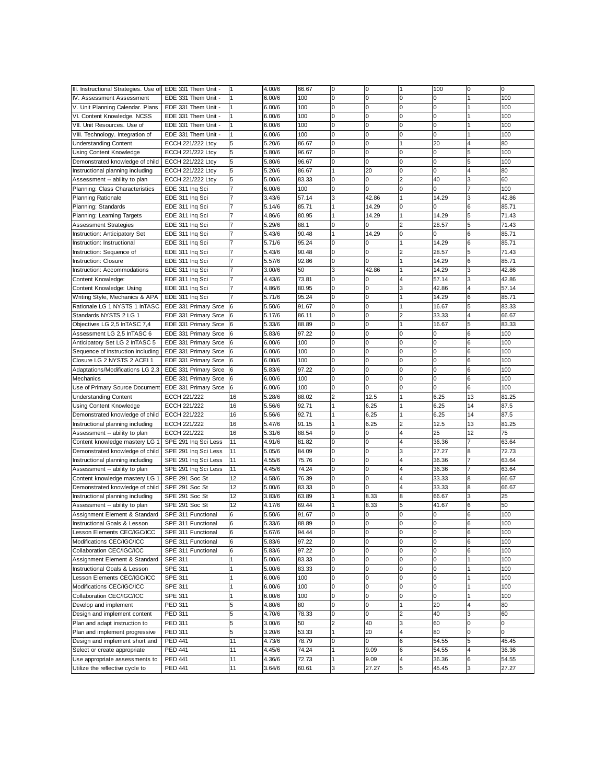| III. Instructional Strategies. Use of EDE 331 Them Unit |                                              | 1  | 4.00/6 | 66.67 | 0                       | 0           | 1                       | 100      | 0              | 0     |
|---------------------------------------------------------|----------------------------------------------|----|--------|-------|-------------------------|-------------|-------------------------|----------|----------------|-------|
| IV. Assessment Assessment                               | EDE 331 Them Unit -                          | 1  | 6.00/6 | 100   | 0                       | 0           | 0                       | 0        | 1              | 100   |
| V. Unit Planning Calendar. Plans                        | EDE 331 Them Unit -                          | 1  | 6.00/6 | 100   | $\mathbf 0$             | 0           | 0                       | 0        | 1              | 100   |
| VI. Content Knowledge. NCSS                             | EDE 331 Them Unit -                          | 1  | 6.00/6 | 100   | 0                       | 0           | 0                       | 0        |                | 100   |
| VII. Unit Resources. Use of                             | EDE 331 Them Unit -                          | 1  | 6.00/6 | 100   | 0                       | 0           | 0                       | 0        |                | 100   |
| VIII. Technology. Integration of                        | EDE 331 Them Unit -                          | 1  | 6.00/6 | 100   | 0                       | 0           | 0                       | $\Omega$ |                | 100   |
| <b>Understanding Content</b>                            | <b>ECCH 221/222 Ltcy</b>                     | 5  | 5.20/6 | 86.67 | $\mathbf 0$             | 0           | 1                       | 20       | 4              | 80    |
| Using Content Knowledge                                 | <b>ECCH 221/222 Ltcy</b>                     | 5  | 5.80/6 | 96.67 | 0                       | $\mathbf 0$ | 0                       | 0        | 5              | 100   |
| Demonstrated knowledge of child                         | <b>ECCH 221/222 Ltcy</b>                     | 5  | 5.80/6 | 96.67 | 0                       | $\mathbf 0$ | 0                       | 0        | 5              | 100   |
| Instructional planning including                        | <b>ECCH 221/222 Ltcy</b>                     | 5  | 5.20/6 | 86.67 |                         | 20          | $\Omega$                | 0        |                | 80    |
| Assessment -- ability to plan                           | <b>ECCH 221/222 Ltcy</b>                     | 5  | 5.00/6 | 83.33 | 0                       | 0           | $\overline{c}$          | 40       | 3              | 60    |
| Planning: Class Characteristics                         | EDE 311 Ing Sci                              |    | 6.00/6 | 100   | 0                       | 0           | 0                       | 0        |                | 100   |
|                                                         |                                              |    |        |       |                         |             |                         |          | 3              |       |
| <b>Planning Rationale</b>                               | EDE 311 Ing Sci                              |    | 3.43/6 | 57.14 | 3                       | 42.86       |                         | 14.29    |                | 42.86 |
| Planning: Standards                                     | EDE 311 Ing Sci                              |    | 5.14/6 | 85.71 | 1                       | 14.29       | 0                       | 0        | 6              | 85.71 |
| Planning: Learning Targets                              | EDE 311 Ing Sci                              | 7  | 4.86/6 | 80.95 | 1                       | 14.29       |                         | 14.29    | 5              | 71.43 |
| Assessment Strategies                                   | EDE 311 Ing Sci                              | 7  | 5.29/6 | 88.1  | 0                       | 0           | 2                       | 28.57    | 5              | 71.43 |
| Instruction: Anticipatory Set                           | EDE 311 Ing Sci                              | 7  | 5.43/6 | 90.48 | 1                       | 14.29       | 0                       | 0        | 6              | 85.71 |
| Instruction: Instructional                              | EDE 311 Inq Sci                              | 7  | 5.71/6 | 95.24 | 0                       | 0           |                         | 14.29    | 6              | 85.71 |
| Instruction: Sequence of                                | EDE 311 Ing Sci                              |    | 5.43/6 | 90.48 | 0                       | 0           | 2                       | 28.57    | 5              | 71.43 |
| <b>Instruction: Closure</b>                             | EDE 311 Inq Sci                              |    | 5.57/6 | 92.86 | 0                       | 0           |                         | 14.29    | 6              | 85.71 |
| Instruction: Accommodations                             | EDE 311 Inq Sci                              |    | 3.00/6 | 50    | 3                       | 42.86       |                         | 14.29    | 3              | 42.86 |
| Content Knowledge:                                      | EDE 311 Ing Sci                              | 7  | 4.43/6 | 73.81 | 0                       | 0           | 4                       | 57.14    | 3              | 42.86 |
| Content Knowledge: Using                                | EDE 311 Ing Sci                              | 7  | 4.86/6 | 80.95 | 0                       | 0           | 3                       | 42.86    | $\overline{4}$ | 57.14 |
| Writing Style, Mechanics & APA                          | EDE 311 Ing Sci                              |    | 5.71/6 | 95.24 | $\mathbf 0$             | $\mathbf 0$ |                         | 14.29    | 6              | 85.71 |
| Rationale LG 1 NYSTS 1 InTASC                           | EDE 331 Primary Srce                         | 6  | 5.50/6 | 91.67 | 0                       | 0           | 1                       | 16.67    | 5              | 83.33 |
| Standards NYSTS 2 LG 1                                  | EDE 331 Primary Srce                         | 6  | 5.17/6 | 86.11 | $\mathbf 0$             | 0           | 2                       | 33.33    | 4              | 66.67 |
| Objectives LG 2,5 InTASC 7,4                            |                                              | 6  | 5.33/6 | 88.89 | $\Omega$                | 0           |                         | 16.67    | 5              | 83.33 |
|                                                         | EDE 331 Primary Srce<br>EDE 331 Primary Srce |    |        |       | $\mathbf 0$             |             | 0                       | 0        |                |       |
| Assessment LG 2,5 InTASC 6                              |                                              | 6  | 5.83/6 | 97.22 | $\Omega$                | 0           | $\Omega$                |          | 6              | 100   |
| Anticipatory Set LG 2 InTASC 5                          | EDE 331 Primary Srce                         | 6  | 6.00/6 | 100   |                         | $\mathbf 0$ |                         | 0        | 6              | 100   |
| Sequence of Instruction including                       | EDE 331 Primary Srce                         | 6  | 6.00/6 | 100   | 0                       | $\mathbf 0$ | 0                       | 0        | 6              | 100   |
| Closure LG 2 NYSTS 2 ACEI 1                             | EDE 331 Primary Srce                         | 6  | 6.00/6 | 100   | 0                       | 0           | $\Omega$                | 0        | 6              | 100   |
| Adaptations/Modifications LG 2,3                        | EDE 331 Primary Srce                         |    | 5.83/6 | 97.22 | 0                       | 0           | 0                       | 0        | 6              | 100   |
| Mechanics                                               | EDE 331 Primary Srce                         | 6  | 6.00/6 | 100   | 0                       | 0           | 0                       | 0        | 6              | 100   |
| Use of Primary Source Document                          | EDE 331 Primary Srce                         | 6  | 6.00/6 | 100   | 0                       | 0           | 0                       | 0        | 6              | 100   |
| Understanding Content                                   | ECCH 221/222                                 | 16 | 5.28/6 | 88.02 | $\overline{\mathbf{c}}$ | 12.5        |                         | 6.25     | 13             | 81.25 |
| <b>Using Content Knowledge</b>                          | ECCH 221/222                                 | 16 | 5.56/6 | 92.71 | 1                       | 6.25        |                         | 6.25     | 14             | 87.5  |
| Demonstrated knowledge of child                         | ECCH 221/222                                 | 16 | 5.56/6 | 92.71 | 1                       | 6.25        | 1                       | 6.25     | 14             | 87.5  |
| Instructional planning including                        | ECCH 221/222                                 | 16 | 5.47/6 | 91.15 | 1                       | 6.25        | $\overline{2}$          | 12.5     | 13             | 81.25 |
| Assessment -- ability to plan                           | ECCH 221/222                                 | 16 | 5.31/6 | 88.54 | 0                       | 0           | $\overline{4}$          | 25       | 12             | 75    |
| Content knowledge mastery LG 1                          | SPE 291 Ing Sci Less                         | 11 | 4.91/6 | 81.82 | 0                       | 0           | 4                       | 36.36    | 7              | 63.64 |
| Demonstrated knowledge of child                         | SPE 291 Ing Sci Less                         | 11 | 5.05/6 | 84.09 | 0                       | $\mathbf 0$ | 3                       | 27.27    | 8              | 72.73 |
| Instructional planning including                        | SPE 291 Ing Sci Less                         | 11 | 4.55/6 | 75.76 | 0                       | 0           | 4                       | 36.36    |                | 63.64 |
| Assessment -- ability to plan                           | SPE 291 Inq Sci Less                         | 11 | 4.45/6 | 74.24 | 0                       | 0           | $\overline{4}$          | 36.36    |                | 63.64 |
| Content knowledge mastery LG 1                          | SPE 291 Soc St                               | 12 | 4.58/6 | 76.39 | 0                       | 0           | 4                       | 33.33    | 8              | 66.67 |
| Demonstrated knowledge of child                         | SPE 291 Soc St                               | 12 | 5.00/6 | 83.33 | 0                       | 0           | $\overline{4}$          | 33.33    | 8              | 66.67 |
|                                                         |                                              |    |        |       | 1                       |             | 8                       |          |                |       |
| Instructional planning including                        | SPE 291 Soc St                               | 12 | 3.83/6 | 63.89 |                         | 8.33        |                         | 66.67    | 3              | 25    |
| Assessment -- ability to plan                           | SPE 291 Soc St                               | 12 | 4.17/6 | 69.44 | 1                       | 8.33        | 5                       | 41.67    | 6              | 50    |
| Assignment Element & Standard                           | SPE 311 Functional                           | 6  | 5.50/6 | 91.67 | 0                       | 0           | $\Omega$                | 0        | 6              | 100   |
| Instructional Goals & Lesson                            | SPE 311 Functional                           | 6  | 5.33/6 | 88.89 | $\mathbf 0$             | $\mathbf 0$ | $\Omega$                | $\Omega$ | 6              | 100   |
| Lesson Elements CEC/IGC/ICC                             | SPE 311 Functional                           | 6  | 5.67/6 | 94.44 | 0                       | 0           | 0                       | 0        | 6              | 100   |
| Modifications CEC/IGC/ICC                               | SPE 311 Functional                           | 6  | 5.83/6 | 97.22 | $\mathbf 0$             | 0           | 0                       | 0        | 6              | 100   |
| Collaboration CEC/IGC/ICC                               | SPE 311 Functional                           | 6  | 5.83/6 | 97.22 | 0                       | 0           | 0                       | 0        | 6              | 100   |
| Assignment Element & Standard                           | <b>SPE 311</b>                               | 1  | 5.00/6 | 83.33 | 0                       | 0           | 0                       | 0        |                | 100   |
| Instructional Goals & Lesson                            | SPE 311                                      |    | 5.00/6 | 83.33 | 0                       | 0           | 0                       | 0        |                | 100   |
| Lesson Elements CEC/IGC/ICC                             | SPE 311                                      | 1  | 6.00/6 | 100   | 0                       | 0           | 0                       | 0        |                | 100   |
| Modifications CEC/IGC/ICC                               | <b>SPE 311</b>                               |    | 6.00/6 | 100   | 0                       | 0           | 0                       | 0        |                | 100   |
| Collaboration CEC/IGC/ICC                               | SPE 311                                      | 1  | 6.00/6 | 100   | 0                       | 0           | Ō                       | 0        |                | 100   |
| Develop and implement                                   | PED 311                                      | 5  | 4.80/6 | 80    | 0                       | 0           |                         | 20       | 4              | 80    |
| Design and implement content                            | PED 311                                      | 5  | 4.70/6 | 78.33 | 0                       | $\mathbf 0$ | 2                       | 40       | 3              | 60    |
| Plan and adapt instruction to                           | PED 311                                      | 5  | 3.00/6 | 50    | 2                       | 40          | 3                       | 60       | 0              | 0     |
| Plan and implement progressive                          | PED 311                                      | 5  | 3.20/6 | 53.33 | $\mathbf{1}$            | 20          | $\overline{\mathbf{4}}$ | 80       | 0              | 0     |
|                                                         |                                              |    |        |       |                         |             |                         |          |                |       |
| Design and implement short and                          | PED 441                                      | 11 | 4.73/6 | 78.79 | $\mathbf 0$             | 0           | 6                       | 54.55    | 5              | 45.45 |
| Select or create appropriate                            | PED 441                                      | 11 | 4.45/6 | 74.24 | 1                       | 9.09        | 6                       | 54.55    | 4              | 36.36 |
| Use appropriate assessments to                          | <b>PED 441</b>                               | 11 | 4.36/6 | 72.73 | 1                       | 9.09        | 4                       | 36.36    | 6              | 54.55 |
| Utilize the reflective cycle to                         | <b>PED 441</b>                               | 11 | 3.64/6 | 60.61 | 3                       | 27.27       | 5                       | 45.45    | 3              | 27.27 |
|                                                         |                                              |    |        |       |                         |             |                         |          |                |       |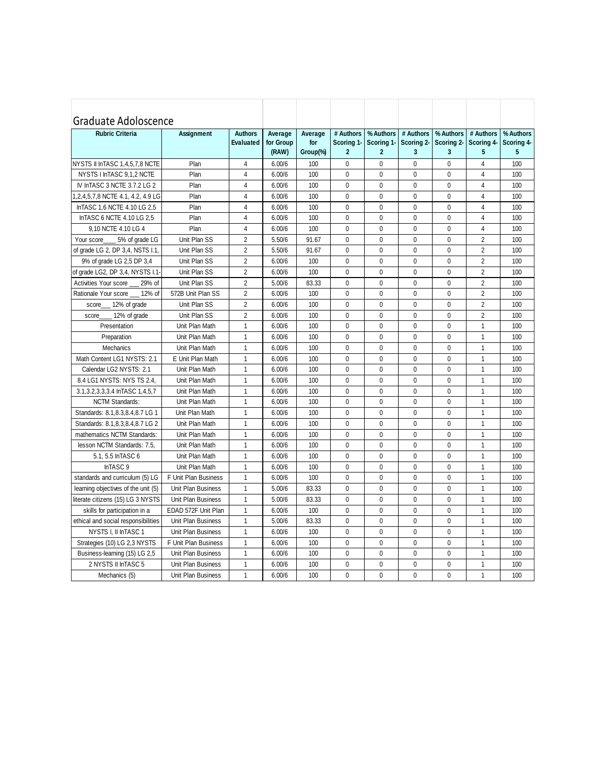| Graduate Adoloscence<br><b>Rubric Criteria</b> | Assignment           | <b>Authors</b><br><b>Evaluated</b> | Average<br>for Group<br>(RAW) | Average<br>for<br>Group(%) | # Authors<br>Scoring 1-<br>$\mathbf{2}$ | % Authors<br>Scoring 1-<br>$\mathbf{2}$ | # Authors<br>Scoring 2-<br>3 | % Authors<br>Scoring 2-<br>3 | # Authors<br>Scoring 4-<br>5 | % Authors<br>Scoring 4-<br>5 |
|------------------------------------------------|----------------------|------------------------------------|-------------------------------|----------------------------|-----------------------------------------|-----------------------------------------|------------------------------|------------------------------|------------------------------|------------------------------|
| NYSTS II InTASC 1,4,5,7,8 NCTE                 | Plan                 | $\overline{4}$                     | 6.00/6                        | 100                        | $\mathbf{0}$                            | $\Omega$                                | $\Omega$                     | 0                            | $\overline{4}$               | 100                          |
| NYSTS I InTASC 9.1.2 NCTE                      | Plan                 | $\overline{4}$                     | 6.00/6                        | 100                        | $\mathbf{0}$                            | $\mathbf 0$                             | $\mathbf{0}$                 | $\mathbf{0}$                 | $\overline{4}$               | 100                          |
| IV InTASC 3 NCTE 3.7.2 LG 2                    | Plan                 | 4                                  | 6.00/6                        | 100                        | $\mathbf{0}$                            | $\Omega$                                | $\Omega$                     | $\mathbf{0}$                 | 4                            | 100                          |
| 1,2,4,5,7,8 NCTE 4.1, 4.2, 4.9 LG              | Plan                 | 4                                  | 6.00/6                        | 100                        | $\mathbf{0}$                            | $\mathbf{0}$                            | $\mathbf{0}$                 | $\mathbf{0}$                 | $\overline{4}$               | 100                          |
| InTASC 1,6 NCTE 4.10 LG 2,5                    | Plan                 | 4                                  | 6.00/6                        | 100                        | $\mathbf{0}$                            | $\mathbf{0}$                            | $\mathbf{0}$                 | $\mathbf{0}$                 | $\overline{4}$               | 100                          |
| InTASC 6 NCTE 4.10 LG 2,5                      | Plan                 | $\overline{\mathbf{4}}$            | 6.00/6                        | 100                        | $\mathbf 0$                             | $\mathbf 0$                             | $\mathbf 0$                  | $\mathbf{0}$                 | $\overline{4}$               | 100                          |
| 9.10 NCTE 4.10 LG 4                            | Plan                 | $\overline{4}$                     | 6.00/6                        | 100                        | $\mathbf{0}$                            | $\mathbf{0}$                            | $\mathbf{0}$                 | $\mathbf{0}$                 | $\overline{4}$               | 100                          |
| 5% of grade LG<br>Your score                   | Unit Plan SS         | $\overline{2}$                     | 5.50/6                        | 91.67                      | $\mathbf{0}$                            | $\mathbf 0$                             | $\mathbf{0}$                 | $\mathbf{0}$                 | $\overline{2}$               | 100                          |
| of grade LG 2, DP 3,4, NSTS I.1,               | Unit Plan SS         | $\overline{2}$                     | 5.50/6                        | 91.67                      | $\mathbf{0}$                            | $\mathbf{0}$                            | $\mathbf 0$                  | $\mathbf 0$                  | $\overline{2}$               | 100                          |
| 9% of grade LG 2,5 DP 3,4                      | Unit Plan SS         | $\overline{2}$                     | 6.00/6                        | 100                        | $\mathbf{0}$                            | $\mathbf{0}$                            | $\Omega$                     | $\mathbf{0}$                 | $\overline{2}$               | 100                          |
| of grade LG2, DP 3,4, NYSTS I.1                | Unit Plan SS         | $\overline{2}$                     | 6.00/6                        | 100                        | $\mathbf{0}$                            | $\Omega$                                | $\mathbf{0}$                 | $\mathbf{0}$                 | $\overline{2}$               | 100                          |
| Activities Your score<br>29% of                | Unit Plan SS         | $\overline{2}$                     | 5.00/6                        | 83.33                      | $\mathbf{0}$                            | $\mathbf{0}$                            | $\mathbf 0$                  | $\mathbf{0}$                 | $\overline{2}$               | 100                          |
| 12% of<br>Rationale Your score                 | 572B Unit Plan SS    | $\overline{2}$                     | 6.00/6                        | 100                        | $\mathbf{0}$                            | $\Omega$                                | $\Omega$                     | $\mathbf{0}$                 | $\overline{2}$               | 100                          |
| 12% of grade<br>score                          | Unit Plan SS         | $\overline{2}$                     | 6.00/6                        | 100                        | $\mathbf{0}$                            | $\mathbf{0}$                            | $\Omega$                     | 0                            | 2                            | 100                          |
| 12% of grade<br>score                          | Unit Plan SS         | $\overline{2}$                     | 6.00/6                        | 100                        | $\mathbf{0}$                            | $\mathbf 0$                             | $\mathbf{0}$                 | $\mathbf 0$                  | $\overline{2}$               | 100                          |
| Presentation                                   | Unit Plan Math       | $\mathbf{1}$                       | 6.00/6                        | 100                        | $\mathbf{0}$                            | $\mathbf{0}$                            | $\Omega$                     | $\mathbf{0}$                 | $\mathbf{1}$                 | 100                          |
| Preparation                                    | Unit Plan Math       | $\mathbf{1}$                       | 6.00/6                        | 100                        | $\mathbf{0}$                            | $\mathbf{0}$                            | $\Omega$                     | 0                            | $\mathbf{1}$                 | 100                          |
| Mechanics                                      | Unit Plan Math       | $\mathbf{1}$                       | 6.00/6                        | 100                        | $\mathbf 0$                             | $\mathbf{0}$                            | $\mathbf{0}$                 | $\mathbf 0$                  | $\mathbf{1}$                 | 100                          |
| Math Content LG1 NYSTS: 2.1                    | E Unit Plan Math     | $\mathbf{1}$                       | 6.00/6                        | 100                        | $\mathbf 0$                             | $\mathbf 0$                             | $\mathbf 0$                  | $\mathbf 0$                  | $\mathbf{1}$                 | 100                          |
| Calendar LG2 NYSTS: 2.1                        | Unit Plan Math       | $\mathbf{1}$                       | 6.00/6                        | 100                        | $\mathbf{0}$                            | $\mathbf{0}$                            | $\mathbf{0}$                 | $\mathbf{0}$                 | $\mathbf{1}$                 | 100                          |
| 8.4 LG1 NYSTS: NYS TS 2.4,                     | Unit Plan Math       | $\mathbf{1}$                       | 6.00/6                        | 100                        | $\mathbf{0}$                            | $\Omega$                                | $\mathbf 0$                  | $\mathbf{0}$                 | $\mathbf{1}$                 | 100                          |
| 3.1, 3.2, 3.3, 3.4 In TASC 1, 4, 5, 7          | Unit Plan Math       | $\mathbf{1}$                       | 6.00/6                        | 100                        | 0                                       | $\mathbf{0}$                            | $\mathbf{0}$                 | 0                            | $\mathbf{1}$                 | 100                          |
| <b>NCTM Standards:</b>                         | Unit Plan Math       | $\mathbf{1}$                       | 6.00/6                        | 100                        | $\mathbf{0}$                            | $\mathbf{0}$                            | $\mathbf{0}$                 | $\mathbf{0}$                 | $\mathbf{1}$                 | 100                          |
| Standards: 8.1,8.3,8.4,8.7 LG 1                | Unit Plan Math       | $\mathbf{1}$                       | 6.00/6                        | 100                        | $\mathbf 0$                             | $\mathbf 0$                             | $\mathbf{0}$                 | $\mathbf{0}$                 | $\mathbf{1}$                 | 100                          |
| Standards: 8.1, 8.3, 8.4, 8.7 LG 2             | Unit Plan Math       | $\mathbf{1}$                       | 6.00/6                        | 100                        | $\mathbf 0$                             | $\mathbf 0$                             | $\mathbf 0$                  | $\mathbf{0}$                 | $\mathbf{1}$                 | 100                          |
| mathematics NCTM Standards:                    | Unit Plan Math       | $\mathbf{1}$                       | 6.00/6                        | 100                        | $\mathbf{0}$                            | $\mathbf{0}$                            | $\Omega$                     | $\overline{0}$               | $\mathbf{1}$                 | 100                          |
| lesson NCTM Standards: 7.5.                    | Unit Plan Math       | $\mathbf{1}$                       | 6.00/6                        | 100                        | 0                                       | $\mathbf{0}$                            | $\Omega$                     | $\mathbf{0}$                 | $\mathbf{1}$                 | 100                          |
| 5.1, 5.5 InTASC 6                              | Unit Plan Math       | $\mathbf{1}$                       | 6.00/6                        | 100                        | $\mathbf{0}$                            | $\mathbf 0$                             | $\Omega$                     | $\mathbf{0}$                 | $\mathbf{1}$                 | 100                          |
| InTASC <sub>9</sub>                            | Unit Plan Math       | $\mathbf{1}$                       | 6.00/6                        | 100                        | $\mathbf 0$                             | $\mathbf{0}$                            | $\mathbf 0$                  | 0                            | $\mathbf{1}$                 | 100                          |
| standards and curriculum (5) LG                | F Unit Plan Business | $\mathbf{1}$                       | 6.00/6                        | 100                        | 0                                       | 0                                       | $\Omega$                     | 0                            | $\mathbf{1}$                 | 100                          |
| learning objectives of the unit (5)            | Unit Plan Business   | $\mathbf{1}$                       | 5.00/6                        | 83.33                      | $\mathbf{0}$                            | $\mathbf 0$                             | $\mathbf{0}$                 | $\mathbf{0}$                 | $\mathbf{1}$                 | 100                          |
| literate citizens (15) LG 3 NYSTS              | Unit Plan Business   | $\mathbf{1}$                       | 5.00/6                        | 83.33                      | $\mathbf 0$                             | $\mathbf 0$                             | $\mathbf 0$                  | $\mathbf{0}$                 | $\mathbf{1}$                 | 100                          |
| skills for participation in a                  | EDAD 572F Unit Plan  | $\mathbf{1}$                       | 6.00/6                        | 100                        | $\mathbf{0}$                            | $\mathbf{0}$                            | $\mathbf{0}$                 | $\mathbf{0}$                 | $\mathbf{1}$                 | 100                          |
| ethical and social responsibilities            | Unit Plan Business   | $\mathbf{1}$                       | 5.00/6                        | 83.33                      | $\mathbf{0}$                            | $\mathbf{0}$                            | $\mathbf{0}$                 | $\mathbf{0}$                 | $\mathbf{1}$                 | 100                          |
| NYSTS I, II InTASC 1                           | Unit Plan Business   | $\mathbf{1}$                       | 6.00/6                        | 100                        | 0                                       | $\mathbf 0$                             | $\mathbf 0$                  | $\mathbf{0}$                 | $\mathbf{1}$                 | 100                          |
| Strategies (10) LG 2,3 NYSTS                   | F Unit Plan Business | $\mathbf{1}$                       | 6.00/6                        | 100                        | $\mathbf{0}$                            | $\mathbf{0}$                            | $\mathbf{0}$                 | $\mathbf{0}$                 | $\mathbf{1}$                 | 100                          |
| Business-learning (15) LG 2,5                  | Unit Plan Business   | $\mathbf{1}$                       | 6.00/6                        | 100                        | $\mathbf{0}$                            | $\mathbf{0}$                            | $\mathbf{0}$                 | $\mathbf{0}$                 | $\mathbf{1}$                 | 100                          |
| 2 NYSTS II InTASC 5                            | Unit Plan Business   | $\mathbf{1}$                       | 6.00/6                        | 100                        | $\mathbf 0$                             | $\mathbf{0}$                            | $\mathbf 0$                  | 0                            | 1                            | 100                          |
| Mechanics (5)                                  | Unit Plan Business   | $\mathbf{1}$                       | 6.00/6                        | 100                        | $\mathbf{0}$                            | $\Omega$                                | $\Omega$                     | $\overline{0}$               | $\mathbf{1}$                 | 100                          |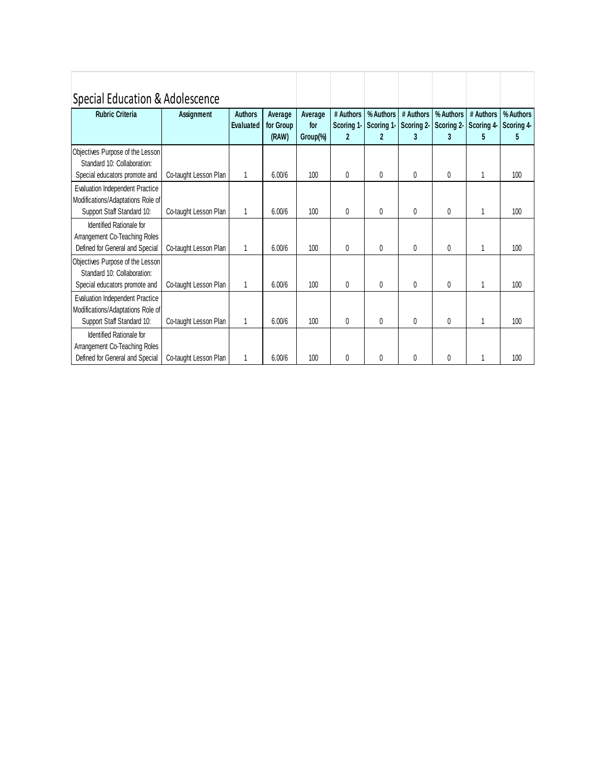| Special Education & Adolescence                                                                           |                       |                             |                               |                            |                                             |                                         |                              |                |                                       |                              |
|-----------------------------------------------------------------------------------------------------------|-----------------------|-----------------------------|-------------------------------|----------------------------|---------------------------------------------|-----------------------------------------|------------------------------|----------------|---------------------------------------|------------------------------|
| <b>Rubric Criteria</b>                                                                                    | Assignment            | <b>Authors</b><br>Evaluated | Average<br>for Group<br>(RAW) | Average<br>for<br>Group(%) | # Authors<br>Scoring 1-<br>$\boldsymbol{2}$ | % Authors<br>Scoring 1-<br>$\mathbf{2}$ | # Authors<br>Scoring 2-<br>3 | % Authors<br>3 | # Authors<br>Scoring 2 Scoring 4<br>5 | % Authors<br>Scoring 4-<br>5 |
| Objectives Purpose of the Lesson<br>Standard 10: Collaboration:<br>Special educators promote and          | Co-taught Lesson Plan | $\mathbf{1}$                | 6.00/6                        | 100                        | $\mathbf{0}$                                | 0                                       | $\Omega$                     | 0              | 1                                     | 100                          |
| <b>Evaluation Independent Practice</b><br>Modifications/Adaptations Role of<br>Support Staff Standard 10: | Co-taught Lesson Plan | 1                           | 6.00/6                        | 100                        | $\theta$                                    | 0                                       | $\Omega$                     | 0              | 1                                     | 100                          |
| Identified Rationale for<br>Arrangement Co-Teaching Roles<br>Defined for General and Special              | Co-taught Lesson Plan | 1                           | 6.00/6                        | 100                        | $\theta$                                    | 0                                       | $\Omega$                     | $\theta$       | 1                                     | 100                          |
| Objectives Purpose of the Lesson<br>Standard 10: Collaboration:<br>Special educators promote and          | Co-taught Lesson Plan | $\mathbf{1}$                | 6.00/6                        | 100                        | 0                                           | 0                                       | $\mathbf{0}$                 | 0              | 1                                     | 100                          |
| <b>Evaluation Independent Practice</b><br>Modifications/Adaptations Role of<br>Support Staff Standard 10: | Co-taught Lesson Plan | 1                           | 6.00/6                        | 100                        | $\mathbf{0}$                                | 0                                       | $\mathbf{0}$                 | 0              | 1                                     | 100                          |
| Identified Rationale for<br>Arrangement Co-Teaching Roles<br>Defined for General and Special              | Co-taught Lesson Plan | 1                           | 6.00/6                        | 100                        | $\Omega$                                    | 0                                       | $\Omega$                     | 0              |                                       | 100                          |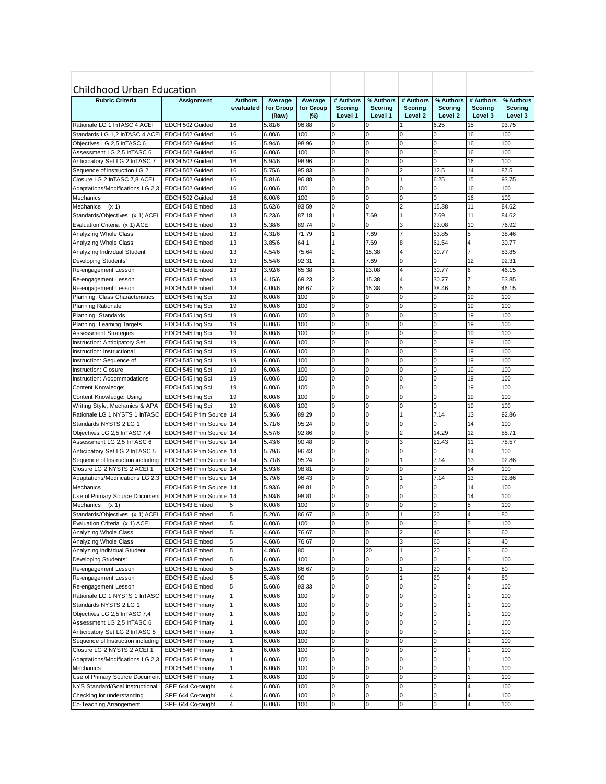| <b>Childhood Urban Education</b><br><b>Rubric Criteria</b><br># Authors<br>% Authors<br># Authors<br>% Authors<br># Authors<br>% Authors<br>Assignment<br><b>Authors</b><br>Average<br>Average<br>evaluated<br>for Group<br>for Group<br><b>Scoring</b><br>Scoring<br><b>Scoring</b><br><b>Scoring</b><br>Scoring<br><b>Scoring</b><br>Level 1<br>Level 1<br>Level 2<br>Level <sub>2</sub><br>Level 3<br>Level 3<br>(Raw)<br>$(\%)$<br>Rationale LG 1 InTASC 4 ACEI<br>EDCH 502 Guided<br>16<br>5.81/6<br>96.88<br>6.25<br>15<br>93.75<br>0<br>0<br>Standards LG 1,2 InTASC 4 ACEI<br>EDCH 502 Guided<br>16<br>6.00/6<br>100<br>$\mathbf 0$<br>0<br>0<br>0<br>16<br>100<br>Objectives LG 2,5 InTASC 6<br>16<br>5.94/6<br>98.96<br>0<br>0<br>0<br>0<br>16<br>100<br>EDCH 502 Guided<br>Assessment LG 2,5 InTASC 6<br>16<br>6.00/6<br>100<br>0<br>0<br>0<br>$\Omega$<br>16<br>100<br>EDCH 502 Guided<br>16<br>98.96<br>0<br>0<br>0<br>0<br>16<br>100<br>Anticipatory Set LG 2 InTASC 7<br>EDCH 502 Guided<br>5.94/6<br>16<br>$\overline{0}$<br>$\mathbf 0$<br>$\overline{\mathbf{c}}$<br>12.5<br>14<br>5.75/6<br>95.83<br>87.5<br>Sequence of Instruction LG 2<br>EDCH 502 Guided<br>15<br>16<br>96.88<br>0<br>0<br>6.25<br>93.75<br>Closure LG 2 InTASC 7.8 ACEI<br>EDCH 502 Guided<br>5.81/6<br>1<br>16<br>$\mathbf 0$<br>$\mathbf 0$<br>0<br>16<br>6.00/6<br>100<br>0<br>100<br>Adaptations/Modifications LG 2,3<br>EDCH 502 Guided<br>16<br>16<br>100<br>0<br>0<br>0<br>100<br>Mechanics<br>EDCH 502 Guided<br>6.00/6<br>0<br>13<br>5.62/6<br>93.59<br>$\mathbf 0$<br>0<br>$\overline{c}$<br>15.38<br>11<br>84.62<br>Mechanics<br>(x 1)<br>EDCH 543 Embed<br>13<br>87.18<br>7.69<br>7.69<br>11<br>84.62<br>Standards/Objectives (x 1) ACEI<br>EDCH 543 Embed<br>5.23/6<br>1<br>1<br>13<br>5.38/6<br>89.74<br>3<br>23.08<br>10<br>Evaluation Criteria (x 1) ACEI<br>EDCH 543 Embed<br>0<br>0<br>76.92<br>71.79<br>Analyzing Whole Class<br>13<br>4.31/6<br>1<br>7.69<br>7<br>53.85<br>5<br>38.46<br>EDCH 543 Embed<br>13<br>3.85/6<br>64.1<br>7.69<br>8<br>61.54<br>30.77<br>Analyzing Whole Class<br>EDCH 543 Embed<br>1<br>4<br>13<br>4.54/6<br>75.64<br>2<br>15.38<br>4<br>30.77<br>53.85<br>Analyzing Individual Student<br>EDCH 543 Embed<br>13<br>12<br>5.54/6<br>92.31<br>7.69<br>92.31<br>Developing Students'<br>O<br>EDCH 543 Embed<br>0<br>13<br>3.92/6<br>65.38<br>3<br>23.08<br>4<br>30.77<br>46.15<br>EDCH 543 Embed<br>6<br>Re-engagement Lesson<br>13<br>$\overline{2}$<br>15.38<br>4.15/6<br>69.23<br>4<br>30.77<br>53.85<br>EDCH 543 Embed<br>Re-engagement Lesson<br>13<br>$\overline{2}$<br>5<br>66.67<br>15.38<br>6<br>46.15<br>Re-engagement Lesson<br>EDCH 543 Embed<br>4.00/6<br>38.46<br>100<br>19<br>6.00/6<br>0<br>19<br>100<br>Planning: Class Characteristics<br>EDCH 545 Ing Sci<br>0<br>0<br>0<br>19<br>6.00/6<br>100<br>$\mathbf 0$<br>0<br>0<br>0<br>19<br>100<br><b>Planning Rationale</b><br>EDCH 545 Ing Sci<br>19<br>6.00/6<br>100<br>0<br>0<br>0<br>0<br>19<br>100<br>Planning: Standards<br>EDCH 545 Ing Sci<br>19<br>6.00/6<br>100<br>$\mathbf 0$<br>0<br>0<br>$\Omega$<br>19<br>100<br>Planning: Learning Targets<br>EDCH 545 Ing Sci<br>19<br>19<br>100<br>0<br>0<br>0<br>0<br>100<br><b>Assessment Strategies</b><br>6.00/6<br>EDCH 545 Ing Sci<br>19<br>6.00/6<br>100<br>$\mathbf 0$<br>0<br>0<br>$\Omega$<br>19<br>100<br>Instruction: Anticipatory Set<br>EDCH 545 Ing Sci<br>19<br>19<br>100<br>0<br>0<br>0<br>$\mathbf 0$<br>100<br>6.00/6<br>Instruction: Instructional<br>EDCH 545 Ing Sci<br>19<br>$\overline{0}$<br>0<br>0<br>19<br>100<br>0<br>100<br>EDCH 545 Ing Sci<br>6.00/6<br>Instruction: Sequence of<br>19<br>19<br>100<br>0<br>0<br>0<br>0<br>100<br><b>Instruction: Closure</b><br>6.00/6<br>EDCH 545 Ing Sci<br>19<br>100<br>$\mathbf 0$<br>$\mathbf 0$<br>0<br>0<br>19<br>6.00/6<br>100<br>Instruction: Accommodations<br>EDCH 545 Ing Sci<br>100<br>19<br>19<br>0<br>0<br>0<br>100<br>Content Knowledge:<br>EDCH 545 Ing Sci<br>6.00/6<br>0<br>19<br>100<br>$\mathbf 0$<br>0<br>$\Omega$<br>$\Omega$<br>19<br>100<br>Content Knowledge: Using<br>EDCH 545 Ing Sci<br>6.00/6<br>19<br>100<br>$\mathbf 0$<br>0<br>0<br>$\Omega$<br>19<br>100<br>Writing Style, Mechanics & APA<br>EDCH 545 Ing Sci<br>6.00/6<br>Rationale LG 1 NYSTS 1 InTASC<br>14<br>89.29<br>$\mathbf 0$<br>0<br>7.14<br>13<br>92.86<br>EDCH 546 Prim Source<br>5.36/6<br>1<br>Standards NYSTS 2 LG 1<br>5.71/6<br>95.24<br>0<br>0<br>0<br>0<br>14<br>100<br>EDCH 546 Prim Source<br>14<br>12<br>5.57/6<br>92.86<br>0<br>0<br>$\overline{c}$<br>14.29<br>85.71<br>Objectives LG 2,5 InTASC 7,4<br>EDCH 546 Prim Source<br>14<br>Assessment LG 2,5 InTASC 6<br>5.43/6<br>90.48<br>0<br>0<br>3<br>21.43<br>11<br>78.57<br>EDCH 546 Prim Source<br>14<br>14<br>5.79/6<br>96.43<br>0<br>0<br>100<br>Anticipatory Set LG 2 InTASC 5<br>EDCH 546 Prim Source<br>14<br>0<br>0<br>7.14<br>13<br>5.71/6<br>95.24<br>0<br>0<br>1<br>92.86<br>Sequence of Instruction including<br>EDCH 546 Prim Source<br>14<br>14<br>Closure LG 2 NYSTS 2 ACEI 1<br>5.93/6<br>98.81<br>0<br>0<br>0<br>100<br>EDCH 546 Prim Source<br>14<br>0<br>5.79/6<br>$\mathbf 0$<br>7.14<br>13<br>96.43<br>1<br>92.86<br>Adaptations/Modifications LG 2,3<br>EDCH 546 Prim Source<br>14<br>0<br>14<br>5.93/6<br>100<br>Mechanics<br>EDCH 546 Prim Source<br>14<br>98.81<br>0<br>0<br>0<br>0<br>EDCH 546 Prim Source<br>5.93/6<br>98.81<br>$\mathbf 0$<br>0<br>0<br>0<br>14<br>100<br>Use of Primary Source Document<br>14<br>EDCH 543 Embed<br>6.00/6<br>100<br>$\mathbf 0$<br>0<br>0<br>0<br>5<br>100<br>Mechanics (x 1)<br>5<br>$\overline{5}$<br>86.67<br>20<br>80<br>Standards/Objectives (x 1) ACEI EDCH 543 Embed<br>5.20/6<br>$\Omega$<br>$\Omega$<br>$\overline{4}$<br>5<br>100<br>$\mathbf 0$<br>Evaluation Criteria (x 1) ACEI<br>EDCH 543 Embed<br>6.00/6<br>0<br>0<br>0<br>5<br>100<br>5<br>40<br>Analyzing Whole Class<br>4.60/6<br>76.67<br>0<br>0<br>2<br>3<br>60<br>EDCH 543 Embed<br>Analyzing Whole Class<br>5<br>76.67<br>0<br>60<br>40<br>4.60/6<br>0<br>3<br>2<br>EDCH 543 Embed<br>5<br>20<br>20<br>60<br>Analyzing Individual Student<br>80<br>1<br>1<br>3<br>EDCH 543 Embed<br>4.80/6<br>5<br>100<br>0<br>0<br>0<br>5<br>100<br>Developing Students'<br>EDCH 543 Embed<br>6.00/6<br>0<br>5<br>$\overline{0}$<br>0<br>20<br>5.20/6<br>86.67<br>4<br>80<br>Re-engagement Lesson<br>EDCH 543 Embed<br>1<br>5<br>90<br>20<br>80<br>Re-engagement Lesson<br>EDCH 543 Embed<br>5.40/6<br>0<br>0<br>4<br>1<br>5<br>5.60/6<br>93.33<br>100<br>Re-engagement Lesson<br>EDCH 543 Embed<br>0<br>0<br>0<br>0<br>5<br>Rationale LG 1 NYSTS 1 InTASC<br>6.00/6<br>100<br>0<br>0<br>0<br>100<br>EDCH 546 Primary<br>1<br>0<br>Standards NYSTS 2 LG 1<br>6.00/6<br>100<br>0<br>0<br>0<br>0<br>100<br>EDCH 546 Primary<br>1<br>Objectives LG 2,5 InTASC 7,4<br>1<br>6.00/6<br>100<br>0<br>0<br>0<br>0<br>100<br>EDCH 546 Primary<br>Assessment LG 2,5 InTASC 6<br>1<br>6.00/6<br>100<br>0<br>0<br>0<br>0<br>100<br>EDCH 546 Primary<br>Anticipatory Set LG 2 InTASC 5<br>1<br>6.00/6<br>100<br>0<br>0<br>100<br>EDCH 546 Primary<br>0<br>0<br>6.00/6<br>100<br>0<br>100<br>Sequence of Instruction including<br>EDCH 546 Primary<br>0<br>0<br>0<br>Closure LG 2 NYSTS 2 ACEI 1<br>1<br>100<br>0<br>100<br>EDCH 546 Primary<br>6.00/6<br>0<br>0<br>0<br>Adaptations/Modifications LG 2,3<br>1<br>100<br>0<br>0<br>100<br>EDCH 546 Primary<br>6.00/6<br>0<br>0<br>$\mathbf{1}$<br>$\overline{0}$<br>Mechanics<br>100<br>0<br>0<br>100<br>EDCH 546 Primary<br>6.00/6<br>0<br>Use of Primary Source Document<br>1<br>100<br>EDCH 546 Primary<br>6.00/6<br>0<br>0<br>0<br>0<br>100<br>$\overline{\mathbf{4}}$<br>NYS Standard/Goal Instructional<br>100<br>0<br>0<br>0<br>100<br>SPE 644 Co-taught<br>6.00/6<br>0<br>4<br>$\overline{\mathbf{4}}$<br>100<br>0<br>0<br>Checking for understanding<br>SPE 644 Co-taught<br>6.00/6<br>0<br>0<br>4<br>100<br>$\overline{\mathbf{4}}$<br>Co-Teaching Arrangement<br>SPE 644 Co-taught<br>6.00/6<br>100<br>0<br>0<br>0<br>100<br>0<br>4 |  |  |  |  |  |  |
|-------------------------------------------------------------------------------------------------------------------------------------------------------------------------------------------------------------------------------------------------------------------------------------------------------------------------------------------------------------------------------------------------------------------------------------------------------------------------------------------------------------------------------------------------------------------------------------------------------------------------------------------------------------------------------------------------------------------------------------------------------------------------------------------------------------------------------------------------------------------------------------------------------------------------------------------------------------------------------------------------------------------------------------------------------------------------------------------------------------------------------------------------------------------------------------------------------------------------------------------------------------------------------------------------------------------------------------------------------------------------------------------------------------------------------------------------------------------------------------------------------------------------------------------------------------------------------------------------------------------------------------------------------------------------------------------------------------------------------------------------------------------------------------------------------------------------------------------------------------------------------------------------------------------------------------------------------------------------------------------------------------------------------------------------------------------------------------------------------------------------------------------------------------------------------------------------------------------------------------------------------------------------------------------------------------------------------------------------------------------------------------------------------------------------------------------------------------------------------------------------------------------------------------------------------------------------------------------------------------------------------------------------------------------------------------------------------------------------------------------------------------------------------------------------------------------------------------------------------------------------------------------------------------------------------------------------------------------------------------------------------------------------------------------------------------------------------------------------------------------------------------------------------------------------------------------------------------------------------------------------------------------------------------------------------------------------------------------------------------------------------------------------------------------------------------------------------------------------------------------------------------------------------------------------------------------------------------------------------------------------------------------------------------------------------------------------------------------------------------------------------------------------------------------------------------------------------------------------------------------------------------------------------------------------------------------------------------------------------------------------------------------------------------------------------------------------------------------------------------------------------------------------------------------------------------------------------------------------------------------------------------------------------------------------------------------------------------------------------------------------------------------------------------------------------------------------------------------------------------------------------------------------------------------------------------------------------------------------------------------------------------------------------------------------------------------------------------------------------------------------------------------------------------------------------------------------------------------------------------------------------------------------------------------------------------------------------------------------------------------------------------------------------------------------------------------------------------------------------------------------------------------------------------------------------------------------------------------------------------------------------------------------------------------------------------------------------------------------------------------------------------------------------------------------------------------------------------------------------------------------------------------------------------------------------------------------------------------------------------------------------------------------------------------------------------------------------------------------------------------------------------------------------------------------------------------------------------------------------------------------------------------------------------------------------------------------------------------------------------------------------------------------------------------------------------------------------------------------------------------------------------------------------------------------------------------------------------------------------------------------------------------------------------------------------------------------------------------------------------------------------------------------------------------------------------------------------------------------------------------------------------------------------------------------------------------------------------------------------------------------------------------------------------------------------------------------------------------------------------------------------------------------------------------------------------------------------------------------------------------------------------------------------------------------------------------------------------------------------------------------------------------------------------------------------------------------------------------------------------------------------------------------------------------------------------------------------------------------------------------------------------------------------------------------------------------------------------------------------------------------------------------------------------------------------------------------------------------------------------------------------------------------------------------------------------------------------------------------------------------------------------------------------------------------------------------------------------------------------------------------------------------------------------------------------------------------------------------------------------------------------------------------------------------------------------------------------------------------------------------------------------------------------------------------------------------------------------|--|--|--|--|--|--|
|                                                                                                                                                                                                                                                                                                                                                                                                                                                                                                                                                                                                                                                                                                                                                                                                                                                                                                                                                                                                                                                                                                                                                                                                                                                                                                                                                                                                                                                                                                                                                                                                                                                                                                                                                                                                                                                                                                                                                                                                                                                                                                                                                                                                                                                                                                                                                                                                                                                                                                                                                                                                                                                                                                                                                                                                                                                                                                                                                                                                                                                                                                                                                                                                                                                                                                                                                                                                                                                                                                                                                                                                                                                                                                                                                                                                                                                                                                                                                                                                                                                                                                                                                                                                                                                                                                                                                                                                                                                                                                                                                                                                                                                                                                                                                                                                                                                                                                                                                                                                                                                                                                                                                                                                                                                                                                                                                                                                                                                                                                                                                                                                                                                                                                                                                                                                                                                                                                                                                                                                                                                                                                                                                                                                                                                                                                                                                                                                                                                                                                                                                                                                                                                                                                                                                                                                                                                                                                                                                                                                                                                                                                                                                                                                                                                                                                                                                                                                                                                                                                                                                                                                                                                                                                                                                                                                                                                                                                                                                                                                                                                                                     |  |  |  |  |  |  |
|                                                                                                                                                                                                                                                                                                                                                                                                                                                                                                                                                                                                                                                                                                                                                                                                                                                                                                                                                                                                                                                                                                                                                                                                                                                                                                                                                                                                                                                                                                                                                                                                                                                                                                                                                                                                                                                                                                                                                                                                                                                                                                                                                                                                                                                                                                                                                                                                                                                                                                                                                                                                                                                                                                                                                                                                                                                                                                                                                                                                                                                                                                                                                                                                                                                                                                                                                                                                                                                                                                                                                                                                                                                                                                                                                                                                                                                                                                                                                                                                                                                                                                                                                                                                                                                                                                                                                                                                                                                                                                                                                                                                                                                                                                                                                                                                                                                                                                                                                                                                                                                                                                                                                                                                                                                                                                                                                                                                                                                                                                                                                                                                                                                                                                                                                                                                                                                                                                                                                                                                                                                                                                                                                                                                                                                                                                                                                                                                                                                                                                                                                                                                                                                                                                                                                                                                                                                                                                                                                                                                                                                                                                                                                                                                                                                                                                                                                                                                                                                                                                                                                                                                                                                                                                                                                                                                                                                                                                                                                                                                                                                                                     |  |  |  |  |  |  |
|                                                                                                                                                                                                                                                                                                                                                                                                                                                                                                                                                                                                                                                                                                                                                                                                                                                                                                                                                                                                                                                                                                                                                                                                                                                                                                                                                                                                                                                                                                                                                                                                                                                                                                                                                                                                                                                                                                                                                                                                                                                                                                                                                                                                                                                                                                                                                                                                                                                                                                                                                                                                                                                                                                                                                                                                                                                                                                                                                                                                                                                                                                                                                                                                                                                                                                                                                                                                                                                                                                                                                                                                                                                                                                                                                                                                                                                                                                                                                                                                                                                                                                                                                                                                                                                                                                                                                                                                                                                                                                                                                                                                                                                                                                                                                                                                                                                                                                                                                                                                                                                                                                                                                                                                                                                                                                                                                                                                                                                                                                                                                                                                                                                                                                                                                                                                                                                                                                                                                                                                                                                                                                                                                                                                                                                                                                                                                                                                                                                                                                                                                                                                                                                                                                                                                                                                                                                                                                                                                                                                                                                                                                                                                                                                                                                                                                                                                                                                                                                                                                                                                                                                                                                                                                                                                                                                                                                                                                                                                                                                                                                                                     |  |  |  |  |  |  |
|                                                                                                                                                                                                                                                                                                                                                                                                                                                                                                                                                                                                                                                                                                                                                                                                                                                                                                                                                                                                                                                                                                                                                                                                                                                                                                                                                                                                                                                                                                                                                                                                                                                                                                                                                                                                                                                                                                                                                                                                                                                                                                                                                                                                                                                                                                                                                                                                                                                                                                                                                                                                                                                                                                                                                                                                                                                                                                                                                                                                                                                                                                                                                                                                                                                                                                                                                                                                                                                                                                                                                                                                                                                                                                                                                                                                                                                                                                                                                                                                                                                                                                                                                                                                                                                                                                                                                                                                                                                                                                                                                                                                                                                                                                                                                                                                                                                                                                                                                                                                                                                                                                                                                                                                                                                                                                                                                                                                                                                                                                                                                                                                                                                                                                                                                                                                                                                                                                                                                                                                                                                                                                                                                                                                                                                                                                                                                                                                                                                                                                                                                                                                                                                                                                                                                                                                                                                                                                                                                                                                                                                                                                                                                                                                                                                                                                                                                                                                                                                                                                                                                                                                                                                                                                                                                                                                                                                                                                                                                                                                                                                                                     |  |  |  |  |  |  |
|                                                                                                                                                                                                                                                                                                                                                                                                                                                                                                                                                                                                                                                                                                                                                                                                                                                                                                                                                                                                                                                                                                                                                                                                                                                                                                                                                                                                                                                                                                                                                                                                                                                                                                                                                                                                                                                                                                                                                                                                                                                                                                                                                                                                                                                                                                                                                                                                                                                                                                                                                                                                                                                                                                                                                                                                                                                                                                                                                                                                                                                                                                                                                                                                                                                                                                                                                                                                                                                                                                                                                                                                                                                                                                                                                                                                                                                                                                                                                                                                                                                                                                                                                                                                                                                                                                                                                                                                                                                                                                                                                                                                                                                                                                                                                                                                                                                                                                                                                                                                                                                                                                                                                                                                                                                                                                                                                                                                                                                                                                                                                                                                                                                                                                                                                                                                                                                                                                                                                                                                                                                                                                                                                                                                                                                                                                                                                                                                                                                                                                                                                                                                                                                                                                                                                                                                                                                                                                                                                                                                                                                                                                                                                                                                                                                                                                                                                                                                                                                                                                                                                                                                                                                                                                                                                                                                                                                                                                                                                                                                                                                                                     |  |  |  |  |  |  |
|                                                                                                                                                                                                                                                                                                                                                                                                                                                                                                                                                                                                                                                                                                                                                                                                                                                                                                                                                                                                                                                                                                                                                                                                                                                                                                                                                                                                                                                                                                                                                                                                                                                                                                                                                                                                                                                                                                                                                                                                                                                                                                                                                                                                                                                                                                                                                                                                                                                                                                                                                                                                                                                                                                                                                                                                                                                                                                                                                                                                                                                                                                                                                                                                                                                                                                                                                                                                                                                                                                                                                                                                                                                                                                                                                                                                                                                                                                                                                                                                                                                                                                                                                                                                                                                                                                                                                                                                                                                                                                                                                                                                                                                                                                                                                                                                                                                                                                                                                                                                                                                                                                                                                                                                                                                                                                                                                                                                                                                                                                                                                                                                                                                                                                                                                                                                                                                                                                                                                                                                                                                                                                                                                                                                                                                                                                                                                                                                                                                                                                                                                                                                                                                                                                                                                                                                                                                                                                                                                                                                                                                                                                                                                                                                                                                                                                                                                                                                                                                                                                                                                                                                                                                                                                                                                                                                                                                                                                                                                                                                                                                                                     |  |  |  |  |  |  |
|                                                                                                                                                                                                                                                                                                                                                                                                                                                                                                                                                                                                                                                                                                                                                                                                                                                                                                                                                                                                                                                                                                                                                                                                                                                                                                                                                                                                                                                                                                                                                                                                                                                                                                                                                                                                                                                                                                                                                                                                                                                                                                                                                                                                                                                                                                                                                                                                                                                                                                                                                                                                                                                                                                                                                                                                                                                                                                                                                                                                                                                                                                                                                                                                                                                                                                                                                                                                                                                                                                                                                                                                                                                                                                                                                                                                                                                                                                                                                                                                                                                                                                                                                                                                                                                                                                                                                                                                                                                                                                                                                                                                                                                                                                                                                                                                                                                                                                                                                                                                                                                                                                                                                                                                                                                                                                                                                                                                                                                                                                                                                                                                                                                                                                                                                                                                                                                                                                                                                                                                                                                                                                                                                                                                                                                                                                                                                                                                                                                                                                                                                                                                                                                                                                                                                                                                                                                                                                                                                                                                                                                                                                                                                                                                                                                                                                                                                                                                                                                                                                                                                                                                                                                                                                                                                                                                                                                                                                                                                                                                                                                                                     |  |  |  |  |  |  |
|                                                                                                                                                                                                                                                                                                                                                                                                                                                                                                                                                                                                                                                                                                                                                                                                                                                                                                                                                                                                                                                                                                                                                                                                                                                                                                                                                                                                                                                                                                                                                                                                                                                                                                                                                                                                                                                                                                                                                                                                                                                                                                                                                                                                                                                                                                                                                                                                                                                                                                                                                                                                                                                                                                                                                                                                                                                                                                                                                                                                                                                                                                                                                                                                                                                                                                                                                                                                                                                                                                                                                                                                                                                                                                                                                                                                                                                                                                                                                                                                                                                                                                                                                                                                                                                                                                                                                                                                                                                                                                                                                                                                                                                                                                                                                                                                                                                                                                                                                                                                                                                                                                                                                                                                                                                                                                                                                                                                                                                                                                                                                                                                                                                                                                                                                                                                                                                                                                                                                                                                                                                                                                                                                                                                                                                                                                                                                                                                                                                                                                                                                                                                                                                                                                                                                                                                                                                                                                                                                                                                                                                                                                                                                                                                                                                                                                                                                                                                                                                                                                                                                                                                                                                                                                                                                                                                                                                                                                                                                                                                                                                                                     |  |  |  |  |  |  |
|                                                                                                                                                                                                                                                                                                                                                                                                                                                                                                                                                                                                                                                                                                                                                                                                                                                                                                                                                                                                                                                                                                                                                                                                                                                                                                                                                                                                                                                                                                                                                                                                                                                                                                                                                                                                                                                                                                                                                                                                                                                                                                                                                                                                                                                                                                                                                                                                                                                                                                                                                                                                                                                                                                                                                                                                                                                                                                                                                                                                                                                                                                                                                                                                                                                                                                                                                                                                                                                                                                                                                                                                                                                                                                                                                                                                                                                                                                                                                                                                                                                                                                                                                                                                                                                                                                                                                                                                                                                                                                                                                                                                                                                                                                                                                                                                                                                                                                                                                                                                                                                                                                                                                                                                                                                                                                                                                                                                                                                                                                                                                                                                                                                                                                                                                                                                                                                                                                                                                                                                                                                                                                                                                                                                                                                                                                                                                                                                                                                                                                                                                                                                                                                                                                                                                                                                                                                                                                                                                                                                                                                                                                                                                                                                                                                                                                                                                                                                                                                                                                                                                                                                                                                                                                                                                                                                                                                                                                                                                                                                                                                                                     |  |  |  |  |  |  |
|                                                                                                                                                                                                                                                                                                                                                                                                                                                                                                                                                                                                                                                                                                                                                                                                                                                                                                                                                                                                                                                                                                                                                                                                                                                                                                                                                                                                                                                                                                                                                                                                                                                                                                                                                                                                                                                                                                                                                                                                                                                                                                                                                                                                                                                                                                                                                                                                                                                                                                                                                                                                                                                                                                                                                                                                                                                                                                                                                                                                                                                                                                                                                                                                                                                                                                                                                                                                                                                                                                                                                                                                                                                                                                                                                                                                                                                                                                                                                                                                                                                                                                                                                                                                                                                                                                                                                                                                                                                                                                                                                                                                                                                                                                                                                                                                                                                                                                                                                                                                                                                                                                                                                                                                                                                                                                                                                                                                                                                                                                                                                                                                                                                                                                                                                                                                                                                                                                                                                                                                                                                                                                                                                                                                                                                                                                                                                                                                                                                                                                                                                                                                                                                                                                                                                                                                                                                                                                                                                                                                                                                                                                                                                                                                                                                                                                                                                                                                                                                                                                                                                                                                                                                                                                                                                                                                                                                                                                                                                                                                                                                                                     |  |  |  |  |  |  |
|                                                                                                                                                                                                                                                                                                                                                                                                                                                                                                                                                                                                                                                                                                                                                                                                                                                                                                                                                                                                                                                                                                                                                                                                                                                                                                                                                                                                                                                                                                                                                                                                                                                                                                                                                                                                                                                                                                                                                                                                                                                                                                                                                                                                                                                                                                                                                                                                                                                                                                                                                                                                                                                                                                                                                                                                                                                                                                                                                                                                                                                                                                                                                                                                                                                                                                                                                                                                                                                                                                                                                                                                                                                                                                                                                                                                                                                                                                                                                                                                                                                                                                                                                                                                                                                                                                                                                                                                                                                                                                                                                                                                                                                                                                                                                                                                                                                                                                                                                                                                                                                                                                                                                                                                                                                                                                                                                                                                                                                                                                                                                                                                                                                                                                                                                                                                                                                                                                                                                                                                                                                                                                                                                                                                                                                                                                                                                                                                                                                                                                                                                                                                                                                                                                                                                                                                                                                                                                                                                                                                                                                                                                                                                                                                                                                                                                                                                                                                                                                                                                                                                                                                                                                                                                                                                                                                                                                                                                                                                                                                                                                                                     |  |  |  |  |  |  |
|                                                                                                                                                                                                                                                                                                                                                                                                                                                                                                                                                                                                                                                                                                                                                                                                                                                                                                                                                                                                                                                                                                                                                                                                                                                                                                                                                                                                                                                                                                                                                                                                                                                                                                                                                                                                                                                                                                                                                                                                                                                                                                                                                                                                                                                                                                                                                                                                                                                                                                                                                                                                                                                                                                                                                                                                                                                                                                                                                                                                                                                                                                                                                                                                                                                                                                                                                                                                                                                                                                                                                                                                                                                                                                                                                                                                                                                                                                                                                                                                                                                                                                                                                                                                                                                                                                                                                                                                                                                                                                                                                                                                                                                                                                                                                                                                                                                                                                                                                                                                                                                                                                                                                                                                                                                                                                                                                                                                                                                                                                                                                                                                                                                                                                                                                                                                                                                                                                                                                                                                                                                                                                                                                                                                                                                                                                                                                                                                                                                                                                                                                                                                                                                                                                                                                                                                                                                                                                                                                                                                                                                                                                                                                                                                                                                                                                                                                                                                                                                                                                                                                                                                                                                                                                                                                                                                                                                                                                                                                                                                                                                                                     |  |  |  |  |  |  |
|                                                                                                                                                                                                                                                                                                                                                                                                                                                                                                                                                                                                                                                                                                                                                                                                                                                                                                                                                                                                                                                                                                                                                                                                                                                                                                                                                                                                                                                                                                                                                                                                                                                                                                                                                                                                                                                                                                                                                                                                                                                                                                                                                                                                                                                                                                                                                                                                                                                                                                                                                                                                                                                                                                                                                                                                                                                                                                                                                                                                                                                                                                                                                                                                                                                                                                                                                                                                                                                                                                                                                                                                                                                                                                                                                                                                                                                                                                                                                                                                                                                                                                                                                                                                                                                                                                                                                                                                                                                                                                                                                                                                                                                                                                                                                                                                                                                                                                                                                                                                                                                                                                                                                                                                                                                                                                                                                                                                                                                                                                                                                                                                                                                                                                                                                                                                                                                                                                                                                                                                                                                                                                                                                                                                                                                                                                                                                                                                                                                                                                                                                                                                                                                                                                                                                                                                                                                                                                                                                                                                                                                                                                                                                                                                                                                                                                                                                                                                                                                                                                                                                                                                                                                                                                                                                                                                                                                                                                                                                                                                                                                                                     |  |  |  |  |  |  |
|                                                                                                                                                                                                                                                                                                                                                                                                                                                                                                                                                                                                                                                                                                                                                                                                                                                                                                                                                                                                                                                                                                                                                                                                                                                                                                                                                                                                                                                                                                                                                                                                                                                                                                                                                                                                                                                                                                                                                                                                                                                                                                                                                                                                                                                                                                                                                                                                                                                                                                                                                                                                                                                                                                                                                                                                                                                                                                                                                                                                                                                                                                                                                                                                                                                                                                                                                                                                                                                                                                                                                                                                                                                                                                                                                                                                                                                                                                                                                                                                                                                                                                                                                                                                                                                                                                                                                                                                                                                                                                                                                                                                                                                                                                                                                                                                                                                                                                                                                                                                                                                                                                                                                                                                                                                                                                                                                                                                                                                                                                                                                                                                                                                                                                                                                                                                                                                                                                                                                                                                                                                                                                                                                                                                                                                                                                                                                                                                                                                                                                                                                                                                                                                                                                                                                                                                                                                                                                                                                                                                                                                                                                                                                                                                                                                                                                                                                                                                                                                                                                                                                                                                                                                                                                                                                                                                                                                                                                                                                                                                                                                                                     |  |  |  |  |  |  |
|                                                                                                                                                                                                                                                                                                                                                                                                                                                                                                                                                                                                                                                                                                                                                                                                                                                                                                                                                                                                                                                                                                                                                                                                                                                                                                                                                                                                                                                                                                                                                                                                                                                                                                                                                                                                                                                                                                                                                                                                                                                                                                                                                                                                                                                                                                                                                                                                                                                                                                                                                                                                                                                                                                                                                                                                                                                                                                                                                                                                                                                                                                                                                                                                                                                                                                                                                                                                                                                                                                                                                                                                                                                                                                                                                                                                                                                                                                                                                                                                                                                                                                                                                                                                                                                                                                                                                                                                                                                                                                                                                                                                                                                                                                                                                                                                                                                                                                                                                                                                                                                                                                                                                                                                                                                                                                                                                                                                                                                                                                                                                                                                                                                                                                                                                                                                                                                                                                                                                                                                                                                                                                                                                                                                                                                                                                                                                                                                                                                                                                                                                                                                                                                                                                                                                                                                                                                                                                                                                                                                                                                                                                                                                                                                                                                                                                                                                                                                                                                                                                                                                                                                                                                                                                                                                                                                                                                                                                                                                                                                                                                                                     |  |  |  |  |  |  |
|                                                                                                                                                                                                                                                                                                                                                                                                                                                                                                                                                                                                                                                                                                                                                                                                                                                                                                                                                                                                                                                                                                                                                                                                                                                                                                                                                                                                                                                                                                                                                                                                                                                                                                                                                                                                                                                                                                                                                                                                                                                                                                                                                                                                                                                                                                                                                                                                                                                                                                                                                                                                                                                                                                                                                                                                                                                                                                                                                                                                                                                                                                                                                                                                                                                                                                                                                                                                                                                                                                                                                                                                                                                                                                                                                                                                                                                                                                                                                                                                                                                                                                                                                                                                                                                                                                                                                                                                                                                                                                                                                                                                                                                                                                                                                                                                                                                                                                                                                                                                                                                                                                                                                                                                                                                                                                                                                                                                                                                                                                                                                                                                                                                                                                                                                                                                                                                                                                                                                                                                                                                                                                                                                                                                                                                                                                                                                                                                                                                                                                                                                                                                                                                                                                                                                                                                                                                                                                                                                                                                                                                                                                                                                                                                                                                                                                                                                                                                                                                                                                                                                                                                                                                                                                                                                                                                                                                                                                                                                                                                                                                                                     |  |  |  |  |  |  |
|                                                                                                                                                                                                                                                                                                                                                                                                                                                                                                                                                                                                                                                                                                                                                                                                                                                                                                                                                                                                                                                                                                                                                                                                                                                                                                                                                                                                                                                                                                                                                                                                                                                                                                                                                                                                                                                                                                                                                                                                                                                                                                                                                                                                                                                                                                                                                                                                                                                                                                                                                                                                                                                                                                                                                                                                                                                                                                                                                                                                                                                                                                                                                                                                                                                                                                                                                                                                                                                                                                                                                                                                                                                                                                                                                                                                                                                                                                                                                                                                                                                                                                                                                                                                                                                                                                                                                                                                                                                                                                                                                                                                                                                                                                                                                                                                                                                                                                                                                                                                                                                                                                                                                                                                                                                                                                                                                                                                                                                                                                                                                                                                                                                                                                                                                                                                                                                                                                                                                                                                                                                                                                                                                                                                                                                                                                                                                                                                                                                                                                                                                                                                                                                                                                                                                                                                                                                                                                                                                                                                                                                                                                                                                                                                                                                                                                                                                                                                                                                                                                                                                                                                                                                                                                                                                                                                                                                                                                                                                                                                                                                                                     |  |  |  |  |  |  |
|                                                                                                                                                                                                                                                                                                                                                                                                                                                                                                                                                                                                                                                                                                                                                                                                                                                                                                                                                                                                                                                                                                                                                                                                                                                                                                                                                                                                                                                                                                                                                                                                                                                                                                                                                                                                                                                                                                                                                                                                                                                                                                                                                                                                                                                                                                                                                                                                                                                                                                                                                                                                                                                                                                                                                                                                                                                                                                                                                                                                                                                                                                                                                                                                                                                                                                                                                                                                                                                                                                                                                                                                                                                                                                                                                                                                                                                                                                                                                                                                                                                                                                                                                                                                                                                                                                                                                                                                                                                                                                                                                                                                                                                                                                                                                                                                                                                                                                                                                                                                                                                                                                                                                                                                                                                                                                                                                                                                                                                                                                                                                                                                                                                                                                                                                                                                                                                                                                                                                                                                                                                                                                                                                                                                                                                                                                                                                                                                                                                                                                                                                                                                                                                                                                                                                                                                                                                                                                                                                                                                                                                                                                                                                                                                                                                                                                                                                                                                                                                                                                                                                                                                                                                                                                                                                                                                                                                                                                                                                                                                                                                                                     |  |  |  |  |  |  |
|                                                                                                                                                                                                                                                                                                                                                                                                                                                                                                                                                                                                                                                                                                                                                                                                                                                                                                                                                                                                                                                                                                                                                                                                                                                                                                                                                                                                                                                                                                                                                                                                                                                                                                                                                                                                                                                                                                                                                                                                                                                                                                                                                                                                                                                                                                                                                                                                                                                                                                                                                                                                                                                                                                                                                                                                                                                                                                                                                                                                                                                                                                                                                                                                                                                                                                                                                                                                                                                                                                                                                                                                                                                                                                                                                                                                                                                                                                                                                                                                                                                                                                                                                                                                                                                                                                                                                                                                                                                                                                                                                                                                                                                                                                                                                                                                                                                                                                                                                                                                                                                                                                                                                                                                                                                                                                                                                                                                                                                                                                                                                                                                                                                                                                                                                                                                                                                                                                                                                                                                                                                                                                                                                                                                                                                                                                                                                                                                                                                                                                                                                                                                                                                                                                                                                                                                                                                                                                                                                                                                                                                                                                                                                                                                                                                                                                                                                                                                                                                                                                                                                                                                                                                                                                                                                                                                                                                                                                                                                                                                                                                                                     |  |  |  |  |  |  |
|                                                                                                                                                                                                                                                                                                                                                                                                                                                                                                                                                                                                                                                                                                                                                                                                                                                                                                                                                                                                                                                                                                                                                                                                                                                                                                                                                                                                                                                                                                                                                                                                                                                                                                                                                                                                                                                                                                                                                                                                                                                                                                                                                                                                                                                                                                                                                                                                                                                                                                                                                                                                                                                                                                                                                                                                                                                                                                                                                                                                                                                                                                                                                                                                                                                                                                                                                                                                                                                                                                                                                                                                                                                                                                                                                                                                                                                                                                                                                                                                                                                                                                                                                                                                                                                                                                                                                                                                                                                                                                                                                                                                                                                                                                                                                                                                                                                                                                                                                                                                                                                                                                                                                                                                                                                                                                                                                                                                                                                                                                                                                                                                                                                                                                                                                                                                                                                                                                                                                                                                                                                                                                                                                                                                                                                                                                                                                                                                                                                                                                                                                                                                                                                                                                                                                                                                                                                                                                                                                                                                                                                                                                                                                                                                                                                                                                                                                                                                                                                                                                                                                                                                                                                                                                                                                                                                                                                                                                                                                                                                                                                                                     |  |  |  |  |  |  |
|                                                                                                                                                                                                                                                                                                                                                                                                                                                                                                                                                                                                                                                                                                                                                                                                                                                                                                                                                                                                                                                                                                                                                                                                                                                                                                                                                                                                                                                                                                                                                                                                                                                                                                                                                                                                                                                                                                                                                                                                                                                                                                                                                                                                                                                                                                                                                                                                                                                                                                                                                                                                                                                                                                                                                                                                                                                                                                                                                                                                                                                                                                                                                                                                                                                                                                                                                                                                                                                                                                                                                                                                                                                                                                                                                                                                                                                                                                                                                                                                                                                                                                                                                                                                                                                                                                                                                                                                                                                                                                                                                                                                                                                                                                                                                                                                                                                                                                                                                                                                                                                                                                                                                                                                                                                                                                                                                                                                                                                                                                                                                                                                                                                                                                                                                                                                                                                                                                                                                                                                                                                                                                                                                                                                                                                                                                                                                                                                                                                                                                                                                                                                                                                                                                                                                                                                                                                                                                                                                                                                                                                                                                                                                                                                                                                                                                                                                                                                                                                                                                                                                                                                                                                                                                                                                                                                                                                                                                                                                                                                                                                                                     |  |  |  |  |  |  |
|                                                                                                                                                                                                                                                                                                                                                                                                                                                                                                                                                                                                                                                                                                                                                                                                                                                                                                                                                                                                                                                                                                                                                                                                                                                                                                                                                                                                                                                                                                                                                                                                                                                                                                                                                                                                                                                                                                                                                                                                                                                                                                                                                                                                                                                                                                                                                                                                                                                                                                                                                                                                                                                                                                                                                                                                                                                                                                                                                                                                                                                                                                                                                                                                                                                                                                                                                                                                                                                                                                                                                                                                                                                                                                                                                                                                                                                                                                                                                                                                                                                                                                                                                                                                                                                                                                                                                                                                                                                                                                                                                                                                                                                                                                                                                                                                                                                                                                                                                                                                                                                                                                                                                                                                                                                                                                                                                                                                                                                                                                                                                                                                                                                                                                                                                                                                                                                                                                                                                                                                                                                                                                                                                                                                                                                                                                                                                                                                                                                                                                                                                                                                                                                                                                                                                                                                                                                                                                                                                                                                                                                                                                                                                                                                                                                                                                                                                                                                                                                                                                                                                                                                                                                                                                                                                                                                                                                                                                                                                                                                                                                                                     |  |  |  |  |  |  |
|                                                                                                                                                                                                                                                                                                                                                                                                                                                                                                                                                                                                                                                                                                                                                                                                                                                                                                                                                                                                                                                                                                                                                                                                                                                                                                                                                                                                                                                                                                                                                                                                                                                                                                                                                                                                                                                                                                                                                                                                                                                                                                                                                                                                                                                                                                                                                                                                                                                                                                                                                                                                                                                                                                                                                                                                                                                                                                                                                                                                                                                                                                                                                                                                                                                                                                                                                                                                                                                                                                                                                                                                                                                                                                                                                                                                                                                                                                                                                                                                                                                                                                                                                                                                                                                                                                                                                                                                                                                                                                                                                                                                                                                                                                                                                                                                                                                                                                                                                                                                                                                                                                                                                                                                                                                                                                                                                                                                                                                                                                                                                                                                                                                                                                                                                                                                                                                                                                                                                                                                                                                                                                                                                                                                                                                                                                                                                                                                                                                                                                                                                                                                                                                                                                                                                                                                                                                                                                                                                                                                                                                                                                                                                                                                                                                                                                                                                                                                                                                                                                                                                                                                                                                                                                                                                                                                                                                                                                                                                                                                                                                                                     |  |  |  |  |  |  |
|                                                                                                                                                                                                                                                                                                                                                                                                                                                                                                                                                                                                                                                                                                                                                                                                                                                                                                                                                                                                                                                                                                                                                                                                                                                                                                                                                                                                                                                                                                                                                                                                                                                                                                                                                                                                                                                                                                                                                                                                                                                                                                                                                                                                                                                                                                                                                                                                                                                                                                                                                                                                                                                                                                                                                                                                                                                                                                                                                                                                                                                                                                                                                                                                                                                                                                                                                                                                                                                                                                                                                                                                                                                                                                                                                                                                                                                                                                                                                                                                                                                                                                                                                                                                                                                                                                                                                                                                                                                                                                                                                                                                                                                                                                                                                                                                                                                                                                                                                                                                                                                                                                                                                                                                                                                                                                                                                                                                                                                                                                                                                                                                                                                                                                                                                                                                                                                                                                                                                                                                                                                                                                                                                                                                                                                                                                                                                                                                                                                                                                                                                                                                                                                                                                                                                                                                                                                                                                                                                                                                                                                                                                                                                                                                                                                                                                                                                                                                                                                                                                                                                                                                                                                                                                                                                                                                                                                                                                                                                                                                                                                                                     |  |  |  |  |  |  |
|                                                                                                                                                                                                                                                                                                                                                                                                                                                                                                                                                                                                                                                                                                                                                                                                                                                                                                                                                                                                                                                                                                                                                                                                                                                                                                                                                                                                                                                                                                                                                                                                                                                                                                                                                                                                                                                                                                                                                                                                                                                                                                                                                                                                                                                                                                                                                                                                                                                                                                                                                                                                                                                                                                                                                                                                                                                                                                                                                                                                                                                                                                                                                                                                                                                                                                                                                                                                                                                                                                                                                                                                                                                                                                                                                                                                                                                                                                                                                                                                                                                                                                                                                                                                                                                                                                                                                                                                                                                                                                                                                                                                                                                                                                                                                                                                                                                                                                                                                                                                                                                                                                                                                                                                                                                                                                                                                                                                                                                                                                                                                                                                                                                                                                                                                                                                                                                                                                                                                                                                                                                                                                                                                                                                                                                                                                                                                                                                                                                                                                                                                                                                                                                                                                                                                                                                                                                                                                                                                                                                                                                                                                                                                                                                                                                                                                                                                                                                                                                                                                                                                                                                                                                                                                                                                                                                                                                                                                                                                                                                                                                                                     |  |  |  |  |  |  |
|                                                                                                                                                                                                                                                                                                                                                                                                                                                                                                                                                                                                                                                                                                                                                                                                                                                                                                                                                                                                                                                                                                                                                                                                                                                                                                                                                                                                                                                                                                                                                                                                                                                                                                                                                                                                                                                                                                                                                                                                                                                                                                                                                                                                                                                                                                                                                                                                                                                                                                                                                                                                                                                                                                                                                                                                                                                                                                                                                                                                                                                                                                                                                                                                                                                                                                                                                                                                                                                                                                                                                                                                                                                                                                                                                                                                                                                                                                                                                                                                                                                                                                                                                                                                                                                                                                                                                                                                                                                                                                                                                                                                                                                                                                                                                                                                                                                                                                                                                                                                                                                                                                                                                                                                                                                                                                                                                                                                                                                                                                                                                                                                                                                                                                                                                                                                                                                                                                                                                                                                                                                                                                                                                                                                                                                                                                                                                                                                                                                                                                                                                                                                                                                                                                                                                                                                                                                                                                                                                                                                                                                                                                                                                                                                                                                                                                                                                                                                                                                                                                                                                                                                                                                                                                                                                                                                                                                                                                                                                                                                                                                                                     |  |  |  |  |  |  |
|                                                                                                                                                                                                                                                                                                                                                                                                                                                                                                                                                                                                                                                                                                                                                                                                                                                                                                                                                                                                                                                                                                                                                                                                                                                                                                                                                                                                                                                                                                                                                                                                                                                                                                                                                                                                                                                                                                                                                                                                                                                                                                                                                                                                                                                                                                                                                                                                                                                                                                                                                                                                                                                                                                                                                                                                                                                                                                                                                                                                                                                                                                                                                                                                                                                                                                                                                                                                                                                                                                                                                                                                                                                                                                                                                                                                                                                                                                                                                                                                                                                                                                                                                                                                                                                                                                                                                                                                                                                                                                                                                                                                                                                                                                                                                                                                                                                                                                                                                                                                                                                                                                                                                                                                                                                                                                                                                                                                                                                                                                                                                                                                                                                                                                                                                                                                                                                                                                                                                                                                                                                                                                                                                                                                                                                                                                                                                                                                                                                                                                                                                                                                                                                                                                                                                                                                                                                                                                                                                                                                                                                                                                                                                                                                                                                                                                                                                                                                                                                                                                                                                                                                                                                                                                                                                                                                                                                                                                                                                                                                                                                                                     |  |  |  |  |  |  |
|                                                                                                                                                                                                                                                                                                                                                                                                                                                                                                                                                                                                                                                                                                                                                                                                                                                                                                                                                                                                                                                                                                                                                                                                                                                                                                                                                                                                                                                                                                                                                                                                                                                                                                                                                                                                                                                                                                                                                                                                                                                                                                                                                                                                                                                                                                                                                                                                                                                                                                                                                                                                                                                                                                                                                                                                                                                                                                                                                                                                                                                                                                                                                                                                                                                                                                                                                                                                                                                                                                                                                                                                                                                                                                                                                                                                                                                                                                                                                                                                                                                                                                                                                                                                                                                                                                                                                                                                                                                                                                                                                                                                                                                                                                                                                                                                                                                                                                                                                                                                                                                                                                                                                                                                                                                                                                                                                                                                                                                                                                                                                                                                                                                                                                                                                                                                                                                                                                                                                                                                                                                                                                                                                                                                                                                                                                                                                                                                                                                                                                                                                                                                                                                                                                                                                                                                                                                                                                                                                                                                                                                                                                                                                                                                                                                                                                                                                                                                                                                                                                                                                                                                                                                                                                                                                                                                                                                                                                                                                                                                                                                                                     |  |  |  |  |  |  |
|                                                                                                                                                                                                                                                                                                                                                                                                                                                                                                                                                                                                                                                                                                                                                                                                                                                                                                                                                                                                                                                                                                                                                                                                                                                                                                                                                                                                                                                                                                                                                                                                                                                                                                                                                                                                                                                                                                                                                                                                                                                                                                                                                                                                                                                                                                                                                                                                                                                                                                                                                                                                                                                                                                                                                                                                                                                                                                                                                                                                                                                                                                                                                                                                                                                                                                                                                                                                                                                                                                                                                                                                                                                                                                                                                                                                                                                                                                                                                                                                                                                                                                                                                                                                                                                                                                                                                                                                                                                                                                                                                                                                                                                                                                                                                                                                                                                                                                                                                                                                                                                                                                                                                                                                                                                                                                                                                                                                                                                                                                                                                                                                                                                                                                                                                                                                                                                                                                                                                                                                                                                                                                                                                                                                                                                                                                                                                                                                                                                                                                                                                                                                                                                                                                                                                                                                                                                                                                                                                                                                                                                                                                                                                                                                                                                                                                                                                                                                                                                                                                                                                                                                                                                                                                                                                                                                                                                                                                                                                                                                                                                                                     |  |  |  |  |  |  |
|                                                                                                                                                                                                                                                                                                                                                                                                                                                                                                                                                                                                                                                                                                                                                                                                                                                                                                                                                                                                                                                                                                                                                                                                                                                                                                                                                                                                                                                                                                                                                                                                                                                                                                                                                                                                                                                                                                                                                                                                                                                                                                                                                                                                                                                                                                                                                                                                                                                                                                                                                                                                                                                                                                                                                                                                                                                                                                                                                                                                                                                                                                                                                                                                                                                                                                                                                                                                                                                                                                                                                                                                                                                                                                                                                                                                                                                                                                                                                                                                                                                                                                                                                                                                                                                                                                                                                                                                                                                                                                                                                                                                                                                                                                                                                                                                                                                                                                                                                                                                                                                                                                                                                                                                                                                                                                                                                                                                                                                                                                                                                                                                                                                                                                                                                                                                                                                                                                                                                                                                                                                                                                                                                                                                                                                                                                                                                                                                                                                                                                                                                                                                                                                                                                                                                                                                                                                                                                                                                                                                                                                                                                                                                                                                                                                                                                                                                                                                                                                                                                                                                                                                                                                                                                                                                                                                                                                                                                                                                                                                                                                                                     |  |  |  |  |  |  |
|                                                                                                                                                                                                                                                                                                                                                                                                                                                                                                                                                                                                                                                                                                                                                                                                                                                                                                                                                                                                                                                                                                                                                                                                                                                                                                                                                                                                                                                                                                                                                                                                                                                                                                                                                                                                                                                                                                                                                                                                                                                                                                                                                                                                                                                                                                                                                                                                                                                                                                                                                                                                                                                                                                                                                                                                                                                                                                                                                                                                                                                                                                                                                                                                                                                                                                                                                                                                                                                                                                                                                                                                                                                                                                                                                                                                                                                                                                                                                                                                                                                                                                                                                                                                                                                                                                                                                                                                                                                                                                                                                                                                                                                                                                                                                                                                                                                                                                                                                                                                                                                                                                                                                                                                                                                                                                                                                                                                                                                                                                                                                                                                                                                                                                                                                                                                                                                                                                                                                                                                                                                                                                                                                                                                                                                                                                                                                                                                                                                                                                                                                                                                                                                                                                                                                                                                                                                                                                                                                                                                                                                                                                                                                                                                                                                                                                                                                                                                                                                                                                                                                                                                                                                                                                                                                                                                                                                                                                                                                                                                                                                                                     |  |  |  |  |  |  |
|                                                                                                                                                                                                                                                                                                                                                                                                                                                                                                                                                                                                                                                                                                                                                                                                                                                                                                                                                                                                                                                                                                                                                                                                                                                                                                                                                                                                                                                                                                                                                                                                                                                                                                                                                                                                                                                                                                                                                                                                                                                                                                                                                                                                                                                                                                                                                                                                                                                                                                                                                                                                                                                                                                                                                                                                                                                                                                                                                                                                                                                                                                                                                                                                                                                                                                                                                                                                                                                                                                                                                                                                                                                                                                                                                                                                                                                                                                                                                                                                                                                                                                                                                                                                                                                                                                                                                                                                                                                                                                                                                                                                                                                                                                                                                                                                                                                                                                                                                                                                                                                                                                                                                                                                                                                                                                                                                                                                                                                                                                                                                                                                                                                                                                                                                                                                                                                                                                                                                                                                                                                                                                                                                                                                                                                                                                                                                                                                                                                                                                                                                                                                                                                                                                                                                                                                                                                                                                                                                                                                                                                                                                                                                                                                                                                                                                                                                                                                                                                                                                                                                                                                                                                                                                                                                                                                                                                                                                                                                                                                                                                                                     |  |  |  |  |  |  |
|                                                                                                                                                                                                                                                                                                                                                                                                                                                                                                                                                                                                                                                                                                                                                                                                                                                                                                                                                                                                                                                                                                                                                                                                                                                                                                                                                                                                                                                                                                                                                                                                                                                                                                                                                                                                                                                                                                                                                                                                                                                                                                                                                                                                                                                                                                                                                                                                                                                                                                                                                                                                                                                                                                                                                                                                                                                                                                                                                                                                                                                                                                                                                                                                                                                                                                                                                                                                                                                                                                                                                                                                                                                                                                                                                                                                                                                                                                                                                                                                                                                                                                                                                                                                                                                                                                                                                                                                                                                                                                                                                                                                                                                                                                                                                                                                                                                                                                                                                                                                                                                                                                                                                                                                                                                                                                                                                                                                                                                                                                                                                                                                                                                                                                                                                                                                                                                                                                                                                                                                                                                                                                                                                                                                                                                                                                                                                                                                                                                                                                                                                                                                                                                                                                                                                                                                                                                                                                                                                                                                                                                                                                                                                                                                                                                                                                                                                                                                                                                                                                                                                                                                                                                                                                                                                                                                                                                                                                                                                                                                                                                                                     |  |  |  |  |  |  |
|                                                                                                                                                                                                                                                                                                                                                                                                                                                                                                                                                                                                                                                                                                                                                                                                                                                                                                                                                                                                                                                                                                                                                                                                                                                                                                                                                                                                                                                                                                                                                                                                                                                                                                                                                                                                                                                                                                                                                                                                                                                                                                                                                                                                                                                                                                                                                                                                                                                                                                                                                                                                                                                                                                                                                                                                                                                                                                                                                                                                                                                                                                                                                                                                                                                                                                                                                                                                                                                                                                                                                                                                                                                                                                                                                                                                                                                                                                                                                                                                                                                                                                                                                                                                                                                                                                                                                                                                                                                                                                                                                                                                                                                                                                                                                                                                                                                                                                                                                                                                                                                                                                                                                                                                                                                                                                                                                                                                                                                                                                                                                                                                                                                                                                                                                                                                                                                                                                                                                                                                                                                                                                                                                                                                                                                                                                                                                                                                                                                                                                                                                                                                                                                                                                                                                                                                                                                                                                                                                                                                                                                                                                                                                                                                                                                                                                                                                                                                                                                                                                                                                                                                                                                                                                                                                                                                                                                                                                                                                                                                                                                                                     |  |  |  |  |  |  |
|                                                                                                                                                                                                                                                                                                                                                                                                                                                                                                                                                                                                                                                                                                                                                                                                                                                                                                                                                                                                                                                                                                                                                                                                                                                                                                                                                                                                                                                                                                                                                                                                                                                                                                                                                                                                                                                                                                                                                                                                                                                                                                                                                                                                                                                                                                                                                                                                                                                                                                                                                                                                                                                                                                                                                                                                                                                                                                                                                                                                                                                                                                                                                                                                                                                                                                                                                                                                                                                                                                                                                                                                                                                                                                                                                                                                                                                                                                                                                                                                                                                                                                                                                                                                                                                                                                                                                                                                                                                                                                                                                                                                                                                                                                                                                                                                                                                                                                                                                                                                                                                                                                                                                                                                                                                                                                                                                                                                                                                                                                                                                                                                                                                                                                                                                                                                                                                                                                                                                                                                                                                                                                                                                                                                                                                                                                                                                                                                                                                                                                                                                                                                                                                                                                                                                                                                                                                                                                                                                                                                                                                                                                                                                                                                                                                                                                                                                                                                                                                                                                                                                                                                                                                                                                                                                                                                                                                                                                                                                                                                                                                                                     |  |  |  |  |  |  |
|                                                                                                                                                                                                                                                                                                                                                                                                                                                                                                                                                                                                                                                                                                                                                                                                                                                                                                                                                                                                                                                                                                                                                                                                                                                                                                                                                                                                                                                                                                                                                                                                                                                                                                                                                                                                                                                                                                                                                                                                                                                                                                                                                                                                                                                                                                                                                                                                                                                                                                                                                                                                                                                                                                                                                                                                                                                                                                                                                                                                                                                                                                                                                                                                                                                                                                                                                                                                                                                                                                                                                                                                                                                                                                                                                                                                                                                                                                                                                                                                                                                                                                                                                                                                                                                                                                                                                                                                                                                                                                                                                                                                                                                                                                                                                                                                                                                                                                                                                                                                                                                                                                                                                                                                                                                                                                                                                                                                                                                                                                                                                                                                                                                                                                                                                                                                                                                                                                                                                                                                                                                                                                                                                                                                                                                                                                                                                                                                                                                                                                                                                                                                                                                                                                                                                                                                                                                                                                                                                                                                                                                                                                                                                                                                                                                                                                                                                                                                                                                                                                                                                                                                                                                                                                                                                                                                                                                                                                                                                                                                                                                                                     |  |  |  |  |  |  |
|                                                                                                                                                                                                                                                                                                                                                                                                                                                                                                                                                                                                                                                                                                                                                                                                                                                                                                                                                                                                                                                                                                                                                                                                                                                                                                                                                                                                                                                                                                                                                                                                                                                                                                                                                                                                                                                                                                                                                                                                                                                                                                                                                                                                                                                                                                                                                                                                                                                                                                                                                                                                                                                                                                                                                                                                                                                                                                                                                                                                                                                                                                                                                                                                                                                                                                                                                                                                                                                                                                                                                                                                                                                                                                                                                                                                                                                                                                                                                                                                                                                                                                                                                                                                                                                                                                                                                                                                                                                                                                                                                                                                                                                                                                                                                                                                                                                                                                                                                                                                                                                                                                                                                                                                                                                                                                                                                                                                                                                                                                                                                                                                                                                                                                                                                                                                                                                                                                                                                                                                                                                                                                                                                                                                                                                                                                                                                                                                                                                                                                                                                                                                                                                                                                                                                                                                                                                                                                                                                                                                                                                                                                                                                                                                                                                                                                                                                                                                                                                                                                                                                                                                                                                                                                                                                                                                                                                                                                                                                                                                                                                                                     |  |  |  |  |  |  |
|                                                                                                                                                                                                                                                                                                                                                                                                                                                                                                                                                                                                                                                                                                                                                                                                                                                                                                                                                                                                                                                                                                                                                                                                                                                                                                                                                                                                                                                                                                                                                                                                                                                                                                                                                                                                                                                                                                                                                                                                                                                                                                                                                                                                                                                                                                                                                                                                                                                                                                                                                                                                                                                                                                                                                                                                                                                                                                                                                                                                                                                                                                                                                                                                                                                                                                                                                                                                                                                                                                                                                                                                                                                                                                                                                                                                                                                                                                                                                                                                                                                                                                                                                                                                                                                                                                                                                                                                                                                                                                                                                                                                                                                                                                                                                                                                                                                                                                                                                                                                                                                                                                                                                                                                                                                                                                                                                                                                                                                                                                                                                                                                                                                                                                                                                                                                                                                                                                                                                                                                                                                                                                                                                                                                                                                                                                                                                                                                                                                                                                                                                                                                                                                                                                                                                                                                                                                                                                                                                                                                                                                                                                                                                                                                                                                                                                                                                                                                                                                                                                                                                                                                                                                                                                                                                                                                                                                                                                                                                                                                                                                                                     |  |  |  |  |  |  |
|                                                                                                                                                                                                                                                                                                                                                                                                                                                                                                                                                                                                                                                                                                                                                                                                                                                                                                                                                                                                                                                                                                                                                                                                                                                                                                                                                                                                                                                                                                                                                                                                                                                                                                                                                                                                                                                                                                                                                                                                                                                                                                                                                                                                                                                                                                                                                                                                                                                                                                                                                                                                                                                                                                                                                                                                                                                                                                                                                                                                                                                                                                                                                                                                                                                                                                                                                                                                                                                                                                                                                                                                                                                                                                                                                                                                                                                                                                                                                                                                                                                                                                                                                                                                                                                                                                                                                                                                                                                                                                                                                                                                                                                                                                                                                                                                                                                                                                                                                                                                                                                                                                                                                                                                                                                                                                                                                                                                                                                                                                                                                                                                                                                                                                                                                                                                                                                                                                                                                                                                                                                                                                                                                                                                                                                                                                                                                                                                                                                                                                                                                                                                                                                                                                                                                                                                                                                                                                                                                                                                                                                                                                                                                                                                                                                                                                                                                                                                                                                                                                                                                                                                                                                                                                                                                                                                                                                                                                                                                                                                                                                                                     |  |  |  |  |  |  |
|                                                                                                                                                                                                                                                                                                                                                                                                                                                                                                                                                                                                                                                                                                                                                                                                                                                                                                                                                                                                                                                                                                                                                                                                                                                                                                                                                                                                                                                                                                                                                                                                                                                                                                                                                                                                                                                                                                                                                                                                                                                                                                                                                                                                                                                                                                                                                                                                                                                                                                                                                                                                                                                                                                                                                                                                                                                                                                                                                                                                                                                                                                                                                                                                                                                                                                                                                                                                                                                                                                                                                                                                                                                                                                                                                                                                                                                                                                                                                                                                                                                                                                                                                                                                                                                                                                                                                                                                                                                                                                                                                                                                                                                                                                                                                                                                                                                                                                                                                                                                                                                                                                                                                                                                                                                                                                                                                                                                                                                                                                                                                                                                                                                                                                                                                                                                                                                                                                                                                                                                                                                                                                                                                                                                                                                                                                                                                                                                                                                                                                                                                                                                                                                                                                                                                                                                                                                                                                                                                                                                                                                                                                                                                                                                                                                                                                                                                                                                                                                                                                                                                                                                                                                                                                                                                                                                                                                                                                                                                                                                                                                                                     |  |  |  |  |  |  |
|                                                                                                                                                                                                                                                                                                                                                                                                                                                                                                                                                                                                                                                                                                                                                                                                                                                                                                                                                                                                                                                                                                                                                                                                                                                                                                                                                                                                                                                                                                                                                                                                                                                                                                                                                                                                                                                                                                                                                                                                                                                                                                                                                                                                                                                                                                                                                                                                                                                                                                                                                                                                                                                                                                                                                                                                                                                                                                                                                                                                                                                                                                                                                                                                                                                                                                                                                                                                                                                                                                                                                                                                                                                                                                                                                                                                                                                                                                                                                                                                                                                                                                                                                                                                                                                                                                                                                                                                                                                                                                                                                                                                                                                                                                                                                                                                                                                                                                                                                                                                                                                                                                                                                                                                                                                                                                                                                                                                                                                                                                                                                                                                                                                                                                                                                                                                                                                                                                                                                                                                                                                                                                                                                                                                                                                                                                                                                                                                                                                                                                                                                                                                                                                                                                                                                                                                                                                                                                                                                                                                                                                                                                                                                                                                                                                                                                                                                                                                                                                                                                                                                                                                                                                                                                                                                                                                                                                                                                                                                                                                                                                                                     |  |  |  |  |  |  |
|                                                                                                                                                                                                                                                                                                                                                                                                                                                                                                                                                                                                                                                                                                                                                                                                                                                                                                                                                                                                                                                                                                                                                                                                                                                                                                                                                                                                                                                                                                                                                                                                                                                                                                                                                                                                                                                                                                                                                                                                                                                                                                                                                                                                                                                                                                                                                                                                                                                                                                                                                                                                                                                                                                                                                                                                                                                                                                                                                                                                                                                                                                                                                                                                                                                                                                                                                                                                                                                                                                                                                                                                                                                                                                                                                                                                                                                                                                                                                                                                                                                                                                                                                                                                                                                                                                                                                                                                                                                                                                                                                                                                                                                                                                                                                                                                                                                                                                                                                                                                                                                                                                                                                                                                                                                                                                                                                                                                                                                                                                                                                                                                                                                                                                                                                                                                                                                                                                                                                                                                                                                                                                                                                                                                                                                                                                                                                                                                                                                                                                                                                                                                                                                                                                                                                                                                                                                                                                                                                                                                                                                                                                                                                                                                                                                                                                                                                                                                                                                                                                                                                                                                                                                                                                                                                                                                                                                                                                                                                                                                                                                                                     |  |  |  |  |  |  |
|                                                                                                                                                                                                                                                                                                                                                                                                                                                                                                                                                                                                                                                                                                                                                                                                                                                                                                                                                                                                                                                                                                                                                                                                                                                                                                                                                                                                                                                                                                                                                                                                                                                                                                                                                                                                                                                                                                                                                                                                                                                                                                                                                                                                                                                                                                                                                                                                                                                                                                                                                                                                                                                                                                                                                                                                                                                                                                                                                                                                                                                                                                                                                                                                                                                                                                                                                                                                                                                                                                                                                                                                                                                                                                                                                                                                                                                                                                                                                                                                                                                                                                                                                                                                                                                                                                                                                                                                                                                                                                                                                                                                                                                                                                                                                                                                                                                                                                                                                                                                                                                                                                                                                                                                                                                                                                                                                                                                                                                                                                                                                                                                                                                                                                                                                                                                                                                                                                                                                                                                                                                                                                                                                                                                                                                                                                                                                                                                                                                                                                                                                                                                                                                                                                                                                                                                                                                                                                                                                                                                                                                                                                                                                                                                                                                                                                                                                                                                                                                                                                                                                                                                                                                                                                                                                                                                                                                                                                                                                                                                                                                                                     |  |  |  |  |  |  |
|                                                                                                                                                                                                                                                                                                                                                                                                                                                                                                                                                                                                                                                                                                                                                                                                                                                                                                                                                                                                                                                                                                                                                                                                                                                                                                                                                                                                                                                                                                                                                                                                                                                                                                                                                                                                                                                                                                                                                                                                                                                                                                                                                                                                                                                                                                                                                                                                                                                                                                                                                                                                                                                                                                                                                                                                                                                                                                                                                                                                                                                                                                                                                                                                                                                                                                                                                                                                                                                                                                                                                                                                                                                                                                                                                                                                                                                                                                                                                                                                                                                                                                                                                                                                                                                                                                                                                                                                                                                                                                                                                                                                                                                                                                                                                                                                                                                                                                                                                                                                                                                                                                                                                                                                                                                                                                                                                                                                                                                                                                                                                                                                                                                                                                                                                                                                                                                                                                                                                                                                                                                                                                                                                                                                                                                                                                                                                                                                                                                                                                                                                                                                                                                                                                                                                                                                                                                                                                                                                                                                                                                                                                                                                                                                                                                                                                                                                                                                                                                                                                                                                                                                                                                                                                                                                                                                                                                                                                                                                                                                                                                                                     |  |  |  |  |  |  |
|                                                                                                                                                                                                                                                                                                                                                                                                                                                                                                                                                                                                                                                                                                                                                                                                                                                                                                                                                                                                                                                                                                                                                                                                                                                                                                                                                                                                                                                                                                                                                                                                                                                                                                                                                                                                                                                                                                                                                                                                                                                                                                                                                                                                                                                                                                                                                                                                                                                                                                                                                                                                                                                                                                                                                                                                                                                                                                                                                                                                                                                                                                                                                                                                                                                                                                                                                                                                                                                                                                                                                                                                                                                                                                                                                                                                                                                                                                                                                                                                                                                                                                                                                                                                                                                                                                                                                                                                                                                                                                                                                                                                                                                                                                                                                                                                                                                                                                                                                                                                                                                                                                                                                                                                                                                                                                                                                                                                                                                                                                                                                                                                                                                                                                                                                                                                                                                                                                                                                                                                                                                                                                                                                                                                                                                                                                                                                                                                                                                                                                                                                                                                                                                                                                                                                                                                                                                                                                                                                                                                                                                                                                                                                                                                                                                                                                                                                                                                                                                                                                                                                                                                                                                                                                                                                                                                                                                                                                                                                                                                                                                                                     |  |  |  |  |  |  |
|                                                                                                                                                                                                                                                                                                                                                                                                                                                                                                                                                                                                                                                                                                                                                                                                                                                                                                                                                                                                                                                                                                                                                                                                                                                                                                                                                                                                                                                                                                                                                                                                                                                                                                                                                                                                                                                                                                                                                                                                                                                                                                                                                                                                                                                                                                                                                                                                                                                                                                                                                                                                                                                                                                                                                                                                                                                                                                                                                                                                                                                                                                                                                                                                                                                                                                                                                                                                                                                                                                                                                                                                                                                                                                                                                                                                                                                                                                                                                                                                                                                                                                                                                                                                                                                                                                                                                                                                                                                                                                                                                                                                                                                                                                                                                                                                                                                                                                                                                                                                                                                                                                                                                                                                                                                                                                                                                                                                                                                                                                                                                                                                                                                                                                                                                                                                                                                                                                                                                                                                                                                                                                                                                                                                                                                                                                                                                                                                                                                                                                                                                                                                                                                                                                                                                                                                                                                                                                                                                                                                                                                                                                                                                                                                                                                                                                                                                                                                                                                                                                                                                                                                                                                                                                                                                                                                                                                                                                                                                                                                                                                                                     |  |  |  |  |  |  |
|                                                                                                                                                                                                                                                                                                                                                                                                                                                                                                                                                                                                                                                                                                                                                                                                                                                                                                                                                                                                                                                                                                                                                                                                                                                                                                                                                                                                                                                                                                                                                                                                                                                                                                                                                                                                                                                                                                                                                                                                                                                                                                                                                                                                                                                                                                                                                                                                                                                                                                                                                                                                                                                                                                                                                                                                                                                                                                                                                                                                                                                                                                                                                                                                                                                                                                                                                                                                                                                                                                                                                                                                                                                                                                                                                                                                                                                                                                                                                                                                                                                                                                                                                                                                                                                                                                                                                                                                                                                                                                                                                                                                                                                                                                                                                                                                                                                                                                                                                                                                                                                                                                                                                                                                                                                                                                                                                                                                                                                                                                                                                                                                                                                                                                                                                                                                                                                                                                                                                                                                                                                                                                                                                                                                                                                                                                                                                                                                                                                                                                                                                                                                                                                                                                                                                                                                                                                                                                                                                                                                                                                                                                                                                                                                                                                                                                                                                                                                                                                                                                                                                                                                                                                                                                                                                                                                                                                                                                                                                                                                                                                                                     |  |  |  |  |  |  |
|                                                                                                                                                                                                                                                                                                                                                                                                                                                                                                                                                                                                                                                                                                                                                                                                                                                                                                                                                                                                                                                                                                                                                                                                                                                                                                                                                                                                                                                                                                                                                                                                                                                                                                                                                                                                                                                                                                                                                                                                                                                                                                                                                                                                                                                                                                                                                                                                                                                                                                                                                                                                                                                                                                                                                                                                                                                                                                                                                                                                                                                                                                                                                                                                                                                                                                                                                                                                                                                                                                                                                                                                                                                                                                                                                                                                                                                                                                                                                                                                                                                                                                                                                                                                                                                                                                                                                                                                                                                                                                                                                                                                                                                                                                                                                                                                                                                                                                                                                                                                                                                                                                                                                                                                                                                                                                                                                                                                                                                                                                                                                                                                                                                                                                                                                                                                                                                                                                                                                                                                                                                                                                                                                                                                                                                                                                                                                                                                                                                                                                                                                                                                                                                                                                                                                                                                                                                                                                                                                                                                                                                                                                                                                                                                                                                                                                                                                                                                                                                                                                                                                                                                                                                                                                                                                                                                                                                                                                                                                                                                                                                                                     |  |  |  |  |  |  |
|                                                                                                                                                                                                                                                                                                                                                                                                                                                                                                                                                                                                                                                                                                                                                                                                                                                                                                                                                                                                                                                                                                                                                                                                                                                                                                                                                                                                                                                                                                                                                                                                                                                                                                                                                                                                                                                                                                                                                                                                                                                                                                                                                                                                                                                                                                                                                                                                                                                                                                                                                                                                                                                                                                                                                                                                                                                                                                                                                                                                                                                                                                                                                                                                                                                                                                                                                                                                                                                                                                                                                                                                                                                                                                                                                                                                                                                                                                                                                                                                                                                                                                                                                                                                                                                                                                                                                                                                                                                                                                                                                                                                                                                                                                                                                                                                                                                                                                                                                                                                                                                                                                                                                                                                                                                                                                                                                                                                                                                                                                                                                                                                                                                                                                                                                                                                                                                                                                                                                                                                                                                                                                                                                                                                                                                                                                                                                                                                                                                                                                                                                                                                                                                                                                                                                                                                                                                                                                                                                                                                                                                                                                                                                                                                                                                                                                                                                                                                                                                                                                                                                                                                                                                                                                                                                                                                                                                                                                                                                                                                                                                                                     |  |  |  |  |  |  |
|                                                                                                                                                                                                                                                                                                                                                                                                                                                                                                                                                                                                                                                                                                                                                                                                                                                                                                                                                                                                                                                                                                                                                                                                                                                                                                                                                                                                                                                                                                                                                                                                                                                                                                                                                                                                                                                                                                                                                                                                                                                                                                                                                                                                                                                                                                                                                                                                                                                                                                                                                                                                                                                                                                                                                                                                                                                                                                                                                                                                                                                                                                                                                                                                                                                                                                                                                                                                                                                                                                                                                                                                                                                                                                                                                                                                                                                                                                                                                                                                                                                                                                                                                                                                                                                                                                                                                                                                                                                                                                                                                                                                                                                                                                                                                                                                                                                                                                                                                                                                                                                                                                                                                                                                                                                                                                                                                                                                                                                                                                                                                                                                                                                                                                                                                                                                                                                                                                                                                                                                                                                                                                                                                                                                                                                                                                                                                                                                                                                                                                                                                                                                                                                                                                                                                                                                                                                                                                                                                                                                                                                                                                                                                                                                                                                                                                                                                                                                                                                                                                                                                                                                                                                                                                                                                                                                                                                                                                                                                                                                                                                                                     |  |  |  |  |  |  |
|                                                                                                                                                                                                                                                                                                                                                                                                                                                                                                                                                                                                                                                                                                                                                                                                                                                                                                                                                                                                                                                                                                                                                                                                                                                                                                                                                                                                                                                                                                                                                                                                                                                                                                                                                                                                                                                                                                                                                                                                                                                                                                                                                                                                                                                                                                                                                                                                                                                                                                                                                                                                                                                                                                                                                                                                                                                                                                                                                                                                                                                                                                                                                                                                                                                                                                                                                                                                                                                                                                                                                                                                                                                                                                                                                                                                                                                                                                                                                                                                                                                                                                                                                                                                                                                                                                                                                                                                                                                                                                                                                                                                                                                                                                                                                                                                                                                                                                                                                                                                                                                                                                                                                                                                                                                                                                                                                                                                                                                                                                                                                                                                                                                                                                                                                                                                                                                                                                                                                                                                                                                                                                                                                                                                                                                                                                                                                                                                                                                                                                                                                                                                                                                                                                                                                                                                                                                                                                                                                                                                                                                                                                                                                                                                                                                                                                                                                                                                                                                                                                                                                                                                                                                                                                                                                                                                                                                                                                                                                                                                                                                                                     |  |  |  |  |  |  |
|                                                                                                                                                                                                                                                                                                                                                                                                                                                                                                                                                                                                                                                                                                                                                                                                                                                                                                                                                                                                                                                                                                                                                                                                                                                                                                                                                                                                                                                                                                                                                                                                                                                                                                                                                                                                                                                                                                                                                                                                                                                                                                                                                                                                                                                                                                                                                                                                                                                                                                                                                                                                                                                                                                                                                                                                                                                                                                                                                                                                                                                                                                                                                                                                                                                                                                                                                                                                                                                                                                                                                                                                                                                                                                                                                                                                                                                                                                                                                                                                                                                                                                                                                                                                                                                                                                                                                                                                                                                                                                                                                                                                                                                                                                                                                                                                                                                                                                                                                                                                                                                                                                                                                                                                                                                                                                                                                                                                                                                                                                                                                                                                                                                                                                                                                                                                                                                                                                                                                                                                                                                                                                                                                                                                                                                                                                                                                                                                                                                                                                                                                                                                                                                                                                                                                                                                                                                                                                                                                                                                                                                                                                                                                                                                                                                                                                                                                                                                                                                                                                                                                                                                                                                                                                                                                                                                                                                                                                                                                                                                                                                                                     |  |  |  |  |  |  |
|                                                                                                                                                                                                                                                                                                                                                                                                                                                                                                                                                                                                                                                                                                                                                                                                                                                                                                                                                                                                                                                                                                                                                                                                                                                                                                                                                                                                                                                                                                                                                                                                                                                                                                                                                                                                                                                                                                                                                                                                                                                                                                                                                                                                                                                                                                                                                                                                                                                                                                                                                                                                                                                                                                                                                                                                                                                                                                                                                                                                                                                                                                                                                                                                                                                                                                                                                                                                                                                                                                                                                                                                                                                                                                                                                                                                                                                                                                                                                                                                                                                                                                                                                                                                                                                                                                                                                                                                                                                                                                                                                                                                                                                                                                                                                                                                                                                                                                                                                                                                                                                                                                                                                                                                                                                                                                                                                                                                                                                                                                                                                                                                                                                                                                                                                                                                                                                                                                                                                                                                                                                                                                                                                                                                                                                                                                                                                                                                                                                                                                                                                                                                                                                                                                                                                                                                                                                                                                                                                                                                                                                                                                                                                                                                                                                                                                                                                                                                                                                                                                                                                                                                                                                                                                                                                                                                                                                                                                                                                                                                                                                                                     |  |  |  |  |  |  |
|                                                                                                                                                                                                                                                                                                                                                                                                                                                                                                                                                                                                                                                                                                                                                                                                                                                                                                                                                                                                                                                                                                                                                                                                                                                                                                                                                                                                                                                                                                                                                                                                                                                                                                                                                                                                                                                                                                                                                                                                                                                                                                                                                                                                                                                                                                                                                                                                                                                                                                                                                                                                                                                                                                                                                                                                                                                                                                                                                                                                                                                                                                                                                                                                                                                                                                                                                                                                                                                                                                                                                                                                                                                                                                                                                                                                                                                                                                                                                                                                                                                                                                                                                                                                                                                                                                                                                                                                                                                                                                                                                                                                                                                                                                                                                                                                                                                                                                                                                                                                                                                                                                                                                                                                                                                                                                                                                                                                                                                                                                                                                                                                                                                                                                                                                                                                                                                                                                                                                                                                                                                                                                                                                                                                                                                                                                                                                                                                                                                                                                                                                                                                                                                                                                                                                                                                                                                                                                                                                                                                                                                                                                                                                                                                                                                                                                                                                                                                                                                                                                                                                                                                                                                                                                                                                                                                                                                                                                                                                                                                                                                                                     |  |  |  |  |  |  |
|                                                                                                                                                                                                                                                                                                                                                                                                                                                                                                                                                                                                                                                                                                                                                                                                                                                                                                                                                                                                                                                                                                                                                                                                                                                                                                                                                                                                                                                                                                                                                                                                                                                                                                                                                                                                                                                                                                                                                                                                                                                                                                                                                                                                                                                                                                                                                                                                                                                                                                                                                                                                                                                                                                                                                                                                                                                                                                                                                                                                                                                                                                                                                                                                                                                                                                                                                                                                                                                                                                                                                                                                                                                                                                                                                                                                                                                                                                                                                                                                                                                                                                                                                                                                                                                                                                                                                                                                                                                                                                                                                                                                                                                                                                                                                                                                                                                                                                                                                                                                                                                                                                                                                                                                                                                                                                                                                                                                                                                                                                                                                                                                                                                                                                                                                                                                                                                                                                                                                                                                                                                                                                                                                                                                                                                                                                                                                                                                                                                                                                                                                                                                                                                                                                                                                                                                                                                                                                                                                                                                                                                                                                                                                                                                                                                                                                                                                                                                                                                                                                                                                                                                                                                                                                                                                                                                                                                                                                                                                                                                                                                                                     |  |  |  |  |  |  |
|                                                                                                                                                                                                                                                                                                                                                                                                                                                                                                                                                                                                                                                                                                                                                                                                                                                                                                                                                                                                                                                                                                                                                                                                                                                                                                                                                                                                                                                                                                                                                                                                                                                                                                                                                                                                                                                                                                                                                                                                                                                                                                                                                                                                                                                                                                                                                                                                                                                                                                                                                                                                                                                                                                                                                                                                                                                                                                                                                                                                                                                                                                                                                                                                                                                                                                                                                                                                                                                                                                                                                                                                                                                                                                                                                                                                                                                                                                                                                                                                                                                                                                                                                                                                                                                                                                                                                                                                                                                                                                                                                                                                                                                                                                                                                                                                                                                                                                                                                                                                                                                                                                                                                                                                                                                                                                                                                                                                                                                                                                                                                                                                                                                                                                                                                                                                                                                                                                                                                                                                                                                                                                                                                                                                                                                                                                                                                                                                                                                                                                                                                                                                                                                                                                                                                                                                                                                                                                                                                                                                                                                                                                                                                                                                                                                                                                                                                                                                                                                                                                                                                                                                                                                                                                                                                                                                                                                                                                                                                                                                                                                                                     |  |  |  |  |  |  |
|                                                                                                                                                                                                                                                                                                                                                                                                                                                                                                                                                                                                                                                                                                                                                                                                                                                                                                                                                                                                                                                                                                                                                                                                                                                                                                                                                                                                                                                                                                                                                                                                                                                                                                                                                                                                                                                                                                                                                                                                                                                                                                                                                                                                                                                                                                                                                                                                                                                                                                                                                                                                                                                                                                                                                                                                                                                                                                                                                                                                                                                                                                                                                                                                                                                                                                                                                                                                                                                                                                                                                                                                                                                                                                                                                                                                                                                                                                                                                                                                                                                                                                                                                                                                                                                                                                                                                                                                                                                                                                                                                                                                                                                                                                                                                                                                                                                                                                                                                                                                                                                                                                                                                                                                                                                                                                                                                                                                                                                                                                                                                                                                                                                                                                                                                                                                                                                                                                                                                                                                                                                                                                                                                                                                                                                                                                                                                                                                                                                                                                                                                                                                                                                                                                                                                                                                                                                                                                                                                                                                                                                                                                                                                                                                                                                                                                                                                                                                                                                                                                                                                                                                                                                                                                                                                                                                                                                                                                                                                                                                                                                                                     |  |  |  |  |  |  |
|                                                                                                                                                                                                                                                                                                                                                                                                                                                                                                                                                                                                                                                                                                                                                                                                                                                                                                                                                                                                                                                                                                                                                                                                                                                                                                                                                                                                                                                                                                                                                                                                                                                                                                                                                                                                                                                                                                                                                                                                                                                                                                                                                                                                                                                                                                                                                                                                                                                                                                                                                                                                                                                                                                                                                                                                                                                                                                                                                                                                                                                                                                                                                                                                                                                                                                                                                                                                                                                                                                                                                                                                                                                                                                                                                                                                                                                                                                                                                                                                                                                                                                                                                                                                                                                                                                                                                                                                                                                                                                                                                                                                                                                                                                                                                                                                                                                                                                                                                                                                                                                                                                                                                                                                                                                                                                                                                                                                                                                                                                                                                                                                                                                                                                                                                                                                                                                                                                                                                                                                                                                                                                                                                                                                                                                                                                                                                                                                                                                                                                                                                                                                                                                                                                                                                                                                                                                                                                                                                                                                                                                                                                                                                                                                                                                                                                                                                                                                                                                                                                                                                                                                                                                                                                                                                                                                                                                                                                                                                                                                                                                                                     |  |  |  |  |  |  |
|                                                                                                                                                                                                                                                                                                                                                                                                                                                                                                                                                                                                                                                                                                                                                                                                                                                                                                                                                                                                                                                                                                                                                                                                                                                                                                                                                                                                                                                                                                                                                                                                                                                                                                                                                                                                                                                                                                                                                                                                                                                                                                                                                                                                                                                                                                                                                                                                                                                                                                                                                                                                                                                                                                                                                                                                                                                                                                                                                                                                                                                                                                                                                                                                                                                                                                                                                                                                                                                                                                                                                                                                                                                                                                                                                                                                                                                                                                                                                                                                                                                                                                                                                                                                                                                                                                                                                                                                                                                                                                                                                                                                                                                                                                                                                                                                                                                                                                                                                                                                                                                                                                                                                                                                                                                                                                                                                                                                                                                                                                                                                                                                                                                                                                                                                                                                                                                                                                                                                                                                                                                                                                                                                                                                                                                                                                                                                                                                                                                                                                                                                                                                                                                                                                                                                                                                                                                                                                                                                                                                                                                                                                                                                                                                                                                                                                                                                                                                                                                                                                                                                                                                                                                                                                                                                                                                                                                                                                                                                                                                                                                                                     |  |  |  |  |  |  |
|                                                                                                                                                                                                                                                                                                                                                                                                                                                                                                                                                                                                                                                                                                                                                                                                                                                                                                                                                                                                                                                                                                                                                                                                                                                                                                                                                                                                                                                                                                                                                                                                                                                                                                                                                                                                                                                                                                                                                                                                                                                                                                                                                                                                                                                                                                                                                                                                                                                                                                                                                                                                                                                                                                                                                                                                                                                                                                                                                                                                                                                                                                                                                                                                                                                                                                                                                                                                                                                                                                                                                                                                                                                                                                                                                                                                                                                                                                                                                                                                                                                                                                                                                                                                                                                                                                                                                                                                                                                                                                                                                                                                                                                                                                                                                                                                                                                                                                                                                                                                                                                                                                                                                                                                                                                                                                                                                                                                                                                                                                                                                                                                                                                                                                                                                                                                                                                                                                                                                                                                                                                                                                                                                                                                                                                                                                                                                                                                                                                                                                                                                                                                                                                                                                                                                                                                                                                                                                                                                                                                                                                                                                                                                                                                                                                                                                                                                                                                                                                                                                                                                                                                                                                                                                                                                                                                                                                                                                                                                                                                                                                                                     |  |  |  |  |  |  |
|                                                                                                                                                                                                                                                                                                                                                                                                                                                                                                                                                                                                                                                                                                                                                                                                                                                                                                                                                                                                                                                                                                                                                                                                                                                                                                                                                                                                                                                                                                                                                                                                                                                                                                                                                                                                                                                                                                                                                                                                                                                                                                                                                                                                                                                                                                                                                                                                                                                                                                                                                                                                                                                                                                                                                                                                                                                                                                                                                                                                                                                                                                                                                                                                                                                                                                                                                                                                                                                                                                                                                                                                                                                                                                                                                                                                                                                                                                                                                                                                                                                                                                                                                                                                                                                                                                                                                                                                                                                                                                                                                                                                                                                                                                                                                                                                                                                                                                                                                                                                                                                                                                                                                                                                                                                                                                                                                                                                                                                                                                                                                                                                                                                                                                                                                                                                                                                                                                                                                                                                                                                                                                                                                                                                                                                                                                                                                                                                                                                                                                                                                                                                                                                                                                                                                                                                                                                                                                                                                                                                                                                                                                                                                                                                                                                                                                                                                                                                                                                                                                                                                                                                                                                                                                                                                                                                                                                                                                                                                                                                                                                                                     |  |  |  |  |  |  |
|                                                                                                                                                                                                                                                                                                                                                                                                                                                                                                                                                                                                                                                                                                                                                                                                                                                                                                                                                                                                                                                                                                                                                                                                                                                                                                                                                                                                                                                                                                                                                                                                                                                                                                                                                                                                                                                                                                                                                                                                                                                                                                                                                                                                                                                                                                                                                                                                                                                                                                                                                                                                                                                                                                                                                                                                                                                                                                                                                                                                                                                                                                                                                                                                                                                                                                                                                                                                                                                                                                                                                                                                                                                                                                                                                                                                                                                                                                                                                                                                                                                                                                                                                                                                                                                                                                                                                                                                                                                                                                                                                                                                                                                                                                                                                                                                                                                                                                                                                                                                                                                                                                                                                                                                                                                                                                                                                                                                                                                                                                                                                                                                                                                                                                                                                                                                                                                                                                                                                                                                                                                                                                                                                                                                                                                                                                                                                                                                                                                                                                                                                                                                                                                                                                                                                                                                                                                                                                                                                                                                                                                                                                                                                                                                                                                                                                                                                                                                                                                                                                                                                                                                                                                                                                                                                                                                                                                                                                                                                                                                                                                                                     |  |  |  |  |  |  |
|                                                                                                                                                                                                                                                                                                                                                                                                                                                                                                                                                                                                                                                                                                                                                                                                                                                                                                                                                                                                                                                                                                                                                                                                                                                                                                                                                                                                                                                                                                                                                                                                                                                                                                                                                                                                                                                                                                                                                                                                                                                                                                                                                                                                                                                                                                                                                                                                                                                                                                                                                                                                                                                                                                                                                                                                                                                                                                                                                                                                                                                                                                                                                                                                                                                                                                                                                                                                                                                                                                                                                                                                                                                                                                                                                                                                                                                                                                                                                                                                                                                                                                                                                                                                                                                                                                                                                                                                                                                                                                                                                                                                                                                                                                                                                                                                                                                                                                                                                                                                                                                                                                                                                                                                                                                                                                                                                                                                                                                                                                                                                                                                                                                                                                                                                                                                                                                                                                                                                                                                                                                                                                                                                                                                                                                                                                                                                                                                                                                                                                                                                                                                                                                                                                                                                                                                                                                                                                                                                                                                                                                                                                                                                                                                                                                                                                                                                                                                                                                                                                                                                                                                                                                                                                                                                                                                                                                                                                                                                                                                                                                                                     |  |  |  |  |  |  |
|                                                                                                                                                                                                                                                                                                                                                                                                                                                                                                                                                                                                                                                                                                                                                                                                                                                                                                                                                                                                                                                                                                                                                                                                                                                                                                                                                                                                                                                                                                                                                                                                                                                                                                                                                                                                                                                                                                                                                                                                                                                                                                                                                                                                                                                                                                                                                                                                                                                                                                                                                                                                                                                                                                                                                                                                                                                                                                                                                                                                                                                                                                                                                                                                                                                                                                                                                                                                                                                                                                                                                                                                                                                                                                                                                                                                                                                                                                                                                                                                                                                                                                                                                                                                                                                                                                                                                                                                                                                                                                                                                                                                                                                                                                                                                                                                                                                                                                                                                                                                                                                                                                                                                                                                                                                                                                                                                                                                                                                                                                                                                                                                                                                                                                                                                                                                                                                                                                                                                                                                                                                                                                                                                                                                                                                                                                                                                                                                                                                                                                                                                                                                                                                                                                                                                                                                                                                                                                                                                                                                                                                                                                                                                                                                                                                                                                                                                                                                                                                                                                                                                                                                                                                                                                                                                                                                                                                                                                                                                                                                                                                                                     |  |  |  |  |  |  |
|                                                                                                                                                                                                                                                                                                                                                                                                                                                                                                                                                                                                                                                                                                                                                                                                                                                                                                                                                                                                                                                                                                                                                                                                                                                                                                                                                                                                                                                                                                                                                                                                                                                                                                                                                                                                                                                                                                                                                                                                                                                                                                                                                                                                                                                                                                                                                                                                                                                                                                                                                                                                                                                                                                                                                                                                                                                                                                                                                                                                                                                                                                                                                                                                                                                                                                                                                                                                                                                                                                                                                                                                                                                                                                                                                                                                                                                                                                                                                                                                                                                                                                                                                                                                                                                                                                                                                                                                                                                                                                                                                                                                                                                                                                                                                                                                                                                                                                                                                                                                                                                                                                                                                                                                                                                                                                                                                                                                                                                                                                                                                                                                                                                                                                                                                                                                                                                                                                                                                                                                                                                                                                                                                                                                                                                                                                                                                                                                                                                                                                                                                                                                                                                                                                                                                                                                                                                                                                                                                                                                                                                                                                                                                                                                                                                                                                                                                                                                                                                                                                                                                                                                                                                                                                                                                                                                                                                                                                                                                                                                                                                                                     |  |  |  |  |  |  |
|                                                                                                                                                                                                                                                                                                                                                                                                                                                                                                                                                                                                                                                                                                                                                                                                                                                                                                                                                                                                                                                                                                                                                                                                                                                                                                                                                                                                                                                                                                                                                                                                                                                                                                                                                                                                                                                                                                                                                                                                                                                                                                                                                                                                                                                                                                                                                                                                                                                                                                                                                                                                                                                                                                                                                                                                                                                                                                                                                                                                                                                                                                                                                                                                                                                                                                                                                                                                                                                                                                                                                                                                                                                                                                                                                                                                                                                                                                                                                                                                                                                                                                                                                                                                                                                                                                                                                                                                                                                                                                                                                                                                                                                                                                                                                                                                                                                                                                                                                                                                                                                                                                                                                                                                                                                                                                                                                                                                                                                                                                                                                                                                                                                                                                                                                                                                                                                                                                                                                                                                                                                                                                                                                                                                                                                                                                                                                                                                                                                                                                                                                                                                                                                                                                                                                                                                                                                                                                                                                                                                                                                                                                                                                                                                                                                                                                                                                                                                                                                                                                                                                                                                                                                                                                                                                                                                                                                                                                                                                                                                                                                                                     |  |  |  |  |  |  |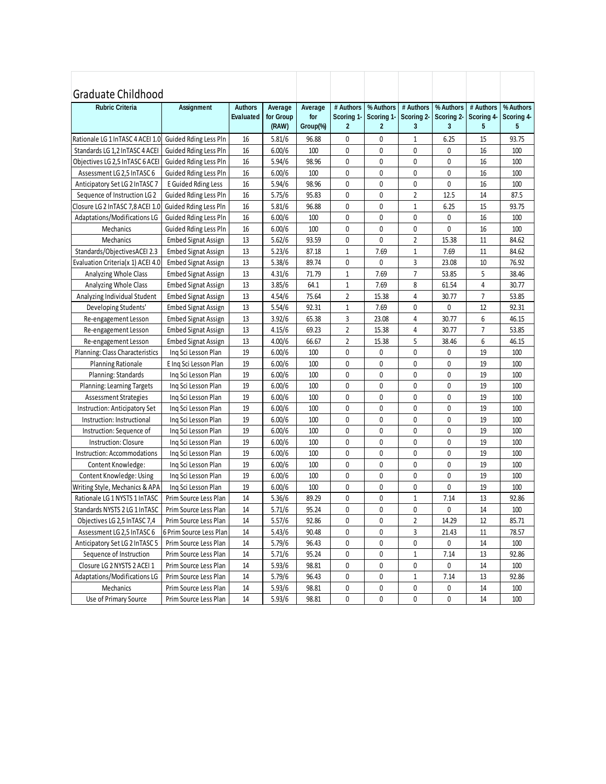| Graduate Childhood                |                                                |                |                    |                 |                            |                            |                 |                 |                 |                 |
|-----------------------------------|------------------------------------------------|----------------|--------------------|-----------------|----------------------------|----------------------------|-----------------|-----------------|-----------------|-----------------|
| <b>Rubric Criteria</b>            | <b>Assignment</b>                              | <b>Authors</b> | Average            | Average         | # Authors                  | % Authors                  | # Authors       | % Authors       | # Authors       | % Authors       |
|                                   |                                                | Evaluated      | for Group<br>(RAW) | for<br>Group(%) | Scoring 1-<br>$\mathbf{2}$ | Scoring 1-<br>$\mathbf{2}$ | Scoring 2-<br>3 | Scoring 2-<br>3 | Scoring 4-<br>5 | Scoring 4-<br>5 |
| Rationale LG 1 InTASC 4 ACEI 1.0  | Guided Rding Less Pln                          | 16             |                    | 96.88           | 0                          | 0                          | 1               | 6.25            | 15              | 93.75           |
| Standards LG 1,2 InTASC 4 ACEI    |                                                | 16             | 5.81/6<br>6.00/6   | 100             | 0                          | 0                          | 0               | 0               | 16              | 100             |
| Objectives LG 2,5 InTASC 6 ACEI   | Guided Rding Less Pln<br>Guided Rding Less Pln | 16             | 5.94/6             | 98.96           | 0                          | 0                          | 0               | $\mathbf{0}$    | 16              | 100             |
| Assessment LG 2,5 InTASC 6        | Guided Rding Less Pln                          | 16             | 6.00/6             | 100             | 0                          | 0                          | 0               | 0               | 16              | 100             |
| Anticipatory Set LG 2 In TASC 7   | E Guided Rding Less                            | 16             | 5.94/6             | 98.96           | 0                          | 0                          | 0               | 0               | 16              | 100             |
| Sequence of Instruction LG 2      | Guided Rding Less Pln                          | 16             | 5.75/6             | 95.83           | 0                          | 0                          | $\overline{2}$  | 12.5            | 14              | 87.5            |
| Closure LG 2 InTASC 7,8 ACEI 1.0  | Guided Rding Less Pln                          | 16             | 5.81/6             | 96.88           | 0                          | 0                          | $1\,$           | 6.25            | 15              | 93.75           |
| Adaptations/Modifications LG      | Guided Rding Less Pln                          | 16             | 6.00/6             | 100             | 0                          | 0                          | $\mathbf{0}$    | 0               | 16              | 100             |
| Mechanics                         | Guided Rding Less Pln                          | 16             | 6.00/6             | 100             | 0                          | 0                          | 0               | 0               | 16              | 100             |
| Mechanics                         | <b>Embed Signat Assign</b>                     | 13             | 5.62/6             | 93.59           | 0                          | 0                          | $\overline{2}$  | 15.38           | 11              | 84.62           |
| Standards/ObjectivesACEI 2.3      | <b>Embed Signat Assign</b>                     | 13             | 5.23/6             | 87.18           | 1                          | 7.69                       | 1               | 7.69            | 11              | 84.62           |
| Evaluation Criteria(x 1) ACEI 4.0 | <b>Embed Signat Assign</b>                     | 13             | 5.38/6             | 89.74           | 0                          | 0                          | 3               | 23.08           | 10              | 76.92           |
| Analyzing Whole Class             | <b>Embed Signat Assign</b>                     | 13             | 4.31/6             | 71.79           | $\mathbf{1}$               | 7.69                       | $\overline{7}$  | 53.85           | 5               | 38.46           |
| Analyzing Whole Class             | <b>Embed Signat Assign</b>                     | 13             | 3.85/6             | 64.1            | $\mathbf{1}$               | 7.69                       | 8               | 61.54           | 4               | 30.77           |
| Analyzing Individual Student      | <b>Embed Signat Assign</b>                     | 13             | 4.54/6             | 75.64           | $\overline{2}$             | 15.38                      | 4               | 30.77           | $\overline{7}$  | 53.85           |
| Developing Students'              | <b>Embed Signat Assign</b>                     | 13             | 5.54/6             | 92.31           | $\mathbf{1}$               | 7.69                       | 0               | 0               | 12              | 92.31           |
| Re-engagement Lesson              | <b>Embed Signat Assign</b>                     | 13             | 3.92/6             | 65.38           | 3                          | 23.08                      | 4               | 30.77           | 6               | 46.15           |
| Re-engagement Lesson              | <b>Embed Signat Assign</b>                     | 13             | 4.15/6             | 69.23           | 2                          | 15.38                      | 4               | 30.77           | 7               | 53.85           |
| Re-engagement Lesson              | <b>Embed Signat Assign</b>                     | 13             | 4.00/6             | 66.67           | $\overline{2}$             | 15.38                      | 5               | 38.46           | 6               | 46.15           |
| Planning: Class Characteristics   | Ing Sci Lesson Plan                            | 19             | 6.00/6             | 100             | 0                          | 0                          | 0               | 0               | 19              | 100             |
| <b>Planning Rationale</b>         | E Ing Sci Lesson Plan                          | 19             | 6.00/6             | 100             | 0                          | 0                          | 0               | 0               | 19              | 100             |
| Planning: Standards               | Ing Sci Lesson Plan                            | 19             | 6.00/6             | 100             | 0                          | 0                          | 0               | 0               | 19              | 100             |
| Planning: Learning Targets        | Ing Sci Lesson Plan                            | 19             | 6.00/6             | 100             | 0                          | 0                          | 0               | 0               | 19              | 100             |
| Assessment Strategies             | Ing Sci Lesson Plan                            | 19             | 6.00/6             | 100             | 0                          | 0                          | 0               | 0               | 19              | 100             |
| Instruction: Anticipatory Set     | Ing Sci Lesson Plan                            | 19             | 6.00/6             | 100             | $\mathbf{0}$               | 0                          | $\mathbf{0}$    | 0               | 19              | 100             |
| Instruction: Instructional        | Ing Sci Lesson Plan                            | 19             | 6.00/6             | 100             | 0                          | 0                          | $\mathbf{0}$    | 0               | 19              | 100             |
| Instruction: Sequence of          | Ing Sci Lesson Plan                            | 19             | 6.00/6             | 100             | 0                          | 0                          | 0               | 0               | 19              | 100             |
| <b>Instruction: Closure</b>       | Inq Sci Lesson Plan                            | 19             | 6.00/6             | 100             | 0                          | 0                          | 0               | 0               | 19              | 100             |
| Instruction: Accommodations       | Ing Sci Lesson Plan                            | 19             | 6.00/6             | 100             | 0                          | 0                          | 0               | 0               | 19              | 100             |
| Content Knowledge:                | Ing Sci Lesson Plan                            | 19             | 6.00/6             | 100             | 0                          | 0                          | 0               | 0               | 19              | 100             |
| Content Knowledge: Using          | Ing Sci Lesson Plan                            | 19             | 6.00/6             | 100             | 0                          | 0                          | 0               | 0               | 19              | 100             |
| Writing Style, Mechanics & APA    | Ing Sci Lesson Plan                            | 19             | 6.00/6             | 100             | 0                          | 0                          | 0               | 0               | 19              | 100             |
| Rationale LG 1 NYSTS 1 InTASC     | Prim Source Less Plan                          | 14             | 5.36/6             | 89.29           | 0                          | 0                          | $\mathbf{1}$    | 7.14            | 13              | 92.86           |
| Standards NYSTS 2 LG 1 InTASC     | Prim Source Less Plan                          | 14             | 5.71/6             | 95.24           | $\mathbf 0$                | 0                          | 0               | 0               | 14              | 100             |
| Objectives LG 2,5 InTASC 7,4      | Prim Source Less Plan                          | 14             | 5.57/6             | 92.86           | 0                          | 0                          | $\overline{2}$  | 14.29           | 12              | 85.71           |
| Assessment LG 2,5 InTASC 6        | 6 Prim Source Less Plan                        | 14             | 5.43/6             | 90.48           | 0                          | 0                          | 3               | 21.43           | 11              | 78.57           |
| Anticipatory Set LG 2 InTASC 5    | Prim Source Less Plan                          | 14             | 5.79/6             | 96.43           | 0                          | 0                          | 0               | 0               | 14              | 100             |
| Sequence of Instruction           | Prim Source Less Plan                          | 14             | 5.71/6             | 95.24           | 0                          | 0                          | $\mathbf{1}$    | 7.14            | 13              | 92.86           |
| Closure LG 2 NYSTS 2 ACEI 1       | Prim Source Less Plan                          | 14             | 5.93/6             | 98.81           | 0                          | 0                          | 0               | 0               | 14              | 100             |
| Adaptations/Modifications LG      | Prim Source Less Plan                          | 14             | 5.79/6             | 96.43           | 0                          | 0                          | $\mathbf{1}$    | 7.14            | 13              | 92.86           |
| Mechanics                         | Prim Source Less Plan                          | 14             | 5.93/6             | 98.81           | 0                          | 0                          | 0               | 0               | 14              | 100             |
| Use of Primary Source             | Prim Source Less Plan                          | 14             | 5.93/6             | 98.81           | 0                          | 0                          | 0               | 0               | 14              | 100             |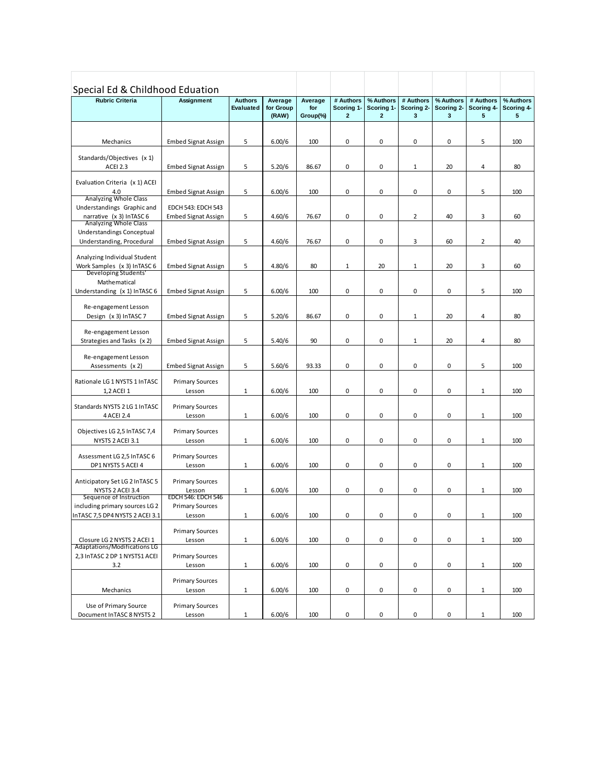| Special Ed & Childhood Eduation<br><b>Rubric Criteria</b>     | Assignment                          | <b>Authors</b>   | Average            | Average         | # Authors                  | % Authors                    | # Authors       | % Authors       | # Authors       | % Authors       |
|---------------------------------------------------------------|-------------------------------------|------------------|--------------------|-----------------|----------------------------|------------------------------|-----------------|-----------------|-----------------|-----------------|
|                                                               |                                     | <b>Evaluated</b> | for Group<br>(RAW) | for<br>Group(%) | Scoring 1-<br>$\mathbf{2}$ | Scoring 1-<br>$\overline{2}$ | Scoring 2-<br>3 | Scoring 2-<br>3 | Scoring 4-<br>5 | Scoring 4-<br>5 |
|                                                               |                                     |                  |                    |                 |                            |                              |                 |                 |                 |                 |
| Mechanics                                                     | <b>Embed Signat Assign</b>          | 5                | 6.00/6             | 100             | 0                          | 0                            | 0               | 0               | 5               | 100             |
| Standards/Objectives (x 1)                                    |                                     |                  |                    |                 |                            |                              |                 |                 |                 |                 |
| ACEI 2.3                                                      | <b>Embed Signat Assign</b>          | 5                | 5.20/6             | 86.67           | 0                          | 0                            | $\mathbf 1$     | 20              | 4               | 80              |
| Evaluation Criteria (x 1) ACEI                                |                                     |                  |                    |                 |                            |                              |                 |                 |                 |                 |
| 4.0                                                           | <b>Embed Signat Assign</b>          | 5                | 6.00/6             | 100             | 0                          | 0                            | 0               | 0               | 5               | 100             |
| Analyzing Whole Class<br>Understandings Graphic and           | <b>EDCH 543: EDCH 543</b>           |                  |                    |                 |                            |                              |                 |                 |                 |                 |
| narrative (x 3) InTASC 6                                      | <b>Embed Signat Assign</b>          | 5                | 4.60/6             | 76.67           | 0                          | 0                            | $\overline{2}$  | 40              | 3               | 60              |
| Analyzing Whole Class                                         |                                     |                  |                    |                 |                            |                              |                 |                 |                 |                 |
| Understandings Conceptual<br>Understanding, Procedural        | <b>Embed Signat Assign</b>          | 5                | 4.60/6             | 76.67           | 0                          | 0                            | 3               | 60              | $\overline{2}$  | 40              |
|                                                               |                                     |                  |                    |                 |                            |                              |                 |                 |                 |                 |
| Analyzing Individual Student<br>Work Samples (x 3) InTASC 6   | <b>Embed Signat Assign</b>          | 5                | 4.80/6             | 80              | $\mathbf 1$                | 20                           | $\mathbf 1$     | 20              | 3               | 60              |
| Developing Students'                                          |                                     |                  |                    |                 |                            |                              |                 |                 |                 |                 |
| Mathematical                                                  |                                     |                  |                    |                 |                            |                              |                 |                 |                 |                 |
| Understanding (x 1) InTASC 6                                  | <b>Embed Signat Assign</b>          | 5                | 6.00/6             | 100             | 0                          | 0                            | 0               | 0               | 5               | 100             |
| Re-engagement Lesson                                          |                                     |                  |                    |                 |                            |                              |                 |                 |                 |                 |
| Design (x 3) InTASC 7                                         | <b>Embed Signat Assign</b>          | 5                | 5.20/6             | 86.67           | 0                          | 0                            | $\mathbf 1$     | 20              | $\sqrt{4}$      | 80              |
| Re-engagement Lesson                                          |                                     |                  |                    |                 |                            |                              |                 |                 |                 |                 |
| Strategies and Tasks (x 2)                                    | <b>Embed Signat Assign</b>          | 5                | 5.40/6             | 90              | 0                          | 0                            | $1\,$           | 20              | 4               | 80              |
| Re-engagement Lesson                                          |                                     |                  |                    |                 |                            |                              |                 |                 |                 |                 |
| Assessments (x 2)                                             | <b>Embed Signat Assign</b>          | 5                | 5.60/6             | 93.33           | 0                          | 0                            | 0               | 0               | 5               | 100             |
| Rationale LG 1 NYSTS 1 InTASC                                 | <b>Primary Sources</b>              |                  |                    |                 |                            |                              |                 |                 |                 |                 |
| 1,2 ACEI 1                                                    | Lesson                              | $\mathbf{1}$     | 6.00/6             | 100             | 0                          | 0                            | 0               | 0               | $1\,$           | 100             |
| Standards NYSTS 2 LG 1 InTASC                                 |                                     |                  |                    |                 |                            |                              |                 |                 |                 |                 |
| 4 ACEI 2.4                                                    | <b>Primary Sources</b><br>Lesson    | $\mathbf{1}$     | 6.00/6             | 100             | 0                          | 0                            | 0               | $\pmb{0}$       | $1\,$           | 100             |
|                                                               |                                     |                  |                    |                 |                            |                              |                 |                 |                 |                 |
| Objectives LG 2,5 InTASC 7,4<br>NYSTS 2 ACEI 3.1              | <b>Primary Sources</b><br>Lesson    | $\mathbf{1}$     | 6.00/6             | 100             | 0                          | 0                            | 0               | 0               | $1\,$           | 100             |
|                                                               |                                     |                  |                    |                 |                            |                              |                 |                 |                 |                 |
| Assessment LG 2,5 InTASC 6                                    | <b>Primary Sources</b>              |                  |                    | 100             | 0                          | 0                            | 0               | 0               |                 |                 |
| DP1 NYSTS 5 ACEI 4                                            | Lesson                              | $\mathbf{1}$     | 6.00/6             |                 |                            |                              |                 |                 | $\,1\,$         | 100             |
| Anticipatory Set LG 2 In TASC 5                               | <b>Primary Sources</b>              |                  |                    |                 |                            |                              |                 |                 |                 |                 |
| NYSTS 2 ACEI 3.4<br>Sequence of Instruction                   | Lesson<br><b>EDCH 546: EDCH 546</b> | $\mathbf{1}$     | 6.00/6             | 100             | 0                          | 0                            | 0               | 0               | $\,1\,$         | 100             |
| including primary sources LG 2                                | <b>Primary Sources</b>              |                  |                    |                 |                            |                              |                 |                 |                 |                 |
| InTASC 7.5 DP4 NYSTS 2 ACEI 3.1                               | Lesson                              | 1                | 6.00/6             | 100             | 0                          | 0                            | 0               | 0               | 1               | 100             |
|                                                               | <b>Primary Sources</b>              |                  |                    |                 |                            |                              |                 |                 |                 |                 |
| Closure LG 2 NYSTS 2 ACEI 1                                   | Lesson                              | $\mathbf{1}$     | 6.00/6             | 100             | 0                          | 0                            | $\pmb{0}$       | 0               | $\mathbf{1}$    | 100             |
| Adaptations/Modifications LG<br>2,3 InTASC 2 DP 1 NYSTS1 ACEI | <b>Primary Sources</b>              |                  |                    |                 |                            |                              |                 |                 |                 |                 |
| 3.2                                                           | Lesson                              | $\mathbf{1}$     | 6.00/6             | 100             | 0                          | 0                            | $\pmb{0}$       | 0               | $\mathbf{1}$    | 100             |
|                                                               |                                     |                  |                    |                 |                            |                              |                 |                 |                 |                 |
| Mechanics                                                     | <b>Primary Sources</b><br>Lesson    | $\mathbf{1}$     | 6.00/6             | 100             | 0                          | 0                            | $\pmb{0}$       | 0               | $\mathbf{1}$    | 100             |
|                                                               |                                     |                  |                    |                 |                            |                              |                 |                 |                 |                 |
| Use of Primary Source<br>Document InTASC 8 NYSTS 2            | <b>Primary Sources</b><br>Lesson    | $\mathbf{1}$     | 6.00/6             | 100             | 0                          | 0                            | $\pmb{0}$       | $\pmb{0}$       | $\,1\,$         | 100             |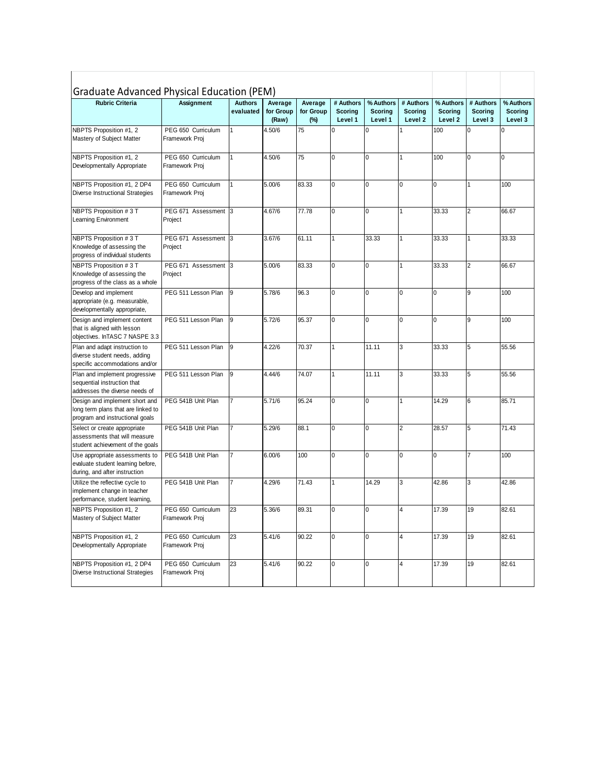| Graduate Advanced Physical Education (PEM)                                                              |                                      |                             |                               |                                |                                        |                                        |                                        |                                 |                                 |                                        |
|---------------------------------------------------------------------------------------------------------|--------------------------------------|-----------------------------|-------------------------------|--------------------------------|----------------------------------------|----------------------------------------|----------------------------------------|---------------------------------|---------------------------------|----------------------------------------|
| <b>Rubric Criteria</b>                                                                                  | <b>Assignment</b>                    | <b>Authors</b><br>evaluated | Average<br>for Group<br>(Raw) | Average<br>for Group<br>$(\%)$ | # Authors<br><b>Scoring</b><br>Level 1 | % Authors<br><b>Scoring</b><br>Level 1 | # Authors<br><b>Scoring</b><br>Level 2 | % Authors<br>Scoring<br>Level 2 | # Authors<br>Scoring<br>Level 3 | % Authors<br><b>Scoring</b><br>Level 3 |
| NBPTS Proposition #1, 2<br>Mastery of Subject Matter                                                    | PEG 650 Curriculum<br>Framework Proj | 1                           | 4.50/6                        | $\overline{75}$                | $\overline{0}$                         | $\Omega$                               |                                        | 100                             | U                               | $\overline{0}$                         |
| NBPTS Proposition #1, 2<br>Developmentally Appropriate                                                  | PEG 650 Curriculum<br>Framework Proj | 1                           | 4.50/6                        | 75                             | 0                                      | $\Omega$                               | $\overline{1}$                         | 100                             | $\overline{0}$                  | $\Omega$                               |
| NBPTS Proposition #1, 2 DP4<br>Diverse Instructional Strategies                                         | PEG 650 Curriculum<br>Framework Proj | 1                           | 5.00/6                        | 83.33                          | 0                                      | 0                                      | 0                                      | 0                               | $\mathbf{1}$                    | 100                                    |
| NBPTS Proposition #3 T<br>Learning Environment                                                          | PEG 671 Assessment 3<br>Project      |                             | 4.67/6                        | 77.78                          | 0                                      | 0                                      | 1                                      | 33.33                           | $\overline{2}$                  | 66.67                                  |
| NBPTS Proposition #3 T<br>Knowledge of assessing the<br>progress of individual students                 | PEG 671 Assessment 3<br>Project      |                             | 3.67/6                        | 61.11                          | 1                                      | 33.33                                  | 1                                      | 33.33                           | $\mathbf{1}$                    | 33.33                                  |
| NBPTS Proposition #3 T<br>Knowledge of assessing the<br>progress of the class as a whole                | PEG 671 Assessment 3<br>Project      |                             | 5.00/6                        | 83.33                          | $\overline{0}$                         | $\Omega$                               | 1                                      | 33.33                           | $\overline{2}$                  | 66.67                                  |
| Develop and implement<br>appropriate (e.g. measurable,<br>developmentally appropriate,                  | PEG 511 Lesson Plan                  | 9                           | 5.78/6                        | 96.3                           | $\mathbf 0$                            | $\mathbf 0$                            | 0                                      | 0                               | 9                               | 100                                    |
| Design and implement content<br>that is aligned with lesson<br>objectives. InTASC 7 NASPE 3.3           | PEG 511 Lesson Plan                  | 9                           | 5.72/6                        | 95.37                          | 0                                      | 0                                      | 0                                      | 0                               | 9                               | 100                                    |
| Plan and adapt instruction to<br>diverse student needs, adding<br>specific accommodations and/or        | PEG 511 Lesson Plan                  | 9                           | 4.22/6                        | 70.37                          | 1                                      | 11.11                                  | 3                                      | 33.33                           | 5                               | 55.56                                  |
| Plan and implement progressive<br>sequential instruction that<br>addresses the diverse needs of         | PEG 511 Lesson Plan                  | 9                           | 4.44/6                        | 74.07                          | 1                                      | 11.11                                  | 3                                      | 33.33                           | 5                               | 55.56                                  |
| Design and implement short and<br>long term plans that are linked to<br>program and instructional goals | PEG 541B Unit Plan                   |                             | 5.71/6                        | 95.24                          | $\mathbf 0$                            | 0                                      | 1                                      | 14.29                           | 6                               | 85.71                                  |
| Select or create appropriate<br>assessments that will measure<br>student achievement of the goals       | PEG 541B Unit Plan                   |                             | 5.29/6                        | 88.1                           | $\mathbf 0$                            | 0                                      | $\overline{2}$                         | 28.57                           | 5                               | 71.43                                  |
| Use appropriate assessments to<br>evaluate student learning before,<br>during, and after instruction    | PEG 541B Unit Plan                   |                             | 6.00/6                        | 100                            | 0                                      | 0                                      | 0                                      | 0                               | $\overline{7}$                  | 100                                    |
| Utilize the reflective cycle to<br>implement change in teacher<br>performance, student learning,        | PEG 541B Unit Plan                   |                             | 4.29/6                        | 71.43                          | $\mathbf{1}$                           | 14.29                                  | 3                                      | 42.86                           | 3                               | 42.86                                  |
| NBPTS Proposition #1, 2<br>Mastery of Subject Matter                                                    | PEG 650 Curriculum<br>Framework Proj | 23                          | 5.36/6                        | 89.31                          | 0                                      | 0                                      | 4                                      | 17.39                           | 19                              | 82.61                                  |
| NBPTS Proposition #1, 2<br>Developmentally Appropriate                                                  | PEG 650 Curriculum<br>Framework Proj | 23                          | 5.41/6                        | 90.22                          | 0                                      | $\Omega$                               | 4                                      | 17.39                           | 19                              | 82.61                                  |
| NBPTS Proposition #1, 2 DP4<br><b>Diverse Instructional Strategies</b>                                  | PEG 650 Curriculum<br>Framework Proj | 23                          | 5.41/6                        | 90.22                          | $\mathbf 0$                            | 0                                      | 4                                      | 17.39                           | 19                              | 82.61                                  |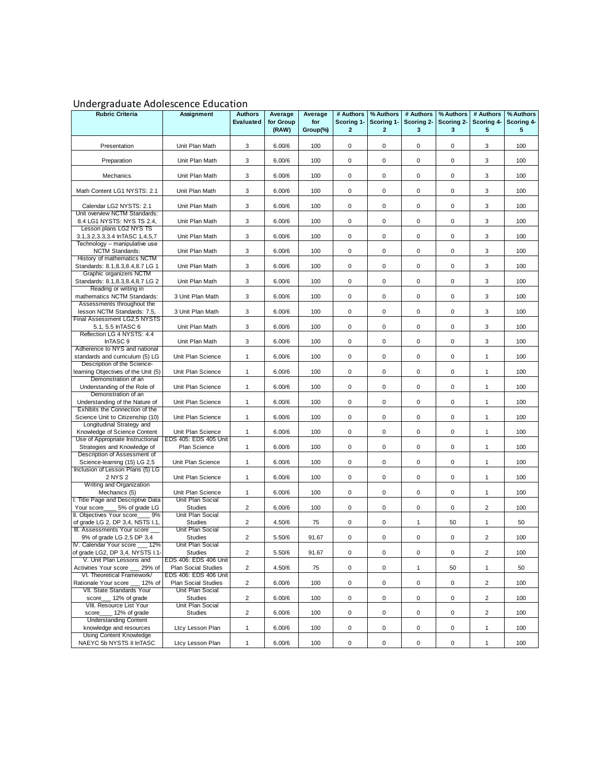## Undergraduate Adolescence Education

| <b>Rubric Criteria</b>                                                                    | Assignment                                          | <b>Authors</b><br><b>Evaluated</b>        | Average<br>for Group<br>(RAW) | Average<br>for<br>Group(%) | # Authors<br>Scoring 1-<br>$\mathbf{2}$ | % Authors<br>Scoring 1-<br>$\overline{2}$ | # Authors<br>Scoring 2-<br>3 | % Authors<br>Scoring 2-<br>3 | # Authors<br>Scoring 4-<br>5                       | % Authors<br>Scoring 4-<br>5 |
|-------------------------------------------------------------------------------------------|-----------------------------------------------------|-------------------------------------------|-------------------------------|----------------------------|-----------------------------------------|-------------------------------------------|------------------------------|------------------------------|----------------------------------------------------|------------------------------|
| Presentation                                                                              | Unit Plan Math                                      | 3                                         | 6.00/6                        | 100                        | 0                                       | 0                                         | 0                            | 0                            | 3                                                  | 100                          |
| Preparation                                                                               | Unit Plan Math                                      | 3                                         | 6.00/6                        | 100                        | 0                                       | 0                                         | 0                            | 0                            | 3                                                  | 100                          |
| Mechanics                                                                                 | Unit Plan Math                                      | 3                                         | 6.00/6                        | 100                        | 0                                       | 0                                         | $\mathbf 0$                  | 0                            | 3                                                  | 100                          |
| Math Content LG1 NYSTS: 2.1                                                               | Unit Plan Math                                      | 3                                         | 6.00/6                        | 100                        | 0                                       | 0                                         | 0                            | 0                            | 3                                                  | 100                          |
| Calendar LG2 NYSTS: 2.1<br>Unit overview NCTM Standards:                                  | Unit Plan Math                                      | 3                                         | 6.00/6                        | 100                        | 0                                       | 0                                         | $\mathbf 0$                  | 0                            | 3                                                  | 100                          |
| 8.4 LG1 NYSTS: NYS TS 2.4,<br>Lesson plans LG2 NYS TS                                     | Unit Plan Math                                      | 3                                         | 6.00/6                        | 100                        | 0                                       | 0                                         | $\mathbf 0$                  | 0                            | 3                                                  | 100                          |
| 3.1, 3.2, 3.3, 3.4 In TASC 1, 4, 5, 7                                                     | Unit Plan Math                                      | 3                                         | 6.00/6                        | 100                        | 0                                       | 0                                         | 0                            | 0                            | 3                                                  | 100                          |
| Technology - manipulative use<br>NCTM Standards:                                          | Unit Plan Math                                      | 3                                         | 6.00/6                        | 100                        | $\mathbf 0$                             | 0                                         | 0                            | 0                            | 3                                                  | 100                          |
| History of mathematics NCTM<br>Standards: 8.1, 8.3, 8.4, 8.7 LG 1                         | Unit Plan Math                                      | 3                                         | 6.00/6                        | 100                        | $\mathbf 0$                             | 0                                         | $\mathbf 0$                  | 0                            | 3                                                  | 100                          |
| Graphic organizers NCTM<br>Standards: 8.1, 8.3, 8.4, 8.7 LG 2                             | Unit Plan Math                                      | 3                                         | 6.00/6                        | 100                        | $\mathbf 0$                             | 0                                         | $\mathbf 0$                  | 0                            | 3                                                  | 100                          |
| Reading or writing in<br>mathematics NCTM Standards:                                      | 3 Unit Plan Math                                    | 3                                         | 6.00/6                        | 100                        | 0                                       | 0                                         | 0                            | 0                            | 3                                                  | 100                          |
| Assessments throughout the<br>lesson NCTM Standards: 7.5,<br>Final Assessment LG2,5 NYSTS | 3 Unit Plan Math                                    | 3                                         | 6.00/6                        | 100                        | 0                                       | 0                                         | $\mathbf 0$                  | 0                            | 3                                                  | 100                          |
| 5.1, 5.5 In TASC 6                                                                        | Unit Plan Math                                      | 3                                         | 6.00/6                        | 100                        | 0                                       | 0                                         | 0                            | 0                            | 3                                                  | 100                          |
| Reflection LG 4 NYSTS: 4.4<br>InTASC <sub>9</sub>                                         | Unit Plan Math                                      | 3                                         | 6.00/6                        | 100                        | $\mathbf 0$                             | 0                                         | $\mathbf 0$                  | 0                            | 3                                                  | 100                          |
| Adherence to NYS and national<br>standards and curriculum (5) LG                          | Unit Plan Science                                   | $\mathbf{1}$                              | 6.00/6                        | 100                        | 0                                       | 0                                         | 0                            | 0                            | $\mathbf{1}$                                       | 100                          |
| Description of the Science-<br>learning Objectives of the Unit (5)                        | Unit Plan Science                                   | $\mathbf{1}$                              | 6.00/6                        | 100                        | 0                                       | 0                                         | $\mathbf 0$                  | 0                            | $\mathbf{1}$                                       | 100                          |
| Demonstration of an<br>Understanding of the Role of                                       | Unit Plan Science                                   | $\mathbf{1}$                              | 6.00/6                        | 100                        | 0                                       | 0                                         | 0                            | 0                            | $\mathbf{1}$                                       | 100                          |
| Demonstration of an<br>Understanding of the Nature of                                     | Unit Plan Science                                   | $\mathbf{1}$                              | 6.00/6                        | 100                        | 0                                       | 0                                         | 0                            | 0                            | $\mathbf{1}$                                       | 100                          |
| Exhibits the Connection of the<br>Science Unit to Citizenship (10)                        | Unit Plan Science                                   | $\mathbf{1}$                              | 6.00/6                        | 100                        | 0                                       | 0                                         | 0                            | 0                            | $\mathbf{1}$                                       | 100                          |
| Longitudinal Strategy and<br>Knowledge of Science Content                                 | Unit Plan Science                                   | $\mathbf{1}$                              | 6.00/6                        | 100                        | 0                                       | 0                                         | $\mathbf 0$                  | 0                            | $\mathbf{1}$                                       | 100                          |
| Use of Appropriate Instructional<br>Strategies and Knowledge of                           | EDS 405: EDS 405 Unit<br>Plan Science               | $\mathbf{1}$                              | 6.00/6                        | 100                        | $\mathbf 0$                             | 0                                         | $\mathbf 0$                  | 0                            | $\mathbf{1}$                                       | 100                          |
| Description of Assessment of<br>Science-learning (15) LG 2,5                              | Unit Plan Science                                   | $\mathbf{1}$                              | 6.00/6                        | 100                        | 0                                       | 0                                         | 0                            | 0                            | $\mathbf{1}$                                       | 100                          |
| Inclusion of Lesson Plans (5) LG<br>2 NYS 2                                               | Unit Plan Science                                   | $\mathbf{1}$                              | 6.00/6                        | 100                        | 0                                       | 0                                         | 0                            | 0                            | $\mathbf{1}$                                       | 100                          |
| Writing and Organization<br>Mechanics (5)                                                 | Unit Plan Science                                   | $\mathbf{1}$                              | 6.00/6                        | 100                        | 0                                       | 0                                         | 0                            | 0                            | $\mathbf{1}$                                       | 100                          |
| I. Title Page and Descriptive Data<br>5% of grade LG<br>Your score                        | Unit Plan Social<br><b>Studies</b>                  | $\overline{2}$                            | 6.00/6                        | 100                        | $\mathbf 0$                             | 0                                         | $\mathbf 0$                  | 0                            | $\overline{2}$                                     | 100                          |
| II. Objectives Your score<br>9%<br>of grade LG 2, DP 3,4, NSTS I.1,                       | Unit Plan Social<br><b>Studies</b>                  | $\overline{2}$                            | 4.50/6                        | 75                         | 0                                       | 0                                         | $\mathbf{1}$                 | 50                           | $\mathbf{1}$                                       | 50                           |
| III. Assessments Your score<br>9% of grade LG 2,5 DP 3,4                                  | Unit Plan Social<br><b>Studies</b>                  | $\overline{2}$                            | 5.50/6                        | 91.67                      | 0                                       | 0                                         | 0                            | 0                            | $\overline{2}$                                     | 100                          |
| IV. Calendar Your score __ 12%<br>of grade LG2, DP 3,4, NYSTS I.1-                        | Unit Plan Social<br>Studies                         | $\overline{\mathbf{c}}$                   | 5.50/6                        | 91.67                      | 0                                       | 0                                         | 0                            | 0                            | $\overline{\mathbf{c}}$                            | 100                          |
| V. Unit Plan Lessons and<br>Activities Your score<br>29% of                               | EDS 406: EDS 406 Unit<br>Plan Social Studies        | $\overline{c}$                            | 4.50/6                        | 75                         | 0                                       | 0                                         | $\mathbf{1}$                 | 50                           | $\mathbf{1}$                                       | 50                           |
| VI. Theoretical Framework/<br>Rationale Your score __ 12% of                              | EDS 406: EDS 406 Unit<br><b>Plan Social Studies</b> | $\overline{a}$                            | 6.00/6                        | 100                        | 0                                       | 0                                         | $\pmb{0}$                    | 0                            | $\overline{\mathbf{c}}$                            | 100                          |
| VII. State Standards Your<br>score 12% of grade                                           | Unit Plan Social<br><b>Studies</b>                  |                                           | 6.00/6                        |                            | 0                                       | 0                                         | 0                            | 0                            |                                                    | 100                          |
| VIII. Resource List Your<br>score 12% of grade                                            | Unit Plan Social<br><b>Studies</b>                  | $\overline{\mathbf{c}}$<br>$\overline{2}$ | 6.00/6                        | 100<br>100                 | 0                                       | 0                                         | 0                            | 0                            | $\overline{\mathbf{c}}$<br>$\overline{\mathbf{c}}$ | 100                          |
| <b>Understanding Content</b><br>knowledge and resources                                   | Ltcy Lesson Plan                                    |                                           |                               |                            |                                         |                                           |                              |                              |                                                    | 100                          |
| <b>Using Content Knowledge</b>                                                            |                                                     | $\mathbf{1}$                              | 6.00/6                        | 100                        | 0                                       | 0                                         | 0                            | 0                            | $\mathbf{1}$                                       |                              |
| NAEYC 5b NYSTS II InTASC                                                                  | Ltcy Lesson Plan                                    | $\mathbf{1}$                              | 6.00/6                        | 100                        | 0                                       | 0                                         | $\mathsf{O}\xspace$          | 0                            | $\mathbf{1}$                                       | 100                          |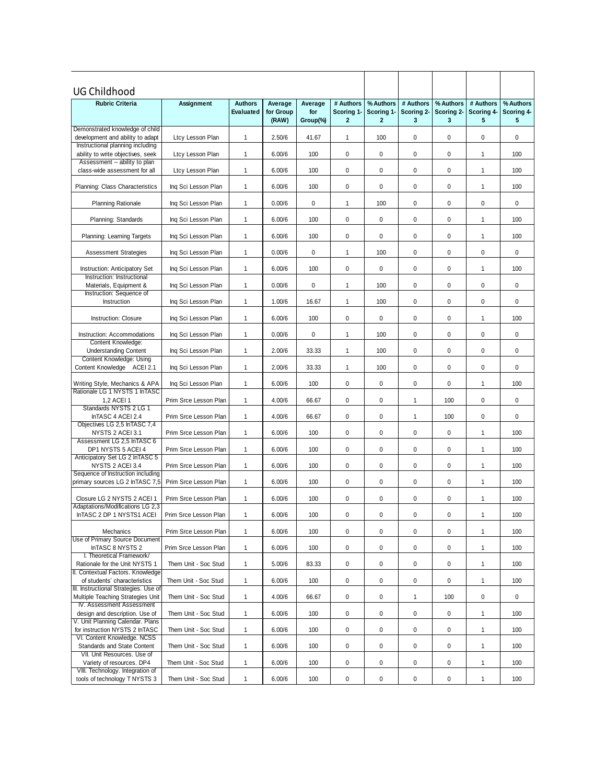| <b>Rubric Criteria</b><br>Assignment<br><b>Authors</b><br>Average<br># Authors<br>% Authors<br># Authors<br>% Authors<br># Authors<br>% Authors<br>Average<br>for Group<br>Scoring 1-<br>Scoring 1-<br>Scoring 2-<br>Scoring 2-<br>Scoring 4-<br>Scoring 4-<br>Evaluated<br>for<br>5<br>(RAW)<br>Group(%)<br>$\mathbf{2}$<br>$\overline{2}$<br>3<br>3<br>5<br>Demonstrated knowledge of child<br>0<br>0<br>0<br>$\mathbf 0$<br>development and ability to adapt<br>Ltcy Lesson Plan<br>1<br>2.50/6<br>41.67<br>1<br>100<br>Instructional planning including<br>$\mathbf 0$<br>0<br>$\mathbf{1}$<br>6.00/6<br>100<br>$\mathbf 0$<br>0<br>100<br>ability to write objectives, seek<br>Ltcy Lesson Plan<br>1<br>Assessment -- ability to plan<br>$\mathbf{1}$<br>100<br>0<br>0<br>0<br>0<br>class-wide assessment for all<br>Ltcy Lesson Plan<br>6.00/6<br>1<br>100<br>$\mathbf{1}$<br>0<br>0<br>0<br>0<br>Planning: Class Characteristics<br>Ing Sci Lesson Plan<br>6.00/6<br>100<br>1<br>100<br>0<br>$\mathbf{1}$<br>0<br>1<br>0<br>0<br>0<br><b>Planning Rationale</b><br>Ing Sci Lesson Plan<br>0.00/6<br>100<br>$\mathbf 0$<br>0<br>100<br>0<br>0<br>100<br>Planning: Standards<br>Ing Sci Lesson Plan<br>1<br>6.00/6<br>1<br>$\mathbf 0$<br>Ing Sci Lesson Plan<br>$\mathbf{1}$<br>100<br>0<br>0<br>0<br>100<br>Planning: Learning Targets<br>6.00/6<br>1<br>$\pmb{0}$<br>0<br>$\mathbf 0$<br>$\mathbf{1}$<br>0<br>$\mathbf 0$<br><b>Assessment Strategies</b><br>Ing Sci Lesson Plan<br>$\mathbf{1}$<br>0.00/6<br>100<br>$\mathbf{1}$<br>6.00/6<br>100<br>0<br>0<br>0<br>0<br>$\mathbf{1}$<br>100<br>Ing Sci Lesson Plan<br><b>Instruction: Anticipatory Set</b><br>Instruction: Instructional<br>0<br>$\mathbf{1}$<br>0.00/6<br>0<br>$\mathbf{1}$<br>100<br>0<br>0<br>$\mathbf 0$<br>Materials, Equipment &<br>Ing Sci Lesson Plan<br>Instruction: Sequence of<br>$\mathbf{1}$<br>1.00/6<br>16.67<br>$\mathbf{1}$<br>0<br>0<br>0<br>0<br>Instruction<br>Ing Sci Lesson Plan<br>100<br>$\mathbf{1}$<br>6.00/6<br>100<br>0<br>0<br>0<br>0<br>100<br>Instruction: Closure<br>Ing Sci Lesson Plan<br>1<br>$\mathbf{1}$<br>0.00/6<br>0<br>1<br>0<br>0<br>0<br>0<br>Instruction: Accommodations<br>Ing Sci Lesson Plan<br>100<br>Content Knowledge:<br>$\mathbf{1}$<br>$\mathbf{1}$<br>100<br>0<br>0<br>0<br>0<br><b>Understanding Content</b><br>Ing Sci Lesson Plan<br>2.00/6<br>33.33<br>Content Knowledge: Using<br>0<br>Content Knowledge ACEI 2.1<br>$\mathbf{1}$<br>2.00/6<br>33.33<br>$\mathbf{1}$<br>100<br>0<br>0<br>0<br>Ing Sci Lesson Plan<br>Ing Sci Lesson Plan<br>$\mathbf{1}$<br>6.00/6<br>100<br>0<br>0<br>0<br>0<br>100<br>Writing Style, Mechanics & APA<br>1<br>Rationale LG 1 NYSTS 1 InTASC<br>$\mathbf{1}$<br>4.00/6<br>0<br>0<br>$\mathbf{1}$<br>100<br>0<br>0<br>1,2 ACEI 1<br>Prim Srce Lesson Plan<br>66.67<br>Standards NYSTS 2 LG 1<br>InTASC 4 ACEI 2.4<br>$\mathbf{1}$<br>4.00/6<br>66.67<br>0<br>0<br>$\mathbf{1}$<br>100<br>0<br>0<br>Prim Srce Lesson Plan<br>Objectives LG 2,5 InTASC 7,4<br>$\mathbf 0$<br>0<br>NYSTS 2 ACEI 3.1<br>$\mathbf{1}$<br>6.00/6<br>100<br>0<br>0<br>100<br>Prim Srce Lesson Plan<br>1<br>Assessment LG 2,5 InTASC 6<br>DP1 NYSTS 5 ACEI 4<br>$\mathbf{1}$<br>100<br>0<br>0<br>0<br>0<br>Prim Srce Lesson Plan<br>6.00/6<br>1<br>100<br>Anticipatory Set LG 2 In TASC 5<br>0<br>NYSTS 2 ACEI 3.4<br>$\mathbf{1}$<br>100<br>0<br>0<br>0<br>$\mathbf{1}$<br>Prim Srce Lesson Plan<br>6.00/6<br>100<br>Sequence of Instruction including<br>$\mathbf{1}$<br>100<br>$\mathbf 0$<br>0<br>0<br>0<br>$\mathbf{1}$<br>primary sources LG 2 InTASC 7,5<br>Prim Srce Lesson Plan<br>6.00/6<br>100<br>0<br>6.00/6<br>100<br>0<br>0<br>0<br>100<br>Closure LG 2 NYSTS 2 ACEI 1<br>Prim Srce Lesson Plan<br>1<br>1<br>Adaptations/Modifications LG 2,3<br>InTASC 2 DP 1 NYSTS1 ACEI<br>6.00/6<br>100<br>100<br>Prim Srce Lesson Plan<br>$\mathbf{1}$<br>0<br>0<br>0<br>0<br>1<br>0<br>0<br>6.00/6<br>0<br>0<br>100<br>Mechanics<br>Prim Srce Lesson Plan<br>$\mathbf{1}$<br>100<br>1<br>$\mathbf{1}$<br>$\pmb{0}$<br>0<br>0<br>100<br>0<br>$\mathbf{1}$<br>100<br>InTASC 8 NYSTS 2<br>Prim Srce Lesson Plan<br>6.00/6<br>I. Theoretical Framework/<br>$\pmb{0}$<br>0<br>0<br>0<br>Rationale for the Unit NYSTS 1<br>Them Unit - Soc Stud<br>$\mathbf{1}$<br>5.00/6<br>83.33<br>100<br>$\mathbf{1}$<br>Them Unit - Soc Stud<br>$\mathbf{1}$<br>0<br>0<br>0<br>0<br>of students' characteristics<br>6.00/6<br>100<br>$\mathbf{1}$<br>100<br>III. Instructional Strategies. Use of<br>Multiple Teaching Strategies Unit<br>Them Unit - Soc Stud<br>$\mathbf{1}$<br>4.00/6<br>$\pmb{0}$<br>0<br>100<br>$\mathbf 0$<br>0<br>66.67<br>1<br>IV. Assessment Assessment<br>design and description. Use of<br>Them Unit - Soc Stud<br>$\mathbf{1}$<br>6.00/6<br>0<br>0<br>0<br>0<br>$\mathbf{1}$<br>100<br>100<br>V. Unit Planning Calendar. Plans<br>for instruction NYSTS 2 InTASC<br>Them Unit - Soc Stud<br>$\mathbf{1}$<br>6.00/6<br>100<br>0<br>0<br>0<br>0<br>100<br>1<br>VI. Content Knowledge. NCSS<br>$\mathbf{1}$<br>$\pmb{0}$<br>$\pmb{0}$<br>Standards and State Content<br>Them Unit - Soc Stud<br>6.00/6<br>100<br>0<br>0<br>$\mathbf{1}$<br>100<br>VII. Unit Resources. Use of<br>Variety of resources. DP4<br>Them Unit - Soc Stud<br>$\mathbf{1}$<br>6.00/6<br>100<br>0<br>0<br>0<br>0<br>$\mathbf{1}$<br>100<br>VIII. Technology. Integration of | UG Childhood                      |  |  |  |  |  |
|------------------------------------------------------------------------------------------------------------------------------------------------------------------------------------------------------------------------------------------------------------------------------------------------------------------------------------------------------------------------------------------------------------------------------------------------------------------------------------------------------------------------------------------------------------------------------------------------------------------------------------------------------------------------------------------------------------------------------------------------------------------------------------------------------------------------------------------------------------------------------------------------------------------------------------------------------------------------------------------------------------------------------------------------------------------------------------------------------------------------------------------------------------------------------------------------------------------------------------------------------------------------------------------------------------------------------------------------------------------------------------------------------------------------------------------------------------------------------------------------------------------------------------------------------------------------------------------------------------------------------------------------------------------------------------------------------------------------------------------------------------------------------------------------------------------------------------------------------------------------------------------------------------------------------------------------------------------------------------------------------------------------------------------------------------------------------------------------------------------------------------------------------------------------------------------------------------------------------------------------------------------------------------------------------------------------------------------------------------------------------------------------------------------------------------------------------------------------------------------------------------------------------------------------------------------------------------------------------------------------------------------------------------------------------------------------------------------------------------------------------------------------------------------------------------------------------------------------------------------------------------------------------------------------------------------------------------------------------------------------------------------------------------------------------------------------------------------------------------------------------------------------------------------------------------------------------------------------------------------------------------------------------------------------------------------------------------------------------------------------------------------------------------------------------------------------------------------------------------------------------------------------------------------------------------------------------------------------------------------------------------------------------------------------------------------------------------------------------------------------------------------------------------------------------------------------------------------------------------------------------------------------------------------------------------------------------------------------------------------------------------------------------------------------------------------------------------------------------------------------------------------------------------------------------------------------------------------------------------------------------------------------------------------------------------------------------------------------------------------------------------------------------------------------------------------------------------------------------------------------------------------------------------------------------------------------------------------------------------------------------------------------------------------------------------------------------------------------------------------------------------------------------------------------------------------------------------------------------------------------------------------------------------------------------------------------------------------------------------------------------------------------------------------------------------------------------------------------------------------------------------------------------------------------------------------------------------------------------------------------------------------------------------------------------------------------------------------------------------------------------------------------------------|-----------------------------------|--|--|--|--|--|
|                                                                                                                                                                                                                                                                                                                                                                                                                                                                                                                                                                                                                                                                                                                                                                                                                                                                                                                                                                                                                                                                                                                                                                                                                                                                                                                                                                                                                                                                                                                                                                                                                                                                                                                                                                                                                                                                                                                                                                                                                                                                                                                                                                                                                                                                                                                                                                                                                                                                                                                                                                                                                                                                                                                                                                                                                                                                                                                                                                                                                                                                                                                                                                                                                                                                                                                                                                                                                                                                                                                                                                                                                                                                                                                                                                                                                                                                                                                                                                                                                                                                                                                                                                                                                                                                                                                                                                                                                                                                                                                                                                                                                                                                                                                                                                                                                                                                                                                                                                                                                                                                                                                                                                                                                                                                                                                                                                                                            |                                   |  |  |  |  |  |
|                                                                                                                                                                                                                                                                                                                                                                                                                                                                                                                                                                                                                                                                                                                                                                                                                                                                                                                                                                                                                                                                                                                                                                                                                                                                                                                                                                                                                                                                                                                                                                                                                                                                                                                                                                                                                                                                                                                                                                                                                                                                                                                                                                                                                                                                                                                                                                                                                                                                                                                                                                                                                                                                                                                                                                                                                                                                                                                                                                                                                                                                                                                                                                                                                                                                                                                                                                                                                                                                                                                                                                                                                                                                                                                                                                                                                                                                                                                                                                                                                                                                                                                                                                                                                                                                                                                                                                                                                                                                                                                                                                                                                                                                                                                                                                                                                                                                                                                                                                                                                                                                                                                                                                                                                                                                                                                                                                                                            |                                   |  |  |  |  |  |
|                                                                                                                                                                                                                                                                                                                                                                                                                                                                                                                                                                                                                                                                                                                                                                                                                                                                                                                                                                                                                                                                                                                                                                                                                                                                                                                                                                                                                                                                                                                                                                                                                                                                                                                                                                                                                                                                                                                                                                                                                                                                                                                                                                                                                                                                                                                                                                                                                                                                                                                                                                                                                                                                                                                                                                                                                                                                                                                                                                                                                                                                                                                                                                                                                                                                                                                                                                                                                                                                                                                                                                                                                                                                                                                                                                                                                                                                                                                                                                                                                                                                                                                                                                                                                                                                                                                                                                                                                                                                                                                                                                                                                                                                                                                                                                                                                                                                                                                                                                                                                                                                                                                                                                                                                                                                                                                                                                                                            |                                   |  |  |  |  |  |
|                                                                                                                                                                                                                                                                                                                                                                                                                                                                                                                                                                                                                                                                                                                                                                                                                                                                                                                                                                                                                                                                                                                                                                                                                                                                                                                                                                                                                                                                                                                                                                                                                                                                                                                                                                                                                                                                                                                                                                                                                                                                                                                                                                                                                                                                                                                                                                                                                                                                                                                                                                                                                                                                                                                                                                                                                                                                                                                                                                                                                                                                                                                                                                                                                                                                                                                                                                                                                                                                                                                                                                                                                                                                                                                                                                                                                                                                                                                                                                                                                                                                                                                                                                                                                                                                                                                                                                                                                                                                                                                                                                                                                                                                                                                                                                                                                                                                                                                                                                                                                                                                                                                                                                                                                                                                                                                                                                                                            |                                   |  |  |  |  |  |
|                                                                                                                                                                                                                                                                                                                                                                                                                                                                                                                                                                                                                                                                                                                                                                                                                                                                                                                                                                                                                                                                                                                                                                                                                                                                                                                                                                                                                                                                                                                                                                                                                                                                                                                                                                                                                                                                                                                                                                                                                                                                                                                                                                                                                                                                                                                                                                                                                                                                                                                                                                                                                                                                                                                                                                                                                                                                                                                                                                                                                                                                                                                                                                                                                                                                                                                                                                                                                                                                                                                                                                                                                                                                                                                                                                                                                                                                                                                                                                                                                                                                                                                                                                                                                                                                                                                                                                                                                                                                                                                                                                                                                                                                                                                                                                                                                                                                                                                                                                                                                                                                                                                                                                                                                                                                                                                                                                                                            |                                   |  |  |  |  |  |
|                                                                                                                                                                                                                                                                                                                                                                                                                                                                                                                                                                                                                                                                                                                                                                                                                                                                                                                                                                                                                                                                                                                                                                                                                                                                                                                                                                                                                                                                                                                                                                                                                                                                                                                                                                                                                                                                                                                                                                                                                                                                                                                                                                                                                                                                                                                                                                                                                                                                                                                                                                                                                                                                                                                                                                                                                                                                                                                                                                                                                                                                                                                                                                                                                                                                                                                                                                                                                                                                                                                                                                                                                                                                                                                                                                                                                                                                                                                                                                                                                                                                                                                                                                                                                                                                                                                                                                                                                                                                                                                                                                                                                                                                                                                                                                                                                                                                                                                                                                                                                                                                                                                                                                                                                                                                                                                                                                                                            |                                   |  |  |  |  |  |
|                                                                                                                                                                                                                                                                                                                                                                                                                                                                                                                                                                                                                                                                                                                                                                                                                                                                                                                                                                                                                                                                                                                                                                                                                                                                                                                                                                                                                                                                                                                                                                                                                                                                                                                                                                                                                                                                                                                                                                                                                                                                                                                                                                                                                                                                                                                                                                                                                                                                                                                                                                                                                                                                                                                                                                                                                                                                                                                                                                                                                                                                                                                                                                                                                                                                                                                                                                                                                                                                                                                                                                                                                                                                                                                                                                                                                                                                                                                                                                                                                                                                                                                                                                                                                                                                                                                                                                                                                                                                                                                                                                                                                                                                                                                                                                                                                                                                                                                                                                                                                                                                                                                                                                                                                                                                                                                                                                                                            |                                   |  |  |  |  |  |
|                                                                                                                                                                                                                                                                                                                                                                                                                                                                                                                                                                                                                                                                                                                                                                                                                                                                                                                                                                                                                                                                                                                                                                                                                                                                                                                                                                                                                                                                                                                                                                                                                                                                                                                                                                                                                                                                                                                                                                                                                                                                                                                                                                                                                                                                                                                                                                                                                                                                                                                                                                                                                                                                                                                                                                                                                                                                                                                                                                                                                                                                                                                                                                                                                                                                                                                                                                                                                                                                                                                                                                                                                                                                                                                                                                                                                                                                                                                                                                                                                                                                                                                                                                                                                                                                                                                                                                                                                                                                                                                                                                                                                                                                                                                                                                                                                                                                                                                                                                                                                                                                                                                                                                                                                                                                                                                                                                                                            |                                   |  |  |  |  |  |
|                                                                                                                                                                                                                                                                                                                                                                                                                                                                                                                                                                                                                                                                                                                                                                                                                                                                                                                                                                                                                                                                                                                                                                                                                                                                                                                                                                                                                                                                                                                                                                                                                                                                                                                                                                                                                                                                                                                                                                                                                                                                                                                                                                                                                                                                                                                                                                                                                                                                                                                                                                                                                                                                                                                                                                                                                                                                                                                                                                                                                                                                                                                                                                                                                                                                                                                                                                                                                                                                                                                                                                                                                                                                                                                                                                                                                                                                                                                                                                                                                                                                                                                                                                                                                                                                                                                                                                                                                                                                                                                                                                                                                                                                                                                                                                                                                                                                                                                                                                                                                                                                                                                                                                                                                                                                                                                                                                                                            |                                   |  |  |  |  |  |
|                                                                                                                                                                                                                                                                                                                                                                                                                                                                                                                                                                                                                                                                                                                                                                                                                                                                                                                                                                                                                                                                                                                                                                                                                                                                                                                                                                                                                                                                                                                                                                                                                                                                                                                                                                                                                                                                                                                                                                                                                                                                                                                                                                                                                                                                                                                                                                                                                                                                                                                                                                                                                                                                                                                                                                                                                                                                                                                                                                                                                                                                                                                                                                                                                                                                                                                                                                                                                                                                                                                                                                                                                                                                                                                                                                                                                                                                                                                                                                                                                                                                                                                                                                                                                                                                                                                                                                                                                                                                                                                                                                                                                                                                                                                                                                                                                                                                                                                                                                                                                                                                                                                                                                                                                                                                                                                                                                                                            |                                   |  |  |  |  |  |
|                                                                                                                                                                                                                                                                                                                                                                                                                                                                                                                                                                                                                                                                                                                                                                                                                                                                                                                                                                                                                                                                                                                                                                                                                                                                                                                                                                                                                                                                                                                                                                                                                                                                                                                                                                                                                                                                                                                                                                                                                                                                                                                                                                                                                                                                                                                                                                                                                                                                                                                                                                                                                                                                                                                                                                                                                                                                                                                                                                                                                                                                                                                                                                                                                                                                                                                                                                                                                                                                                                                                                                                                                                                                                                                                                                                                                                                                                                                                                                                                                                                                                                                                                                                                                                                                                                                                                                                                                                                                                                                                                                                                                                                                                                                                                                                                                                                                                                                                                                                                                                                                                                                                                                                                                                                                                                                                                                                                            |                                   |  |  |  |  |  |
|                                                                                                                                                                                                                                                                                                                                                                                                                                                                                                                                                                                                                                                                                                                                                                                                                                                                                                                                                                                                                                                                                                                                                                                                                                                                                                                                                                                                                                                                                                                                                                                                                                                                                                                                                                                                                                                                                                                                                                                                                                                                                                                                                                                                                                                                                                                                                                                                                                                                                                                                                                                                                                                                                                                                                                                                                                                                                                                                                                                                                                                                                                                                                                                                                                                                                                                                                                                                                                                                                                                                                                                                                                                                                                                                                                                                                                                                                                                                                                                                                                                                                                                                                                                                                                                                                                                                                                                                                                                                                                                                                                                                                                                                                                                                                                                                                                                                                                                                                                                                                                                                                                                                                                                                                                                                                                                                                                                                            |                                   |  |  |  |  |  |
|                                                                                                                                                                                                                                                                                                                                                                                                                                                                                                                                                                                                                                                                                                                                                                                                                                                                                                                                                                                                                                                                                                                                                                                                                                                                                                                                                                                                                                                                                                                                                                                                                                                                                                                                                                                                                                                                                                                                                                                                                                                                                                                                                                                                                                                                                                                                                                                                                                                                                                                                                                                                                                                                                                                                                                                                                                                                                                                                                                                                                                                                                                                                                                                                                                                                                                                                                                                                                                                                                                                                                                                                                                                                                                                                                                                                                                                                                                                                                                                                                                                                                                                                                                                                                                                                                                                                                                                                                                                                                                                                                                                                                                                                                                                                                                                                                                                                                                                                                                                                                                                                                                                                                                                                                                                                                                                                                                                                            |                                   |  |  |  |  |  |
|                                                                                                                                                                                                                                                                                                                                                                                                                                                                                                                                                                                                                                                                                                                                                                                                                                                                                                                                                                                                                                                                                                                                                                                                                                                                                                                                                                                                                                                                                                                                                                                                                                                                                                                                                                                                                                                                                                                                                                                                                                                                                                                                                                                                                                                                                                                                                                                                                                                                                                                                                                                                                                                                                                                                                                                                                                                                                                                                                                                                                                                                                                                                                                                                                                                                                                                                                                                                                                                                                                                                                                                                                                                                                                                                                                                                                                                                                                                                                                                                                                                                                                                                                                                                                                                                                                                                                                                                                                                                                                                                                                                                                                                                                                                                                                                                                                                                                                                                                                                                                                                                                                                                                                                                                                                                                                                                                                                                            |                                   |  |  |  |  |  |
|                                                                                                                                                                                                                                                                                                                                                                                                                                                                                                                                                                                                                                                                                                                                                                                                                                                                                                                                                                                                                                                                                                                                                                                                                                                                                                                                                                                                                                                                                                                                                                                                                                                                                                                                                                                                                                                                                                                                                                                                                                                                                                                                                                                                                                                                                                                                                                                                                                                                                                                                                                                                                                                                                                                                                                                                                                                                                                                                                                                                                                                                                                                                                                                                                                                                                                                                                                                                                                                                                                                                                                                                                                                                                                                                                                                                                                                                                                                                                                                                                                                                                                                                                                                                                                                                                                                                                                                                                                                                                                                                                                                                                                                                                                                                                                                                                                                                                                                                                                                                                                                                                                                                                                                                                                                                                                                                                                                                            |                                   |  |  |  |  |  |
|                                                                                                                                                                                                                                                                                                                                                                                                                                                                                                                                                                                                                                                                                                                                                                                                                                                                                                                                                                                                                                                                                                                                                                                                                                                                                                                                                                                                                                                                                                                                                                                                                                                                                                                                                                                                                                                                                                                                                                                                                                                                                                                                                                                                                                                                                                                                                                                                                                                                                                                                                                                                                                                                                                                                                                                                                                                                                                                                                                                                                                                                                                                                                                                                                                                                                                                                                                                                                                                                                                                                                                                                                                                                                                                                                                                                                                                                                                                                                                                                                                                                                                                                                                                                                                                                                                                                                                                                                                                                                                                                                                                                                                                                                                                                                                                                                                                                                                                                                                                                                                                                                                                                                                                                                                                                                                                                                                                                            |                                   |  |  |  |  |  |
|                                                                                                                                                                                                                                                                                                                                                                                                                                                                                                                                                                                                                                                                                                                                                                                                                                                                                                                                                                                                                                                                                                                                                                                                                                                                                                                                                                                                                                                                                                                                                                                                                                                                                                                                                                                                                                                                                                                                                                                                                                                                                                                                                                                                                                                                                                                                                                                                                                                                                                                                                                                                                                                                                                                                                                                                                                                                                                                                                                                                                                                                                                                                                                                                                                                                                                                                                                                                                                                                                                                                                                                                                                                                                                                                                                                                                                                                                                                                                                                                                                                                                                                                                                                                                                                                                                                                                                                                                                                                                                                                                                                                                                                                                                                                                                                                                                                                                                                                                                                                                                                                                                                                                                                                                                                                                                                                                                                                            |                                   |  |  |  |  |  |
|                                                                                                                                                                                                                                                                                                                                                                                                                                                                                                                                                                                                                                                                                                                                                                                                                                                                                                                                                                                                                                                                                                                                                                                                                                                                                                                                                                                                                                                                                                                                                                                                                                                                                                                                                                                                                                                                                                                                                                                                                                                                                                                                                                                                                                                                                                                                                                                                                                                                                                                                                                                                                                                                                                                                                                                                                                                                                                                                                                                                                                                                                                                                                                                                                                                                                                                                                                                                                                                                                                                                                                                                                                                                                                                                                                                                                                                                                                                                                                                                                                                                                                                                                                                                                                                                                                                                                                                                                                                                                                                                                                                                                                                                                                                                                                                                                                                                                                                                                                                                                                                                                                                                                                                                                                                                                                                                                                                                            |                                   |  |  |  |  |  |
|                                                                                                                                                                                                                                                                                                                                                                                                                                                                                                                                                                                                                                                                                                                                                                                                                                                                                                                                                                                                                                                                                                                                                                                                                                                                                                                                                                                                                                                                                                                                                                                                                                                                                                                                                                                                                                                                                                                                                                                                                                                                                                                                                                                                                                                                                                                                                                                                                                                                                                                                                                                                                                                                                                                                                                                                                                                                                                                                                                                                                                                                                                                                                                                                                                                                                                                                                                                                                                                                                                                                                                                                                                                                                                                                                                                                                                                                                                                                                                                                                                                                                                                                                                                                                                                                                                                                                                                                                                                                                                                                                                                                                                                                                                                                                                                                                                                                                                                                                                                                                                                                                                                                                                                                                                                                                                                                                                                                            |                                   |  |  |  |  |  |
|                                                                                                                                                                                                                                                                                                                                                                                                                                                                                                                                                                                                                                                                                                                                                                                                                                                                                                                                                                                                                                                                                                                                                                                                                                                                                                                                                                                                                                                                                                                                                                                                                                                                                                                                                                                                                                                                                                                                                                                                                                                                                                                                                                                                                                                                                                                                                                                                                                                                                                                                                                                                                                                                                                                                                                                                                                                                                                                                                                                                                                                                                                                                                                                                                                                                                                                                                                                                                                                                                                                                                                                                                                                                                                                                                                                                                                                                                                                                                                                                                                                                                                                                                                                                                                                                                                                                                                                                                                                                                                                                                                                                                                                                                                                                                                                                                                                                                                                                                                                                                                                                                                                                                                                                                                                                                                                                                                                                            |                                   |  |  |  |  |  |
|                                                                                                                                                                                                                                                                                                                                                                                                                                                                                                                                                                                                                                                                                                                                                                                                                                                                                                                                                                                                                                                                                                                                                                                                                                                                                                                                                                                                                                                                                                                                                                                                                                                                                                                                                                                                                                                                                                                                                                                                                                                                                                                                                                                                                                                                                                                                                                                                                                                                                                                                                                                                                                                                                                                                                                                                                                                                                                                                                                                                                                                                                                                                                                                                                                                                                                                                                                                                                                                                                                                                                                                                                                                                                                                                                                                                                                                                                                                                                                                                                                                                                                                                                                                                                                                                                                                                                                                                                                                                                                                                                                                                                                                                                                                                                                                                                                                                                                                                                                                                                                                                                                                                                                                                                                                                                                                                                                                                            |                                   |  |  |  |  |  |
|                                                                                                                                                                                                                                                                                                                                                                                                                                                                                                                                                                                                                                                                                                                                                                                                                                                                                                                                                                                                                                                                                                                                                                                                                                                                                                                                                                                                                                                                                                                                                                                                                                                                                                                                                                                                                                                                                                                                                                                                                                                                                                                                                                                                                                                                                                                                                                                                                                                                                                                                                                                                                                                                                                                                                                                                                                                                                                                                                                                                                                                                                                                                                                                                                                                                                                                                                                                                                                                                                                                                                                                                                                                                                                                                                                                                                                                                                                                                                                                                                                                                                                                                                                                                                                                                                                                                                                                                                                                                                                                                                                                                                                                                                                                                                                                                                                                                                                                                                                                                                                                                                                                                                                                                                                                                                                                                                                                                            |                                   |  |  |  |  |  |
|                                                                                                                                                                                                                                                                                                                                                                                                                                                                                                                                                                                                                                                                                                                                                                                                                                                                                                                                                                                                                                                                                                                                                                                                                                                                                                                                                                                                                                                                                                                                                                                                                                                                                                                                                                                                                                                                                                                                                                                                                                                                                                                                                                                                                                                                                                                                                                                                                                                                                                                                                                                                                                                                                                                                                                                                                                                                                                                                                                                                                                                                                                                                                                                                                                                                                                                                                                                                                                                                                                                                                                                                                                                                                                                                                                                                                                                                                                                                                                                                                                                                                                                                                                                                                                                                                                                                                                                                                                                                                                                                                                                                                                                                                                                                                                                                                                                                                                                                                                                                                                                                                                                                                                                                                                                                                                                                                                                                            |                                   |  |  |  |  |  |
|                                                                                                                                                                                                                                                                                                                                                                                                                                                                                                                                                                                                                                                                                                                                                                                                                                                                                                                                                                                                                                                                                                                                                                                                                                                                                                                                                                                                                                                                                                                                                                                                                                                                                                                                                                                                                                                                                                                                                                                                                                                                                                                                                                                                                                                                                                                                                                                                                                                                                                                                                                                                                                                                                                                                                                                                                                                                                                                                                                                                                                                                                                                                                                                                                                                                                                                                                                                                                                                                                                                                                                                                                                                                                                                                                                                                                                                                                                                                                                                                                                                                                                                                                                                                                                                                                                                                                                                                                                                                                                                                                                                                                                                                                                                                                                                                                                                                                                                                                                                                                                                                                                                                                                                                                                                                                                                                                                                                            |                                   |  |  |  |  |  |
|                                                                                                                                                                                                                                                                                                                                                                                                                                                                                                                                                                                                                                                                                                                                                                                                                                                                                                                                                                                                                                                                                                                                                                                                                                                                                                                                                                                                                                                                                                                                                                                                                                                                                                                                                                                                                                                                                                                                                                                                                                                                                                                                                                                                                                                                                                                                                                                                                                                                                                                                                                                                                                                                                                                                                                                                                                                                                                                                                                                                                                                                                                                                                                                                                                                                                                                                                                                                                                                                                                                                                                                                                                                                                                                                                                                                                                                                                                                                                                                                                                                                                                                                                                                                                                                                                                                                                                                                                                                                                                                                                                                                                                                                                                                                                                                                                                                                                                                                                                                                                                                                                                                                                                                                                                                                                                                                                                                                            |                                   |  |  |  |  |  |
|                                                                                                                                                                                                                                                                                                                                                                                                                                                                                                                                                                                                                                                                                                                                                                                                                                                                                                                                                                                                                                                                                                                                                                                                                                                                                                                                                                                                                                                                                                                                                                                                                                                                                                                                                                                                                                                                                                                                                                                                                                                                                                                                                                                                                                                                                                                                                                                                                                                                                                                                                                                                                                                                                                                                                                                                                                                                                                                                                                                                                                                                                                                                                                                                                                                                                                                                                                                                                                                                                                                                                                                                                                                                                                                                                                                                                                                                                                                                                                                                                                                                                                                                                                                                                                                                                                                                                                                                                                                                                                                                                                                                                                                                                                                                                                                                                                                                                                                                                                                                                                                                                                                                                                                                                                                                                                                                                                                                            |                                   |  |  |  |  |  |
|                                                                                                                                                                                                                                                                                                                                                                                                                                                                                                                                                                                                                                                                                                                                                                                                                                                                                                                                                                                                                                                                                                                                                                                                                                                                                                                                                                                                                                                                                                                                                                                                                                                                                                                                                                                                                                                                                                                                                                                                                                                                                                                                                                                                                                                                                                                                                                                                                                                                                                                                                                                                                                                                                                                                                                                                                                                                                                                                                                                                                                                                                                                                                                                                                                                                                                                                                                                                                                                                                                                                                                                                                                                                                                                                                                                                                                                                                                                                                                                                                                                                                                                                                                                                                                                                                                                                                                                                                                                                                                                                                                                                                                                                                                                                                                                                                                                                                                                                                                                                                                                                                                                                                                                                                                                                                                                                                                                                            |                                   |  |  |  |  |  |
|                                                                                                                                                                                                                                                                                                                                                                                                                                                                                                                                                                                                                                                                                                                                                                                                                                                                                                                                                                                                                                                                                                                                                                                                                                                                                                                                                                                                                                                                                                                                                                                                                                                                                                                                                                                                                                                                                                                                                                                                                                                                                                                                                                                                                                                                                                                                                                                                                                                                                                                                                                                                                                                                                                                                                                                                                                                                                                                                                                                                                                                                                                                                                                                                                                                                                                                                                                                                                                                                                                                                                                                                                                                                                                                                                                                                                                                                                                                                                                                                                                                                                                                                                                                                                                                                                                                                                                                                                                                                                                                                                                                                                                                                                                                                                                                                                                                                                                                                                                                                                                                                                                                                                                                                                                                                                                                                                                                                            | Use of Primary Source Document    |  |  |  |  |  |
|                                                                                                                                                                                                                                                                                                                                                                                                                                                                                                                                                                                                                                                                                                                                                                                                                                                                                                                                                                                                                                                                                                                                                                                                                                                                                                                                                                                                                                                                                                                                                                                                                                                                                                                                                                                                                                                                                                                                                                                                                                                                                                                                                                                                                                                                                                                                                                                                                                                                                                                                                                                                                                                                                                                                                                                                                                                                                                                                                                                                                                                                                                                                                                                                                                                                                                                                                                                                                                                                                                                                                                                                                                                                                                                                                                                                                                                                                                                                                                                                                                                                                                                                                                                                                                                                                                                                                                                                                                                                                                                                                                                                                                                                                                                                                                                                                                                                                                                                                                                                                                                                                                                                                                                                                                                                                                                                                                                                            |                                   |  |  |  |  |  |
|                                                                                                                                                                                                                                                                                                                                                                                                                                                                                                                                                                                                                                                                                                                                                                                                                                                                                                                                                                                                                                                                                                                                                                                                                                                                                                                                                                                                                                                                                                                                                                                                                                                                                                                                                                                                                                                                                                                                                                                                                                                                                                                                                                                                                                                                                                                                                                                                                                                                                                                                                                                                                                                                                                                                                                                                                                                                                                                                                                                                                                                                                                                                                                                                                                                                                                                                                                                                                                                                                                                                                                                                                                                                                                                                                                                                                                                                                                                                                                                                                                                                                                                                                                                                                                                                                                                                                                                                                                                                                                                                                                                                                                                                                                                                                                                                                                                                                                                                                                                                                                                                                                                                                                                                                                                                                                                                                                                                            | II. Contextual Factors. Knowledge |  |  |  |  |  |
|                                                                                                                                                                                                                                                                                                                                                                                                                                                                                                                                                                                                                                                                                                                                                                                                                                                                                                                                                                                                                                                                                                                                                                                                                                                                                                                                                                                                                                                                                                                                                                                                                                                                                                                                                                                                                                                                                                                                                                                                                                                                                                                                                                                                                                                                                                                                                                                                                                                                                                                                                                                                                                                                                                                                                                                                                                                                                                                                                                                                                                                                                                                                                                                                                                                                                                                                                                                                                                                                                                                                                                                                                                                                                                                                                                                                                                                                                                                                                                                                                                                                                                                                                                                                                                                                                                                                                                                                                                                                                                                                                                                                                                                                                                                                                                                                                                                                                                                                                                                                                                                                                                                                                                                                                                                                                                                                                                                                            |                                   |  |  |  |  |  |
|                                                                                                                                                                                                                                                                                                                                                                                                                                                                                                                                                                                                                                                                                                                                                                                                                                                                                                                                                                                                                                                                                                                                                                                                                                                                                                                                                                                                                                                                                                                                                                                                                                                                                                                                                                                                                                                                                                                                                                                                                                                                                                                                                                                                                                                                                                                                                                                                                                                                                                                                                                                                                                                                                                                                                                                                                                                                                                                                                                                                                                                                                                                                                                                                                                                                                                                                                                                                                                                                                                                                                                                                                                                                                                                                                                                                                                                                                                                                                                                                                                                                                                                                                                                                                                                                                                                                                                                                                                                                                                                                                                                                                                                                                                                                                                                                                                                                                                                                                                                                                                                                                                                                                                                                                                                                                                                                                                                                            |                                   |  |  |  |  |  |
|                                                                                                                                                                                                                                                                                                                                                                                                                                                                                                                                                                                                                                                                                                                                                                                                                                                                                                                                                                                                                                                                                                                                                                                                                                                                                                                                                                                                                                                                                                                                                                                                                                                                                                                                                                                                                                                                                                                                                                                                                                                                                                                                                                                                                                                                                                                                                                                                                                                                                                                                                                                                                                                                                                                                                                                                                                                                                                                                                                                                                                                                                                                                                                                                                                                                                                                                                                                                                                                                                                                                                                                                                                                                                                                                                                                                                                                                                                                                                                                                                                                                                                                                                                                                                                                                                                                                                                                                                                                                                                                                                                                                                                                                                                                                                                                                                                                                                                                                                                                                                                                                                                                                                                                                                                                                                                                                                                                                            |                                   |  |  |  |  |  |
|                                                                                                                                                                                                                                                                                                                                                                                                                                                                                                                                                                                                                                                                                                                                                                                                                                                                                                                                                                                                                                                                                                                                                                                                                                                                                                                                                                                                                                                                                                                                                                                                                                                                                                                                                                                                                                                                                                                                                                                                                                                                                                                                                                                                                                                                                                                                                                                                                                                                                                                                                                                                                                                                                                                                                                                                                                                                                                                                                                                                                                                                                                                                                                                                                                                                                                                                                                                                                                                                                                                                                                                                                                                                                                                                                                                                                                                                                                                                                                                                                                                                                                                                                                                                                                                                                                                                                                                                                                                                                                                                                                                                                                                                                                                                                                                                                                                                                                                                                                                                                                                                                                                                                                                                                                                                                                                                                                                                            |                                   |  |  |  |  |  |
|                                                                                                                                                                                                                                                                                                                                                                                                                                                                                                                                                                                                                                                                                                                                                                                                                                                                                                                                                                                                                                                                                                                                                                                                                                                                                                                                                                                                                                                                                                                                                                                                                                                                                                                                                                                                                                                                                                                                                                                                                                                                                                                                                                                                                                                                                                                                                                                                                                                                                                                                                                                                                                                                                                                                                                                                                                                                                                                                                                                                                                                                                                                                                                                                                                                                                                                                                                                                                                                                                                                                                                                                                                                                                                                                                                                                                                                                                                                                                                                                                                                                                                                                                                                                                                                                                                                                                                                                                                                                                                                                                                                                                                                                                                                                                                                                                                                                                                                                                                                                                                                                                                                                                                                                                                                                                                                                                                                                            |                                   |  |  |  |  |  |
| $\mathbf{1}$<br>$\pmb{0}$<br>$\pmb{0}$<br>0<br>0<br>tools of technology T NYSTS 3<br>Them Unit - Soc Stud<br>6.00/6<br>100<br>$\mathbf{1}$<br>100                                                                                                                                                                                                                                                                                                                                                                                                                                                                                                                                                                                                                                                                                                                                                                                                                                                                                                                                                                                                                                                                                                                                                                                                                                                                                                                                                                                                                                                                                                                                                                                                                                                                                                                                                                                                                                                                                                                                                                                                                                                                                                                                                                                                                                                                                                                                                                                                                                                                                                                                                                                                                                                                                                                                                                                                                                                                                                                                                                                                                                                                                                                                                                                                                                                                                                                                                                                                                                                                                                                                                                                                                                                                                                                                                                                                                                                                                                                                                                                                                                                                                                                                                                                                                                                                                                                                                                                                                                                                                                                                                                                                                                                                                                                                                                                                                                                                                                                                                                                                                                                                                                                                                                                                                                                          |                                   |  |  |  |  |  |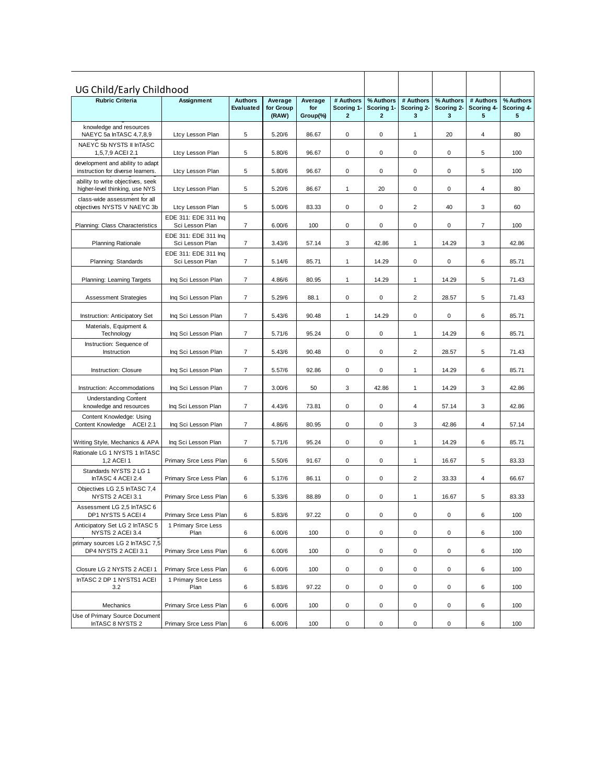| UG Child/Early Childhood                                              |                                         |                             |                               |                            |                                         |                                         |                              |                              |                              |                              |
|-----------------------------------------------------------------------|-----------------------------------------|-----------------------------|-------------------------------|----------------------------|-----------------------------------------|-----------------------------------------|------------------------------|------------------------------|------------------------------|------------------------------|
| <b>Rubric Criteria</b>                                                | Assignment                              | <b>Authors</b><br>Evaluated | Average<br>for Group<br>(RAW) | Average<br>for<br>Group(%) | # Authors<br>Scoring 1-<br>$\mathbf{2}$ | % Authors<br>Scoring 1-<br>$\mathbf{z}$ | # Authors<br>Scoring 2-<br>3 | % Authors<br>Scoring 2-<br>3 | # Authors<br>Scoring 4-<br>5 | % Authors<br>Scoring 4-<br>5 |
| knowledge and resources<br>NAEYC 5a InTASC 4,7,8,9                    | Ltcy Lesson Plan                        | 5                           | 5.20/6                        | 86.67                      | 0                                       | 0                                       | 1                            | 20                           | 4                            | 80                           |
| NAEYC 5b NYSTS II InTASC<br>1,5,7,9 ACEI 2.1                          | Ltcy Lesson Plan                        | 5                           | 5.80/6                        | 96.67                      | 0                                       | 0                                       | $\mathsf 0$                  | 0                            | 5                            | 100                          |
| development and ability to adapt<br>instruction for diverse learners. | Ltcy Lesson Plan                        | $\sqrt{5}$                  | 5.80/6                        | 96.67                      | 0                                       | 0                                       | 0                            | 0                            | 5                            | 100                          |
| ability to write objectives, seek<br>higher-level thinking, use NYS   | Ltcy Lesson Plan                        | 5                           | 5.20/6                        | 86.67                      | 1                                       | 20                                      | 0                            | 0                            | 4                            | 80                           |
| class-wide assessment for all<br>objectives NYSTS V NAEYC 3b          | Ltcy Lesson Plan                        | 5                           | 5.00/6                        | 83.33                      | 0                                       | 0                                       | $\overline{2}$               | 40                           | 3                            | 60                           |
| Planning: Class Characteristics                                       | EDE 311: EDE 311 Ing<br>Sci Lesson Plan | 7                           | 6.00/6                        | 100                        | 0                                       | 0                                       | 0                            | 0                            | 7                            | 100                          |
| <b>Planning Rationale</b>                                             | EDE 311: EDE 311 Inq<br>Sci Lesson Plan | $\overline{7}$              | 3.43/6                        | 57.14                      | 3                                       | 42.86                                   | $\mathbf{1}$                 | 14.29                        | 3                            | 42.86                        |
| Planning: Standards                                                   | EDE 311: EDE 311 Inq<br>Sci Lesson Plan | $\overline{7}$              | 5.14/6                        | 85.71                      | 1                                       | 14.29                                   | 0                            | 0                            | 6                            | 85.71                        |
| Planning: Learning Targets                                            | Ing Sci Lesson Plan                     | $\overline{7}$              | 4.86/6                        | 80.95                      | 1                                       | 14.29                                   | $\mathbf{1}$                 | 14.29                        | 5                            | 71.43                        |
| <b>Assessment Strategies</b>                                          | Inq Sci Lesson Plan                     | $\overline{7}$              | 5.29/6                        | 88.1                       | 0                                       | 0                                       | $\overline{2}$               | 28.57                        | 5                            | 71.43                        |
| <b>Instruction: Anticipatory Set</b>                                  | Inq Sci Lesson Plan                     | $\overline{7}$              | 5.43/6                        | 90.48                      | 1                                       | 14.29                                   | 0                            | 0                            | 6                            | 85.71                        |
| Materials, Equipment &<br>Technology                                  | Inq Sci Lesson Plan                     | $\overline{7}$              | 5.71/6                        | 95.24                      | 0                                       | 0                                       | $\mathbf{1}$                 | 14.29                        | 6                            | 85.71                        |
| Instruction: Sequence of<br>Instruction                               | Inq Sci Lesson Plan                     | $\overline{7}$              | 5.43/6                        | 90.48                      | 0                                       | 0                                       | $\overline{c}$               | 28.57                        | 5                            | 71.43                        |
| Instruction: Closure                                                  | Ing Sci Lesson Plan                     | $\overline{7}$              | 5.57/6                        | 92.86                      | 0                                       | 0                                       | $\mathbf{1}$                 | 14.29                        | 6                            | 85.71                        |
| Instruction: Accommodations                                           | Inq Sci Lesson Plan                     | $\overline{7}$              | 3.00/6                        | 50                         | 3                                       | 42.86                                   | 1                            | 14.29                        | 3                            | 42.86                        |
| <b>Understanding Content</b><br>knowledge and resources               | Inq Sci Lesson Plan                     | $\overline{7}$              | 4.43/6                        | 73.81                      | 0                                       | 0                                       | 4                            | 57.14                        | 3                            | 42.86                        |
| Content Knowledge: Using<br>Content Knowledge ACEI 2.1                | Inq Sci Lesson Plan                     | $\overline{7}$              | 4.86/6                        | 80.95                      | 0                                       | 0                                       | 3                            | 42.86                        | 4                            | 57.14                        |
| Writing Style, Mechanics & APA                                        | Inq Sci Lesson Plan                     | $\overline{7}$              | 5.71/6                        | 95.24                      | 0                                       | 0                                       | $\mathbf{1}$                 | 14.29                        | 6                            | 85.71                        |
| Rationale LG 1 NYSTS 1 InTASC<br>1,2 ACEI 1                           | Primary Srce Less Plan                  | 6                           | 5.50/6                        | 91.67                      | 0                                       | 0                                       | $\mathbf{1}$                 | 16.67                        | 5                            | 83.33                        |
| Standards NYSTS 2 LG 1<br>InTASC 4 ACEI 2.4                           | Primary Srce Less Plan                  | 6                           | 5.17/6                        | 86.11                      | 0                                       | 0                                       | $\overline{2}$               | 33.33                        | 4                            | 66.67                        |
| Objectives LG 2,5 InTASC 7,4<br>NYSTS 2 ACEI 3.1                      | Primary Srce Less Plan                  | 6                           | 5.33/6                        | 88.89                      | 0                                       | 0                                       | 1                            | 16.67                        | 5                            | 83.33                        |
| Assessment LG 2,5 InTASC 6<br>DP1 NYSTS 5 ACEI 4                      | Primary Srce Less Plan                  | 6                           | 5.83/6                        | 97.22                      | 0                                       | 0                                       | $\pmb{0}$                    | 0                            | 6                            | 100                          |
| Anticipatory Set LG 2 InTASC 5<br>NYSTS 2 ACEI 3.4                    | 1 Primary Srce Less<br>Plan             | 6                           | 6.00/6                        | 100                        | 0                                       | 0                                       | 0                            | 0                            | 6                            | 100                          |
| primary sources LG 2 InTASC 7,5<br>DP4 NYSTS 2 ACEI 3.1               | Primary Srce Less Plan                  | 6                           | 6.00/6                        | 100                        | 0                                       | 0                                       | 0                            | 0                            | 6                            | 100                          |
| Closure LG 2 NYSTS 2 ACEI 1                                           | Primary Srce Less Plan                  | $\,6\,$                     | 6.00/6                        | 100                        | 0                                       | 0                                       | 0                            | 0                            | 6                            | 100                          |
| InTASC 2 DP 1 NYSTS1 ACEI<br>3.2                                      | 1 Primary Srce Less<br>Plan             | $\,6\,$                     | 5.83/6                        | 97.22                      | 0                                       | 0                                       | 0                            | 0                            | 6                            | 100                          |
| Mechanics                                                             | Primary Srce Less Plan                  | 6                           | 6.00/6                        | 100                        | 0                                       | 0                                       | 0                            | 0                            | 6                            | 100                          |
| Use of Primary Source Document<br>InTASC 8 NYSTS 2                    | Primary Srce Less Plan                  | 6                           | 6.00/6                        | 100                        | $\mathsf 0$                             | $\mathsf 0$                             | $\mathsf 0$                  | 0                            | 6                            | 100                          |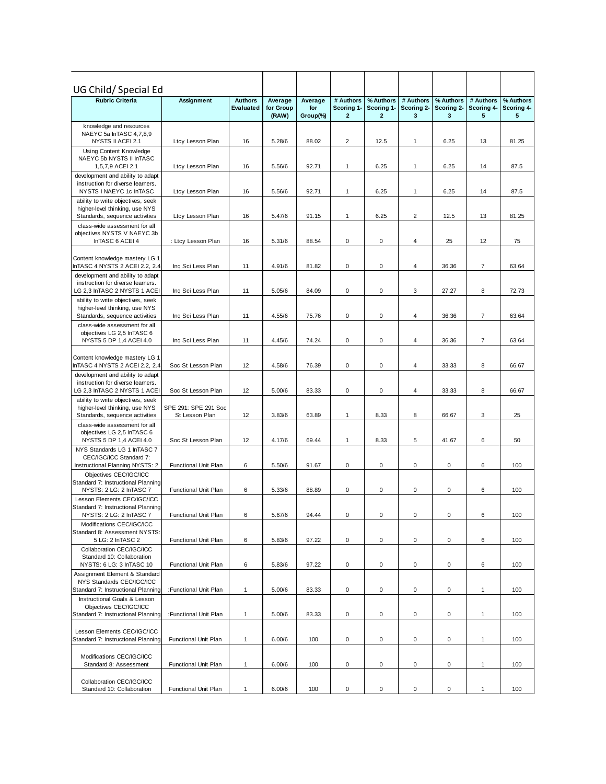| UG Child/Special Ed<br><b>Rubric Criteria</b><br><b>Authors</b>       |                                        |              |                               |                            |                              | % Authors                  | # Authors       | % Authors       | # Authors               | % Authors       |
|-----------------------------------------------------------------------|----------------------------------------|--------------|-------------------------------|----------------------------|------------------------------|----------------------------|-----------------|-----------------|-------------------------|-----------------|
|                                                                       | Assignment                             | Evaluated    | Average<br>for Group<br>(RAW) | Average<br>for<br>Group(%) | # Authors<br>Scoring 1-<br>2 | Scoring 1-<br>$\mathbf{2}$ | Scoring 2-<br>3 | Scoring 2-<br>3 | Scoring 4-<br>5         | Scoring 4-<br>5 |
| knowledge and resources                                               |                                        |              |                               |                            |                              |                            |                 |                 |                         |                 |
| NAEYC 5a InTASC 4,7,8,9                                               |                                        |              |                               |                            |                              |                            |                 |                 |                         |                 |
| NYSTS II ACEI 2.1<br>Using Content Knowledge                          | Ltcy Lesson Plan                       | 16           | 5.28/6                        | 88.02                      | $\overline{2}$               | 12.5                       | 1               | 6.25            | 13                      | 81.25           |
| NAEYC 5b NYSTS II InTASC                                              |                                        |              |                               |                            |                              |                            |                 |                 |                         |                 |
| 1,5,7,9 ACEI 2.1                                                      | Ltcy Lesson Plan                       | 16           | 5.56/6                        | 92.71                      | 1                            | 6.25                       | 1               | 6.25            | 14                      | 87.5            |
| development and ability to adapt<br>instruction for diverse learners. |                                        |              |                               |                            |                              |                            |                 |                 |                         |                 |
| NYSTS I NAEYC 1c InTASC                                               | Ltcy Lesson Plan                       | 16           | 5.56/6                        | 92.71                      | $\mathbf{1}$                 | 6.25                       | 1               | 6.25            | 14                      | 87.5            |
| ability to write objectives, seek                                     |                                        |              |                               |                            |                              |                            |                 |                 |                         |                 |
| higher-level thinking, use NYS<br>Standards, sequence activities      | Ltcy Lesson Plan                       | 16           | 5.47/6                        | 91.15                      | $\mathbf{1}$                 | 6.25                       | 2               | 12.5            | 13                      | 81.25           |
| class-wide assessment for all                                         |                                        |              |                               |                            |                              |                            |                 |                 |                         |                 |
| objectives NYSTS V NAEYC 3b                                           |                                        |              |                               |                            |                              |                            |                 |                 |                         |                 |
| InTASC 6 ACEI 4                                                       | : Ltcy Lesson Plan                     | 16           | 5.31/6                        | 88.54                      | $\mathbf 0$                  | 0                          | 4               | 25              | 12                      | 75              |
| Content knowledge mastery LG 1                                        |                                        |              |                               |                            |                              |                            |                 |                 |                         |                 |
| InTASC 4 NYSTS 2 ACEI 2.2, 2.4                                        | Ing Sci Less Plan                      | 11           | 4.91/6                        | 81.82                      | $\pmb{0}$                    | $\pmb{0}$                  | 4               | 36.36           | $\overline{\mathbf{7}}$ | 63.64           |
| development and ability to adapt<br>instruction for diverse learners. |                                        |              |                               |                            |                              |                            |                 |                 |                         |                 |
| LG 2,3 InTASC 2 NYSTS 1 ACEI                                          | Ing Sci Less Plan                      | 11           | 5.05/6                        | 84.09                      | $\mathbf 0$                  | 0                          | 3               | 27.27           | 8                       | 72.73           |
| ability to write objectives, seek                                     |                                        |              |                               |                            |                              |                            |                 |                 |                         |                 |
| higher-level thinking, use NYS<br>Standards, sequence activities      | Ing Sci Less Plan                      | 11           | 4.55/6                        | 75.76                      | $\mathbf 0$                  | 0                          | 4               | 36.36           | 7                       | 63.64           |
| class-wide assessment for all                                         |                                        |              |                               |                            |                              |                            |                 |                 |                         |                 |
| objectives LG 2,5 InTASC 6                                            |                                        |              |                               |                            |                              |                            |                 |                 |                         |                 |
| NYSTS 5 DP 1,4 ACEI 4.0                                               | Inq Sci Less Plan                      | 11           | 4.45/6                        | 74.24                      | $\mathbf 0$                  | 0                          | 4               | 36.36           | 7                       | 63.64           |
| Content knowledge mastery LG 1                                        |                                        |              |                               |                            |                              |                            |                 |                 |                         |                 |
| InTASC 4 NYSTS 2 ACEI 2.2, 2.4                                        | Soc St Lesson Plan                     | 12           | 4.58/6                        | 76.39                      | 0                            | 0                          | 4               | 33.33           | 8                       | 66.67           |
| development and ability to adapt                                      |                                        |              |                               |                            |                              |                            |                 |                 |                         |                 |
| instruction for diverse learners.<br>LG 2,3 InTASC 2 NYSTS 1 ACEI     | Soc St Lesson Plan                     | 12           | 5.00/6                        | 83.33                      | $\pmb{0}$                    | 0                          | 4               | 33.33           | 8                       | 66.67           |
| ability to write objectives, seek                                     |                                        |              |                               |                            |                              |                            |                 |                 |                         |                 |
| higher-level thinking, use NYS<br>Standards, sequence activities      | SPE 291: SPE 291 Soc<br>St Lesson Plan | 12           | 3.83/6                        | 63.89                      | $\mathbf{1}$                 | 8.33                       | 8               | 66.67           | 3                       | 25              |
| class-wide assessment for all                                         |                                        |              |                               |                            |                              |                            |                 |                 |                         |                 |
| objectives LG 2,5 InTASC 6                                            |                                        |              |                               |                            |                              |                            |                 |                 |                         |                 |
| NYSTS 5 DP 1,4 ACEI 4.0<br>NYS Standards LG 1 InTASC 7                | Soc St Lesson Plan                     | 12           | 4.17/6                        | 69.44                      | $\mathbf{1}$                 | 8.33                       | 5               | 41.67           | 6                       | 50              |
| CEC/IGC/ICC Standard 7:                                               |                                        |              |                               |                            |                              |                            |                 |                 |                         |                 |
| Instructional Planning NYSTS: 2                                       | Functional Unit Plan                   | 6            | 5.50/6                        | 91.67                      | $\mathbf 0$                  | 0                          | 0               | 0               | 6                       | 100             |
| Objectives CEC/IGC/ICC<br>Standard 7: Instructional Planning          |                                        |              |                               |                            |                              |                            |                 |                 |                         |                 |
| NYSTS: 2 LG: 2 InTASC 7                                               | Functional Unit Plan                   | 6            | 5.33/6                        | 88.89                      | $\mathbf 0$                  | 0                          | 0               | 0               | 6                       | 100             |
| Lesson Elements CEC/IGC/ICC                                           |                                        |              |                               |                            |                              |                            |                 |                 |                         |                 |
| Standard 7: Instructional Planning<br>NYSTS: 2 LG: 2 InTASC 7         | Functional Unit Plan                   | 6            | 5.67/6                        | 94.44                      | 0                            | 0                          | 0               | 0               | 6                       | 100             |
| Modifications CEC/IGC/ICC                                             |                                        |              |                               |                            |                              |                            |                 |                 |                         |                 |
| Standard 8: Assessment NYSTS:                                         |                                        |              |                               |                            |                              |                            |                 |                 |                         |                 |
| 5 LG: 2 InTASC 2                                                      | Functional Unit Plan                   | 6            | 5.83/6                        | 97.22                      | $\pmb{0}$                    | 0                          | 0               | 0               | 6                       | 100             |
| Collaboration CEC/IGC/ICC<br>Standard 10: Collaboration               |                                        |              |                               |                            |                              |                            |                 |                 |                         |                 |
| NYSTS: 6 LG: 3 InTASC 10                                              | <b>Functional Unit Plan</b>            | 6            | 5.83/6                        | 97.22                      | 0                            | 0                          | 0               | 0               | 6                       | 100             |
| Assignment Element & Standard                                         |                                        |              |                               |                            |                              |                            |                 |                 |                         |                 |
| NYS Standards CEC/IGC/ICC<br>Standard 7: Instructional Planning       | :Functional Unit Plan                  | $\mathbf{1}$ | 5.00/6                        | 83.33                      | 0                            | 0                          | 0               | 0               | 1                       | 100             |
| Instructional Goals & Lesson                                          |                                        |              |                               |                            |                              |                            |                 |                 |                         |                 |
| Objectives CEC/IGC/ICC                                                |                                        |              |                               |                            |                              |                            |                 |                 |                         |                 |
| Standard 7: Instructional Planning                                    | :Functional Unit Plan                  | $\mathbf{1}$ | 5.00/6                        | 83.33                      | $\pmb{0}$                    | 0                          | 0               | 0               | $\mathbf{1}$            | 100             |
| Lesson Elements CEC/IGC/ICC                                           |                                        |              |                               |                            |                              |                            |                 |                 |                         |                 |
| Standard 7: Instructional Planning                                    | Functional Unit Plan                   | $\mathbf{1}$ | 6.00/6                        | 100                        | $\pmb{0}$                    | 0                          | 0               | 0               | 1                       | 100             |
| Modifications CEC/IGC/ICC                                             |                                        |              |                               |                            |                              |                            |                 |                 |                         |                 |
| Standard 8: Assessment                                                | Functional Unit Plan                   | $\mathbf{1}$ | 6.00/6                        | 100                        | 0                            | 0                          | 0               | 0               | 1                       | 100             |
|                                                                       |                                        |              |                               |                            |                              |                            |                 |                 |                         |                 |
| Collaboration CEC/IGC/ICC<br>Standard 10: Collaboration               | Functional Unit Plan                   | $\mathbf{1}$ | 6.00/6                        | 100                        | 0                            | 0                          | 0               | 0               | 1                       | 100             |